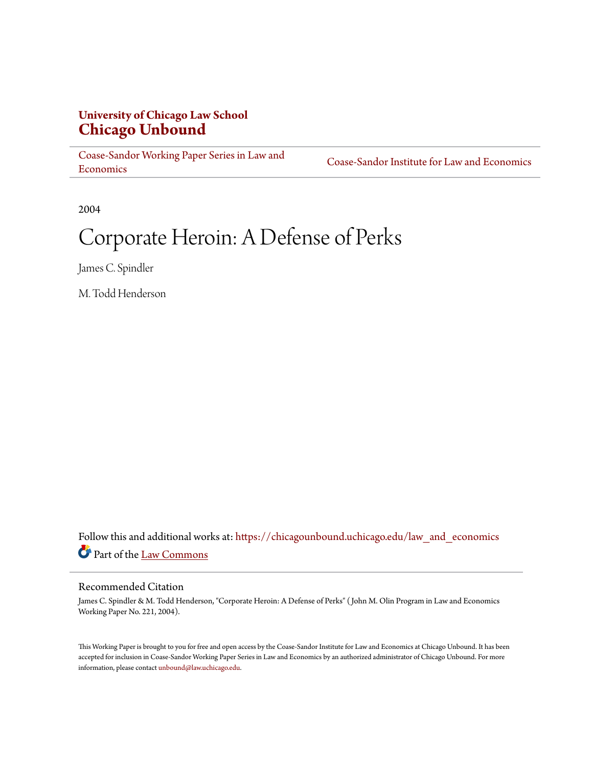## **University of Chicago Law School [Chicago Unbound](https://chicagounbound.uchicago.edu?utm_source=chicagounbound.uchicago.edu%2Flaw_and_economics%2F135&utm_medium=PDF&utm_campaign=PDFCoverPages)**

[Coase-Sandor Working Paper Series in Law and](https://chicagounbound.uchicago.edu/law_and_economics?utm_source=chicagounbound.uchicago.edu%2Flaw_and_economics%2F135&utm_medium=PDF&utm_campaign=PDFCoverPages) [Economics](https://chicagounbound.uchicago.edu/law_and_economics?utm_source=chicagounbound.uchicago.edu%2Flaw_and_economics%2F135&utm_medium=PDF&utm_campaign=PDFCoverPages)

[Coase-Sandor Institute for Law and Economics](https://chicagounbound.uchicago.edu/coase_sandor_institute?utm_source=chicagounbound.uchicago.edu%2Flaw_and_economics%2F135&utm_medium=PDF&utm_campaign=PDFCoverPages)

2004

# Corporate Heroin: A Defense of Perks

James C. Spindler

M. Todd Henderson

Follow this and additional works at: [https://chicagounbound.uchicago.edu/law\\_and\\_economics](https://chicagounbound.uchicago.edu/law_and_economics?utm_source=chicagounbound.uchicago.edu%2Flaw_and_economics%2F135&utm_medium=PDF&utm_campaign=PDFCoverPages) Part of the [Law Commons](http://network.bepress.com/hgg/discipline/578?utm_source=chicagounbound.uchicago.edu%2Flaw_and_economics%2F135&utm_medium=PDF&utm_campaign=PDFCoverPages)

#### Recommended Citation

James C. Spindler & M. Todd Henderson, "Corporate Heroin: A Defense of Perks" ( John M. Olin Program in Law and Economics Working Paper No. 221, 2004).

This Working Paper is brought to you for free and open access by the Coase-Sandor Institute for Law and Economics at Chicago Unbound. It has been accepted for inclusion in Coase-Sandor Working Paper Series in Law and Economics by an authorized administrator of Chicago Unbound. For more information, please contact [unbound@law.uchicago.edu.](mailto:unbound@law.uchicago.edu)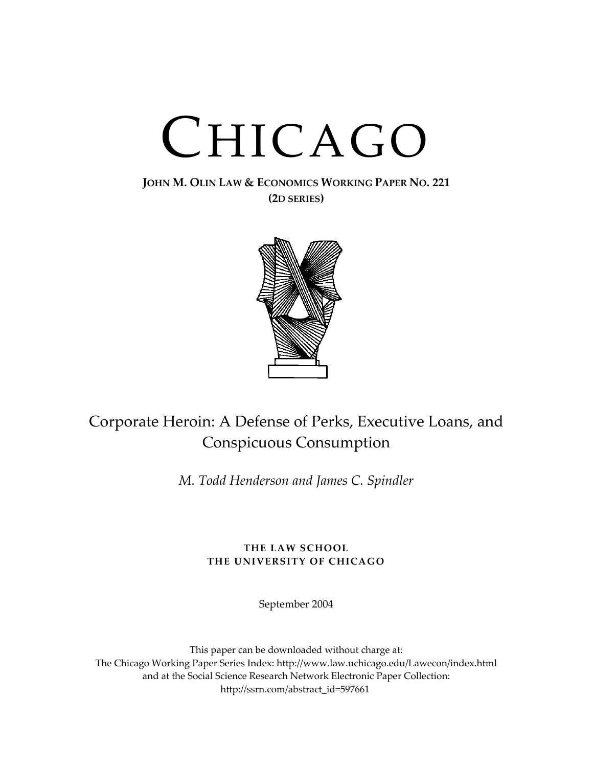# CHICAGO

## **JOHN M. OLIN LAW & ECONOMICS WORKING PAPER NO. 221 (2D SERIES)**



## Corporate Heroin: A Defense of Perks, Executive Loans, and Conspicuous Consumption

*M. Todd Henderson and James C. Spindler*

## **THE LAW SCHOOL THE UNIVERSITY OF CHICAGO**

September 2004

This paper can be downloaded without charge at: The Chicago Working Paper Series Index: http://www.law.uchicago.edu/Lawecon/index.html and at the Social Science Research Network Electronic Paper Collection: http://ssrn.com/abstract\_id=597661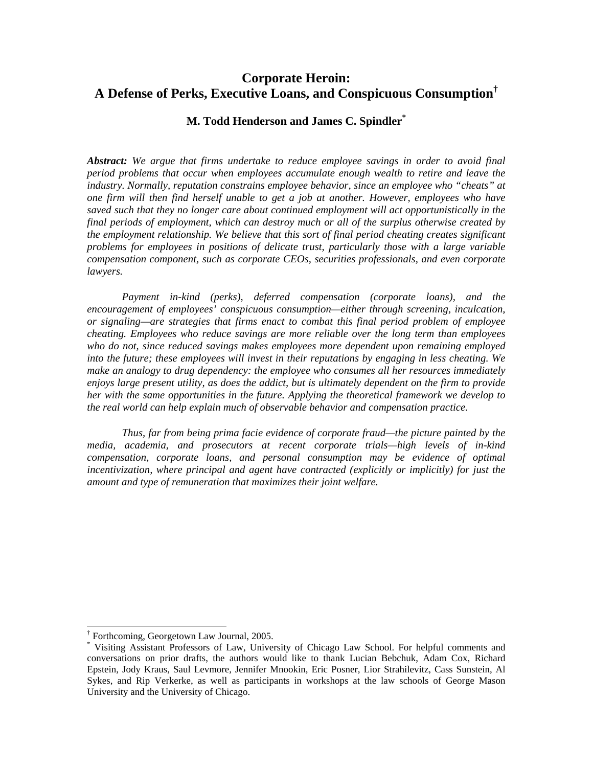## **Corporate Heroin: A Defense of Perks, Executive Loans, and Conspicuous Consumption[†](#page-2-0)**

## **M. Todd Henderson and James C. Spindler[\\*](#page-2-1)**

*Abstract: We argue that firms undertake to reduce employee savings in order to avoid final period problems that occur when employees accumulate enough wealth to retire and leave the industry. Normally, reputation constrains employee behavior, since an employee who "cheats" at one firm will then find herself unable to get a job at another. However, employees who have saved such that they no longer care about continued employment will act opportunistically in the final periods of employment, which can destroy much or all of the surplus otherwise created by the employment relationship. We believe that this sort of final period cheating creates significant problems for employees in positions of delicate trust, particularly those with a large variable compensation component, such as corporate CEOs, securities professionals, and even corporate lawyers.* 

*Payment in-kind (perks), deferred compensation (corporate loans), and the encouragement of employees' conspicuous consumption—either through screening, inculcation, or signaling—are strategies that firms enact to combat this final period problem of employee cheating. Employees who reduce savings are more reliable over the long term than employees who do not, since reduced savings makes employees more dependent upon remaining employed into the future; these employees will invest in their reputations by engaging in less cheating. We make an analogy to drug dependency: the employee who consumes all her resources immediately enjoys large present utility, as does the addict, but is ultimately dependent on the firm to provide her with the same opportunities in the future. Applying the theoretical framework we develop to the real world can help explain much of observable behavior and compensation practice.* 

*Thus, far from being prima facie evidence of corporate fraud—the picture painted by the media, academia, and prosecutors at recent corporate trials—high levels of in-kind compensation, corporate loans, and personal consumption may be evidence of optimal incentivization, where principal and agent have contracted (explicitly or implicitly) for just the amount and type of remuneration that maximizes their joint welfare.*

 <sup>†</sup>

<span id="page-2-1"></span><span id="page-2-0"></span><sup>&</sup>lt;sup>†</sup> Forthcoming, Georgetown Law Journal, 2005.<br>\* Visiting Assistant Professors of Law, University of Chicago Law School. For helpful comments and conversations on prior drafts, the authors would like to thank Lucian Bebchuk, Adam Cox, Richard Epstein, Jody Kraus, Saul Levmore, Jennifer Mnookin, Eric Posner, Lior Strahilevitz, Cass Sunstein, Al Sykes, and Rip Verkerke, as well as participants in workshops at the law schools of George Mason University and the University of Chicago.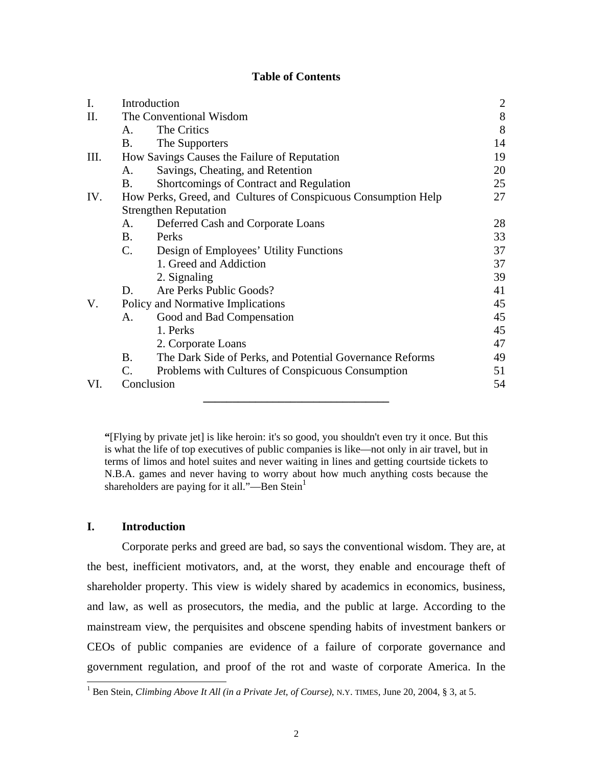## **Table of Contents**

| I.  |                                                                | Introduction                                             |       |
|-----|----------------------------------------------------------------|----------------------------------------------------------|-------|
| II. | The Conventional Wisdom                                        |                                                          | $8\,$ |
|     | $A_{\cdot}$                                                    | The Critics                                              | 8     |
|     | Β.                                                             | The Supporters                                           | 14    |
| Ш.  | How Savings Causes the Failure of Reputation                   |                                                          | 19    |
|     | A.                                                             | Savings, Cheating, and Retention                         | 20    |
|     | B.                                                             | Shortcomings of Contract and Regulation                  | 25    |
| IV. | How Perks, Greed, and Cultures of Conspicuous Consumption Help |                                                          | 27    |
|     | <b>Strengthen Reputation</b>                                   |                                                          |       |
|     | A.                                                             | Deferred Cash and Corporate Loans                        | 28    |
|     | <b>B.</b>                                                      | Perks                                                    | 33    |
|     | $C_{\cdot}$                                                    | Design of Employees' Utility Functions                   | 37    |
|     |                                                                | 1. Greed and Addiction                                   | 37    |
|     |                                                                | 2. Signaling                                             | 39    |
|     | D.                                                             | Are Perks Public Goods?                                  | 41    |
| V.  | Policy and Normative Implications                              |                                                          | 45    |
|     | А.                                                             | Good and Bad Compensation                                | 45    |
|     |                                                                | 1. Perks                                                 | 45    |
|     |                                                                | 2. Corporate Loans                                       | 47    |
|     | B.                                                             | The Dark Side of Perks, and Potential Governance Reforms | 49    |
|     | $\mathcal{C}$ .                                                | Problems with Cultures of Conspicuous Consumption        | 51    |
| VI. | Conclusion                                                     |                                                          | 54    |
|     |                                                                |                                                          |       |

**"**[Flying by private jet] is like heroin: it's so good, you shouldn't even try it once. But this is what the life of top executives of public companies is like—not only in air travel, but in terms of limos and hotel suites and never waiting in lines and getting courtside tickets to N.B.A. games and never having to worry about how much anything costs because the shareholders are paying for it all."—Ben Stein $<sup>1</sup>$  $<sup>1</sup>$  $<sup>1</sup>$ </sup>

## **I. Introduction**

Corporate perks and greed are bad, so says the conventional wisdom. They are, at the best, inefficient motivators, and, at the worst, they enable and encourage theft of shareholder property. This view is widely shared by academics in economics, business, and law, as well as prosecutors, the media, and the public at large. According to the mainstream view, the perquisites and obscene spending habits of investment bankers or CEOs of public companies are evidence of a failure of corporate governance and government regulation, and proof of the rot and waste of corporate America. In the

<span id="page-3-0"></span> $\frac{1}{1}$ Ben Stein, *Climbing Above It All (in a Private Jet, of Course)*, N.Y. TIMES, June 20, 2004, § 3, at 5.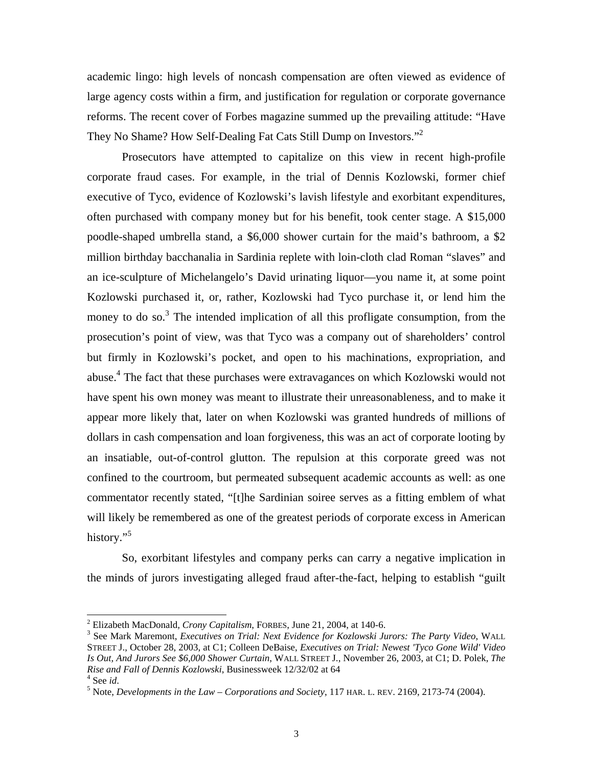academic lingo: high levels of noncash compensation are often viewed as evidence of large agency costs within a firm, and justification for regulation or corporate governance reforms. The recent cover of Forbes magazine summed up the prevailing attitude: "Have They No Shame? How Self-Dealing Fat Cats Still Dump on Investors."<sup>[2](#page-4-0)</sup>

Prosecutors have attempted to capitalize on this view in recent high-profile corporate fraud cases. For example, in the trial of Dennis Kozlowski, former chief executive of Tyco, evidence of Kozlowski's lavish lifestyle and exorbitant expenditures, often purchased with company money but for his benefit, took center stage. A \$15,000 poodle-shaped umbrella stand, a \$6,000 shower curtain for the maid's bathroom, a \$2 million birthday bacchanalia in Sardinia replete with loin-cloth clad Roman "slaves" and an ice-sculpture of Michelangelo's David urinating liquor—you name it, at some point Kozlowski purchased it, or, rather, Kozlowski had Tyco purchase it, or lend him the money to do so.<sup>[3](#page-4-1)</sup> The intended implication of all this profligate consumption, from the prosecution's point of view, was that Tyco was a company out of shareholders' control but firmly in Kozlowski's pocket, and open to his machinations, expropriation, and abuse.<sup>[4](#page-4-2)</sup> The fact that these purchases were extravagances on which Kozlowski would not have spent his own money was meant to illustrate their unreasonableness, and to make it appear more likely that, later on when Kozlowski was granted hundreds of millions of dollars in cash compensation and loan forgiveness, this was an act of corporate looting by an insatiable, out-of-control glutton. The repulsion at this corporate greed was not confined to the courtroom, but permeated subsequent academic accounts as well: as one commentator recently stated, "[t]he Sardinian soiree serves as a fitting emblem of what will likely be remembered as one of the greatest periods of corporate excess in American history."<sup>[5](#page-4-3)</sup>

So, exorbitant lifestyles and company perks can carry a negative implication in the minds of jurors investigating alleged fraud after-the-fact, helping to establish "guilt

<span id="page-4-0"></span> $\frac{1}{2}$ Elizabeth MacDonald*, Crony Capitalism*, FORBES, June 21, 2004, at 140-6. 3

<span id="page-4-1"></span>See Mark Maremont, *Executives on Trial: Next Evidence for Kozlowski Jurors: The Party Video*, WALL STREET J., October 28, 2003, at C1; Colleen DeBaise, *Executives on Trial: Newest 'Tyco Gone Wild' Video Is Out, And Jurors See \$6,000 Shower Curtain*, WALL STREET J., November 26, 2003, at C1; D. Polek, *The Rise and Fall of Dennis Kozlowski*, Businessweek 12/32/02 at 64 4

<span id="page-4-2"></span>See *id*.

<span id="page-4-3"></span><sup>.</sup> <sup>5</sup> Note, *Developments in the Law – Corporations and Society*, 117 HAR. L. REV. 2169, 2173-74 (2004)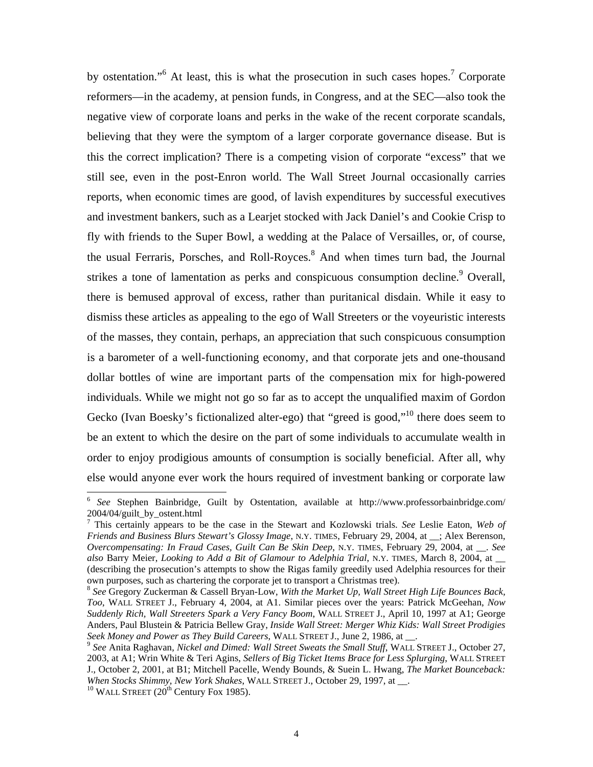by ostentation."<sup>[6](#page-5-0)</sup>At least, this is what the prosecution in such cases hopes.<sup>7</sup> Corporate reformers—in the academy, at pension funds, in Congress, and at the SEC—also took the negative view of corporate loans and perks in the wake of the recent corporate scandals, believing that they were the symptom of a larger corporate governance disease. But is this the correct implication? There is a competing vision of corporate "excess" that we still see, even in the post-Enron world. The Wall Street Journal occasionally carries reports, when economic times are good, of lavish expenditures by successful executives and investment bankers, such as a Learjet stocked with Jack Daniel's and Cookie Crisp to fly with friends to the Super Bowl, a wedding at the Palace of Versailles, or, of course, the usual Ferraris, Porsches, and Roll-Royces.<sup>8</sup> And when times turn bad, the Journal strikes a tone of lamentation as perks and conspicuous consumption decline.<sup>[9](#page-5-3)</sup> Overall, there is bemused approval of excess, rather than puritanical disdain. While it easy to dismiss these articles as appealing to the ego of Wall Streeters or the voyeuristic interests of the masses, they contain, perhaps, an appreciation that such conspicuous consumption is a barometer of a well-functioning economy, and that corporate jets and one-thousand dollar bottles of wine are important parts of the compensation mix for high-powered individuals. While we might not go so far as to accept the unqualified maxim of Gordon Gecko (Ivan Boesky's fictionalized alter-ego) that "greed is good,"<sup>10</sup> there does seem to be an extent to which the desire on the part of some individuals to accumulate wealth in order to enjoy prodigious amounts of consumption is socially beneficial. After all, why else would anyone ever work the hours required of investment banking or corporate law

<span id="page-5-0"></span> <sup>6</sup> *See* Stephen Bainbridge, Guilt by Ostentation, available at http://www.professorbainbridge.com/  $2004/04$ /guilt by ostent.html

<span id="page-5-1"></span>This certainly appears to be the case in the Stewart and Kozlowski trials. *See* Leslie Eaton, *Web of Friends and Business Blurs Stewart's Glossy Image*, N.Y. TIMES, February 29, 2004, at \_\_; Alex Berenson, Overcompensating: In Fraud Cases, Guilt Can Be Skin Deep, N.Y. TIMES, February 29, 2004, at \_\_. *See so* Bar *al* ry Meier, *Looking to Add a Bit of Glamour to Adelphia Trial*, N.Y. TIMES, March 8, 2004, at \_\_ (describing the prosecution's attempts to show the Rigas family greedily used Adelphia resources for their own purposes, such as chartering the corporate jet to transport a Christmas tree).

<span id="page-5-2"></span><sup>8</sup> *See* Gregory Zuckerman & Cassell Bryan-Low, *With the Market Up, Wall Street High Life Bounces Back, Too*, WALL STREET J., February 4, 2004, at A1. Similar pieces over the years: Patrick McGeehan, *Now Suddenly Rich, Wall Streeters Spark a Very Fancy Boom*, WALL STREET J., April 10, 1997 at A1; George *iz Kids: Wall Street Prodigies*  Anders, Paul Blustein & Patricia Bellew Gray, *Inside Wall Street: Merger Wh Seek Money and Power as They Build Careers*, WALL STREET J., June 2, 1986, at <sub>\_\_\_</sub>. <sup>9</sup> *See* Anita Raghavan, *Nickel and Dimed: Wall Street Sweats the Small Stuff*, WALL STREET J., October 27,

<span id="page-5-3"></span>J., October 2, 2001, at B1; Mitchell Pacelle, Wendy Bounds, & Suein L. Hwang, The Market Bounceback: *ks Shimmy, New York Shakes*, WALL STREET J., October 29, 1997, at \_\_. 2003, at A1; Wrin White & Teri Agins, *Sellers of Big Ticket Items Brace for Less Splurging*, WALL STREET

<span id="page-5-4"></span><sup>&</sup>lt;sup>10</sup> WALL STREET (20<sup>th</sup> Century Fox 1985).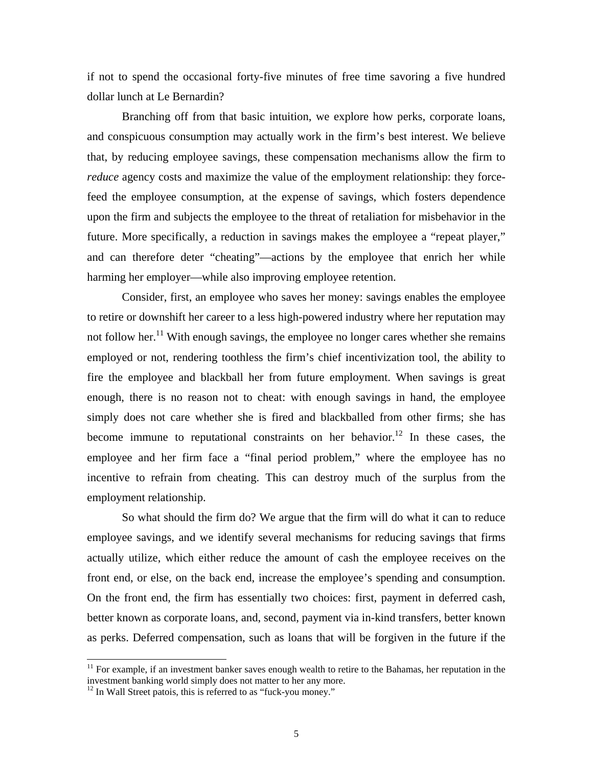if not to spend the occasional forty-five minutes of free time savoring a five hundred dollar lunch at Le Bernardin?

Branching off from that basic intuition, we explore how perks, corporate loans, and conspicuous consumption may actually work in the firm's best interest. We believe that, by reducing employee savings, these compensation mechanisms allow the firm to *reduce* agency costs and maximize the value of the employment relationship: they forcefeed the employee consumption, at the expense of savings, which fosters dependence upon the firm and subjects the employee to the threat of retaliation for misbehavior in the future. More specifically, a reduction in savings makes the employee a "repeat player," and can therefore deter "cheating"—actions by the employee that enrich her while harming her employer—while also improving employee retention.

Consider, first, an employee who saves her money: savings enables the employee to retire or downshift her career to a less high-powered industry where her reputation may not follow her.<sup>11</sup> With enough savings, the employee no longer cares whether she remains employed or not, rendering toothless the firm's chief incentivization tool, the ability to fire the employee and blackball her from future employment. When savings is great enough, there is no reason not to cheat: with enough savings in hand, the employee simply does not care whether she is fired and blackballed from other firms; she has become immune to reputational constraints on her behavior.<sup>[12](#page-6-1)</sup> In these cases, the employee and her firm face a "final period problem," where the employee has no incentive to refrain from cheating. This can destroy much of the surplus from the employment relationship.

So what should the firm do? We argue that the firm will do what it can to reduce employee savings, and we identify several mechanisms for reducing savings that firms actually utilize, which either reduce the amount of cash the employee receives on the front end, or else, on the back end, increase the employee's spending and consumption. On the front end, the firm has essentially two choices: first, payment in deferred cash, better known as corporate loans, and, second, payment via in-kind transfers, better known as perks. Deferred compensation, such as loans that will be forgiven in the future if the

<span id="page-6-0"></span> $11$  For example, if an investment banker saves enough wealth to retire to the Bahamas, her reputation in the investment banking world simply does not matter to her any more. 12 In Wall Street patois, this is referred to as "fuck-you money."

<span id="page-6-1"></span>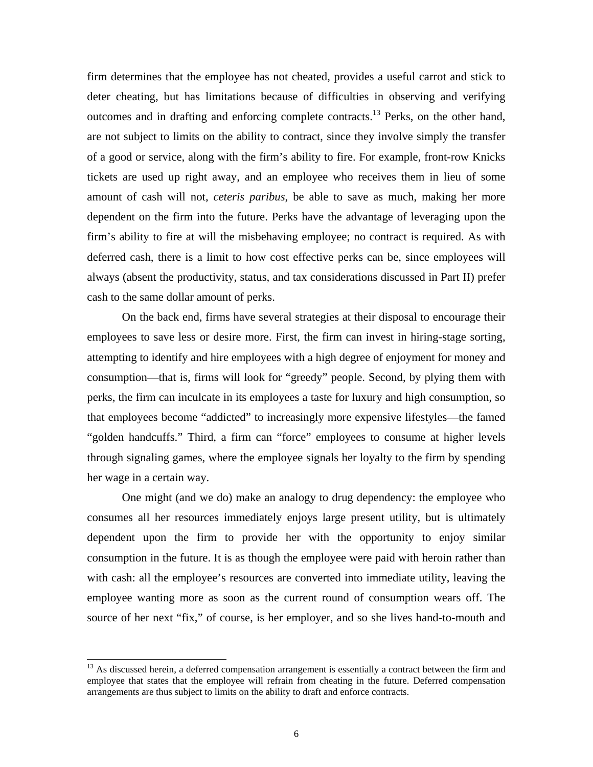firm determines that the employee has not cheated, provides a useful carrot and stick to deter cheating, but has limitations because of difficulties in observing and verifying outcomes and in drafting and enforcing complete contracts.<sup>13</sup> Perks, on the other hand, always (absent the productivity, status, and tax considerations discussed in Part II) prefer cash to the same dollar amount of perks. are not subject to limits on the ability to contract, since they involve simply the transfer of a good or service, along with the firm's ability to fire. For example, front-row Knicks tickets are used up right away, and an employee who receives them in lieu of some amount of cash will not, *ceteris paribus*, be able to save as much, making her more dependent on the firm into the future. Perks have the advantage of leveraging upon the firm's ability to fire at will the misbehaving employee; no contract is required. As with deferred cash, there is a limit to how cost effective perks can be, since employees will

On the back end, firms have several strategies at their disposal to encourage their employees to save less or desire more. First, the firm can invest in hiring-stage sorting, attempting to identify and hire employees with a high degree of enjoyment for money and consumption—that is, firms will look for "greedy" people. Second, by plying them with perks, the firm can inculcate in its employees a taste for luxury and high consumption, so that employees become "addicted" to increasingly more expensive lifestyles—the famed "golden handcuffs." Third, a firm can "force" employees to consume at higher levels through signaling games, where the employee signals her loyalty to the firm by spending her wage in a certain way.

One might (and we do) make an analogy to drug dependency: the employee who consum es all her resources immediately enjoys large present utility, but is ultimately dependent upon the firm to provide her with the opportunity to enjoy similar consumption in the future. It is as though the employee were paid with heroin rather than with cash: all the employee's resources are converted into immediate utility, leaving the employee wanting more as soon as the current round of consumption wears off. The source of her next "fix," of course, is her employer, and so she lives hand-to-mouth and

l

<span id="page-7-0"></span>employee that states that the employee will refrain from cheating in the future. Deferred compensation arrangements are thus subject to limits on the ability to draft and enforce contracts. <sup>13</sup> As discussed herein, a deferred compensation arrangement is essentially a contract between the firm and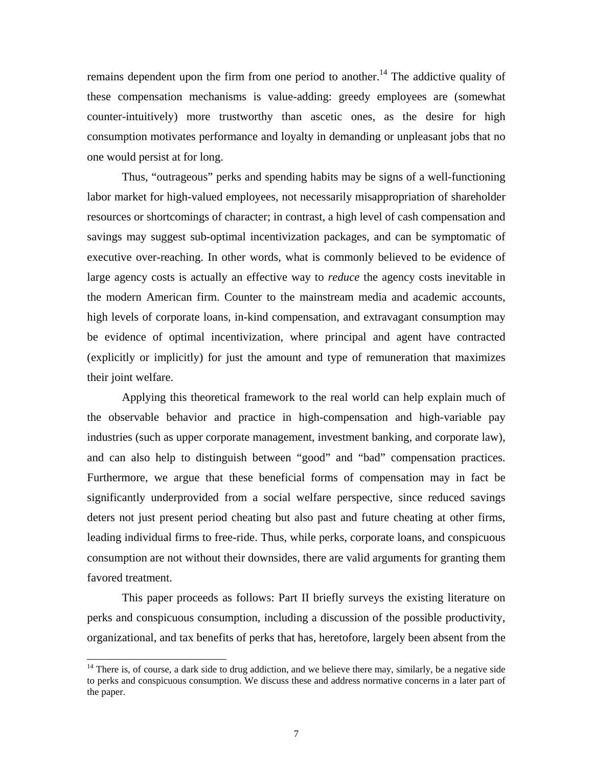remains dependent upon the firm from one period to another.<sup>14</sup> The addictive quality of these compensation mechanisms is value-adding: greedy employees are (somewhat counter-intuitively) more trustworthy than ascetic ones, as the desire for high consumption motivates performance and loyalty in demanding or unpleasant jobs that no one would persist at for long.

Thus, "outrageous" perks and spending habits may be signs of a well-functioning labor market for high-valued employees, not necessarily misappropriation of shareholder resources or shortcomings of character; in contrast, a high level of cash compensation and savings may suggest sub-optimal incentivization packages, and can be symptomatic of executive over-reaching. In other words, what is commonly believed to be evidence of large agency costs is actually an effective way to *reduce* the agency costs inevitable in the modern American firm. Counter to the mainstream media and academic accounts, high le vels of corporate loans, in-kind compensation, and extravagant consumption may be evidence of optimal incentivization, where principal and agent have contracted (explicitly or implicitly) for just the amount and type of remuneration that maximizes their joint welfare.

Furthermore, we argue that these beneficial forms of compensation may in fact be signific antly underprovided from a social welfare perspective, since reduced savings Applying this theoretical framework to the real world can help explain much of the observable behavior and practice in high-compensation and high-variable pay industries (such as upper corporate management, investment banking, and corporate law), and can also help to distinguish between "good" and "bad" compensation practices. deters not just present period cheating but also past and future cheating at other firms, leading individual firms to free-ride. Thus, while perks, corporate loans, and conspicuous consumption are not without their downsides, there are valid arguments for granting them favored treatment.

organizational, and tax benefits of perks that has, heretofore, largely been absent from the This paper proceeds as follows: Part II briefly surveys the existing literature on perks and conspicuous consumption, including a discussion of the possible productivity,

l

<span id="page-8-0"></span> $14$  There is, of course, a dark side to drug addiction, and we believe there may, similarly, be a negative side to perks and conspicuous consumption. We discuss these and address normative concerns in a later part of the paper.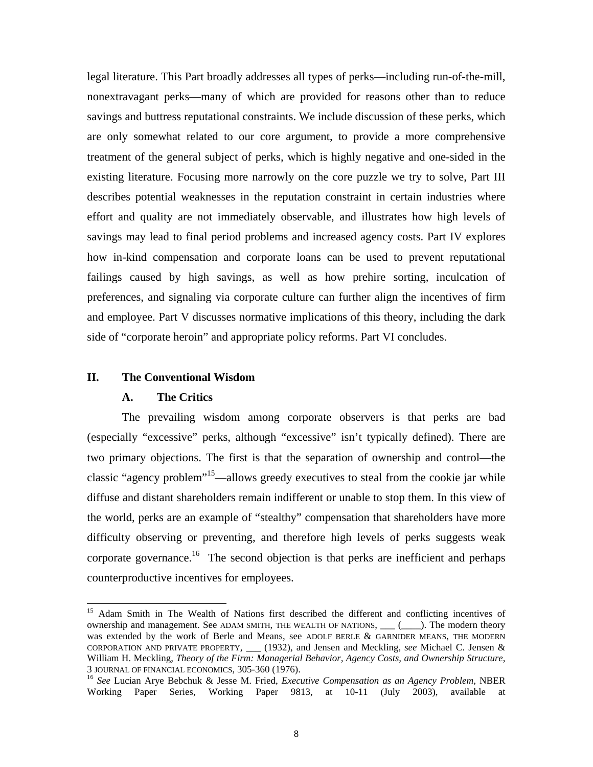<span id="page-9-1"></span>legal literature. This Part broadly addresses all types of perks—including run-of-the-mill, nonextravagant perks—many of which are provided for reasons other than to reduce savings and buttress reputational constraints. We include discussion of these perks, which are only somewhat related to our core argument, to provide a more comprehensive treatment of the general subject of perks, which is highly negative and one-sided in the existin g literature. Focusing more narrowly on the core puzzle we try to solve, Part III describes potential weaknesses in the reputation constraint in certain industries where effort and quality are not immediately observable, and illustrates how high levels of savings may lead to final period problems and increased agency costs. Part IV explores how in-kind compensation and corporate loans can be used to prevent reputational failings caused by high savings, as well as how prehire sorting, inculcation of preferences, and signaling via corporate culture can further align the incentives of firm and employee. Part V discusses normative implications of this theory, including the dark side of "corporate heroin" and appropriate policy reforms. Part VI concludes.

## **II.** The Conventional Wisdom

#### **A. The Critics**

counterproductive incentives for employees. The prevailing wisdom among corporate observers is that perks are bad (especially "excessive" perks, although "excessive" isn't typically defined). There are two primary objections. The first is that the separation of ownership and control—the classic "agency problem"<sup>15</sup>—allows greedy executives to steal from the cookie jar while diffuse and distant shareholders remain indifferent or unable to stop them. In this view of the world, perks are an example of "stealthy" compensation that shareholders have more difficulty observing or preventing, and therefore high levels of perks suggests weak corporate governance.<sup>16</sup> The second objection is that perks are inefficient and perhaps

<span id="page-9-0"></span><sup>&</sup>lt;sup>15</sup> Adam Smith in The Wealth of Nations first described the different and conflicting incentives of ownership and management. See ADAM SMITH, THE WEALTH OF NATIONS, \_\_\_ (\_\_\_\_). The modern theory was extended by the work of Berle and Means, see ADOLF BERLE & GARNIDER MEANS, THE MODERN CORPORATION AND PRIVATE PROPERTY, \_\_\_ (1932), and Jensen and Meckling, *see* Michael C. Jensen & William H. Meckling, *Theory of the Firm: Managerial Behavior, Agency Costs, and Ownership Structure*,

Working Paper Series, Working Paper 9813, at 10-11 (July 2003), available at <sup>16</sup> See Lucian Arye Bebchuk & Jesse M. Fried, *Executive Compensation as an Agency Problem*, NBER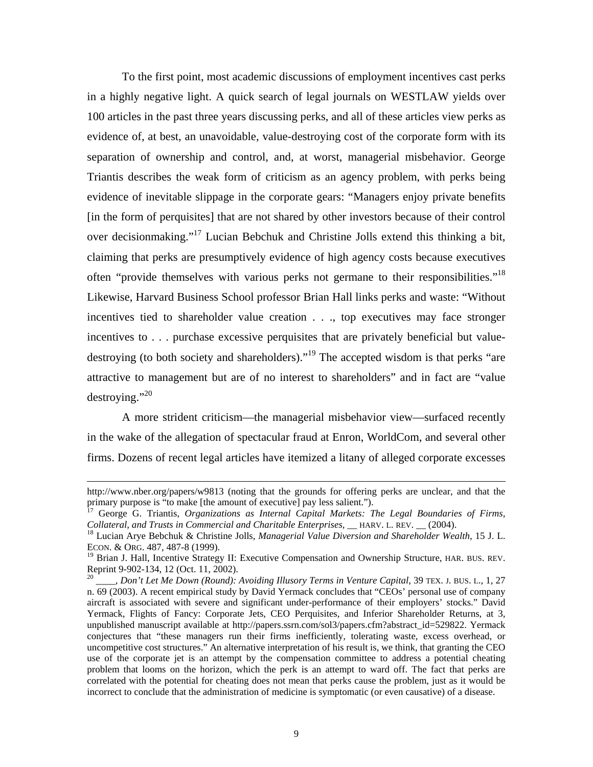To the first point, most academic discussions of employment incentives cast perks in a highly negative light. A quick search of legal journals on WESTLAW yields over 100 articles in the past three years discussing perks, and all of these articles view perks as evidence of, at best, an unavoidable, value-destroying cost of the corporate form with its separation of ownership and control, and, at worst, managerial misbehavior. George Triantis describes the weak form of criticism as an agency problem, with perks being evidence of inevitable slippage in the corporate gears: "Managers enjoy private benefits [in the form of perquisites] that are not shared by other investors because of their control over decisionmaking.["17](#page-10-0) Lucian Bebchuk and Christine Jolls extend this thinking a bit, claiming that perks are presumptively evidence of high agency costs because executives often "provide themselves with various perks not germane to their responsibilities.["18](#page-10-1) Likewise, Harvard Business School professor Brian Hall links perks and waste: "Without incentives tied to shareholder value creation . . ., top executives may face stronger incentives to . . . purchase excessive perquisites that are privately beneficial but valuedestroying (to both society and shareholders).<sup>"19</sup> The accepted wisdom is that perks "are attractive to management but are of no interest to shareholders" and in fact are "value destroying."<sup>20</sup>

A more strident criticism—the managerial misbehavior view—surfaced recently in the wake of the allegation of spectacular fraud at Enron, WorldCom, and several other firms. Dozens of recent legal articles have itemized a litany of alleged corporate excesses

 $\overline{a}$ 

http://www.nber.org/papers/w9813 (noting that the grounds for offering perks are unclear, and that the primary purpose is "to make [the amount of executive] pay less salient.").

<span id="page-10-0"></span><sup>&</sup>lt;sup>17</sup> George G. Triantis, *Organizations as Internal Capital Markets: The Legal Boundaries of Firms, Collateral, and Trusts in Commercial and Charitable Enterprises*, \_\_ HARV. L. REV. \_\_ (2004). 18 Lucian Arye Bebchuk & Christine Jolls, *Managerial Value Diversion and Shareholder Wealth*, 15 J. L.

<span id="page-10-1"></span>ECON. & ORG. 487, 487-8 (1999).

<span id="page-10-2"></span><sup>&</sup>lt;sup>19</sup> Brian J. Hall, Incentive Strategy II: Executive Compensation and Ownership Structure, HAR. BUS. REV. Reprint 9-902-134, 12 (Oct. 11, 2002). 20 \_\_\_\_, *Don't Let Me Down (Round): Avoiding Illusory Terms in Venture Capital*, 39 TEX. J. BUS. L., 1, 27

<span id="page-10-3"></span>n. 69 (2003). A recent empirical study by David Yermack concludes that "CEOs' personal use of company aircraft is associated with severe and significant under-performance of their employers' stocks." David problem that looms on the horizon, which the perk is an attempt to ward off. The fact that perks are Yermack, Flights of Fancy: Corporate Jets, CEO Perquisites, and Inferior Shareholder Returns, at 3, unpublished manuscript available at http://papers.ssrn.com/sol3/papers.cfm?abstract\_id=529822. Yermack conjectures that "these managers run their firms inefficiently, tolerating waste, excess overhead, or uncompetitive cost structures." An alternative interpretation of his result is, we think, that granting the CEO use of the corporate jet is an attempt by the compensation committee to address a potential cheating correlated with the potential for cheating does not mean that perks cause the problem, just as it would be incorrect to conclude that the administration of medicine is symptomatic (or even causative) of a disease.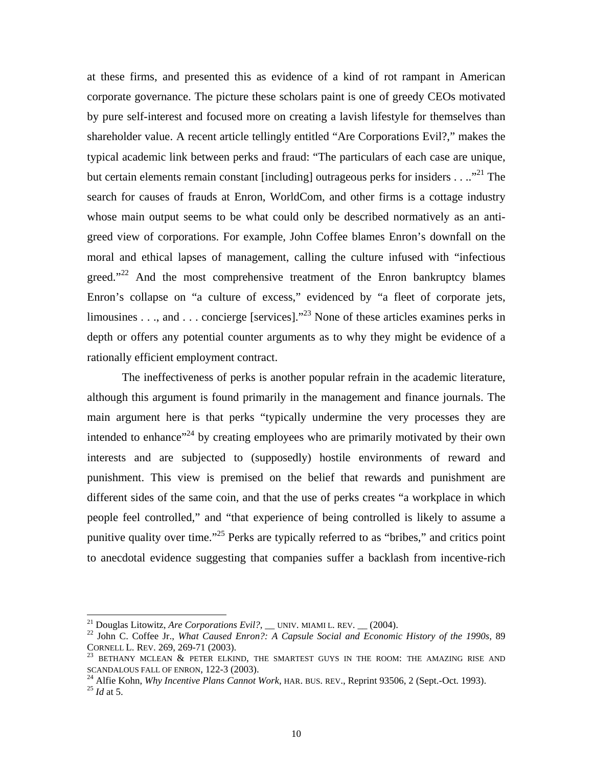at these firms, and presented this as evidence of a kind of rot rampant in American corporate governance. The picture these scholars paint is one of greedy CEOs motivated by pure self-interest and focused more on creating a lavish lifestyle for themselves than shareholder value. A recent article tellingly entitled "Are Corporations Evil?," makes the typical academic link between perks and fraud: "The particulars of each case are unique, but certain elements remain constant [including] outrageous perks for insiders . . ..<sup>"21</sup> The search for causes of frauds at Enron, WorldCom, and other firms is a cottage industry whose main output seems to be what could only be described normatively as an antigreed view of corporations. For example, John Coffee blames Enron's downfall on the moral and ethical lapses of management, calling the culture infused with "infectious greed." $22$  And the most comprehensive treatment of the Enron bankruptcy blames Enron's collapse on "a culture of excess," evidenced by "a fleet of corporate jets, limousines . . ., and . . . concierge [services]."<sup>23</sup> None of these articles examines perks in depth or offers any potential counter arguments as to why they might be evidence of a rationally efficient employment contract.

The ineffectiveness of perks is another popular refrain in the academic literature, although this argument is found primarily in the management and finance journals. The main argument here is that perks "typically undermine the very processes they are punishment. This view is premised on the belief that rewards and punishment are intended to enhance"<sup>24</sup> by creating employees who are primarily motivated by their own interests and are subjected to (supposedly) hostile environments of reward and different sides of the same coin, and that the use of perks creates "a workplace in which people feel controlled," and "that experience of being controlled is likely to assume a punitive quality over time.["25](#page-11-4) Perks are typically referred to as "bribes," and critics point to anecdotal evidence suggesting that companies suffer a backlash from incentive-rich

<span id="page-11-1"></span><span id="page-11-0"></span>

<sup>&</sup>lt;sup>21</sup> Douglas Litowitz, *Are Corporations Evil?*, \_\_ UNIV. MIAMI L. REV. \_\_ (2004).<br><sup>22</sup> John C. Coffee Jr., *What Caused Enron?: A Capsule Social and Economic History of the 1990s*, 89

<span id="page-11-2"></span>CORNELL L. REV. 269, 269-71 (2003).<br><sup>23</sup> BETHANY MCLEAN & PETER ELKIND, THE SMARTEST GUYS IN THE ROOM: THE AMAZING RISE AND SCANDALOUS FALL OF ENRON, 122-3 (2003).

<span id="page-11-3"></span><sup>&</sup>lt;sup>24</sup> Alfie Kohn, *Why Incentive Plans Cannot Work*, HAR. BUS. REV., Reprint 93506, 2 (Sept.-Oct. 1993). <sup>25</sup> *Id* at 5.

<span id="page-11-4"></span>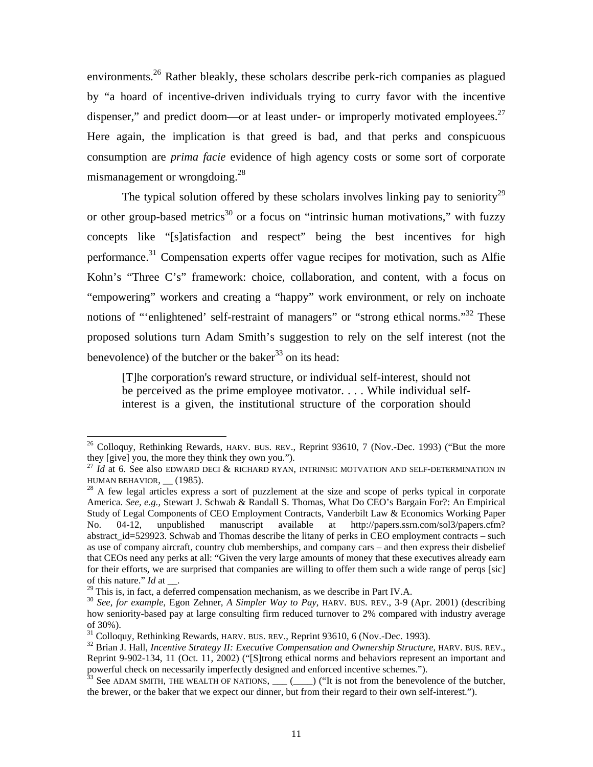environments.<sup>26</sup> Rather bleakly, these scholars describe perk-rich companies as plagued by "a hoard of incentive-driven individuals trying to curry favor with the incentive dispenser," and predict doom—or at least under- or improperly motivated employees.<sup>27</sup> Here again, the implication is that greed is bad, and that perks and conspicuous consumption are *prima facie* evidence of high agency costs or some sort of corporate mismanagement or wrongdoing.<sup>28</sup>

The typical solution offered by these scholars involves linking pay to seniority<sup>[29](#page-12-3)</sup> or other group-based metrics<sup>30</sup> or a focus on "intrinsic human motivations," with fuzzy concepts like "[s]atisfaction and respect" being the best incentives for high performance.[31](#page-12-5) Compensation experts offer vague recipes for motivation, such as Alfie Kohn's "Three C's" framework: choice, collaboration, and content, with a focus on "empowering" workers and creating a "happy" work environment, or rely on inchoate notions of "'enlightened' self-restraint of managers" or "strong ethical norms."<sup>32</sup> These proposed solutions turn Adam Smith's suggestion to rely on the self interest (not the benevolence) of the butcher or the baker<sup>[33](#page-12-7)</sup> on its head:

[T]he corporation's reward structure, or individual self-interest, should not be perceived as the prime employee motivator. . . . While individual selfinterest is a given, the institutional structure of the corporation should

<span id="page-12-0"></span><sup>&</sup>lt;sup>26</sup> Colloquy, Rethinking Rewards, HARV. BUS. REV., Reprint 93610, 7 (Nov.-Dec. 1993) ("But the more

<span id="page-12-1"></span>they [give] you, the more they think they own you.").<br><sup>27</sup> *Id* at 6. See also EDWARD DECI & RICHARD RYAN, INTRINSIC MOTVATION AND SELF-DETERMINATION IN<br>HUMAN BEHAVIOR, (1985).

<span id="page-12-2"></span> $^{28}$  A few legal articles express a sort of puzzlement at the size and scope of perks typical in corporate America. *See, e.g.,* Stewart J. Schwab & Randall S. Thomas, What Do CEO's Bargain For?: An Empirical Study of Legal Components of CEO Employment Contracts, Vanderbilt Law & Economics Working Paper No. 04-12, unpublished manuscript available at http://papers.ssrn.com/sol3/papers.cfm? abstract id=529923. Schwab and Thomas describe the litany of perks in CEO employment contracts – such as use of company aircraft, country club memberships, and company cars – and then express their disbelief that CEOs need any perks at all: "Given the very large amounts of money that these executives already earn for their efforts, we are surprised that companies are willing to offer them such a wide range of perqs [sic] of this nature."  $Id$  at  $\_\_$ .

<span id="page-12-4"></span><span id="page-12-3"></span>

<sup>&</sup>lt;sup>29</sup> This is, in fact, a deferred compensation mechanism, as we describe in Part IV.A.<br><sup>30</sup> See, for example, Egon Zehner, A Simpler Way to Pay, HARV. BUS. REV., 3-9 (Apr. 2001) (describing how seniority-based pay at large consulting firm reduced turnover to 2% compared with industry average of 30%).<br><sup>31</sup> Colloguy, Rethinking Rewards, HARV. BUS. REV., Reprint 93610, 6 (Nov.-Dec. 1993).

<span id="page-12-6"></span><span id="page-12-5"></span>

<sup>&</sup>lt;sup>31</sup> Colloquy, Rethinking Rewards, HARV. BUS. REV., Reprint 93610, 6 (Nov.-Dec. 1993).<br><sup>32</sup> Brian J. Hall, *Incentive Strategy II: Executive Compensation and Ownership Structure*, HARV. BUS. REV., signed and enforced incentive schemes."). powerful check on necessarily imperfectly designed and enforced incentive schemes.").<br><sup>33</sup> See ADAM SMITH, THE WEALTH OF NATIONS, \_\_\_(\_\_\_) ("It is not from the benevolence of the butcher, Reprint 9-902-134, 11 (Oct. 11, 2002) ("[S]trong ethical norms and behaviors represent an important and

<span id="page-12-7"></span>the brewer, or the baker that we expect our dinner, but from their regard to their own self-interest.").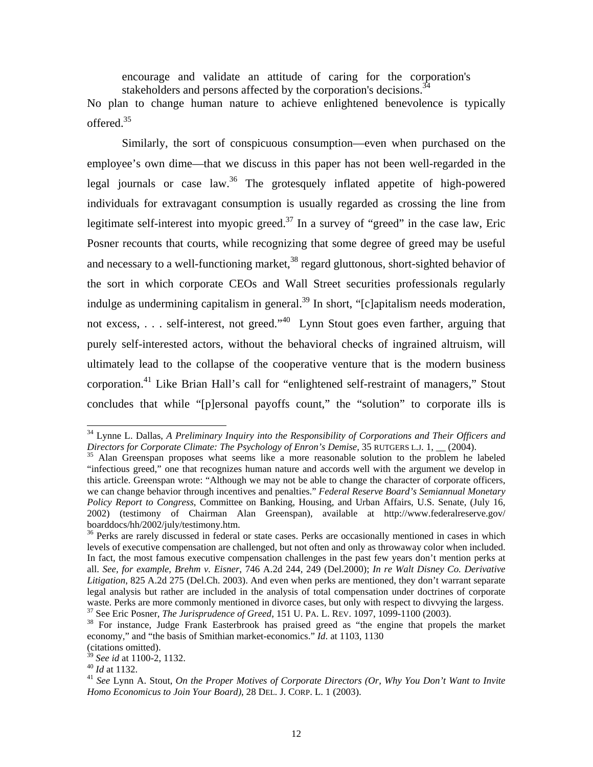encourage and validate an attitude of caring for the corporation's stakeholders and persons affected by the corporation's decisions.<sup>[34](#page-13-0)</sup> No plan to change human nature to achieve enlightened benevolence is typically offered.[35](#page-13-1) 

Similarly, the sort of conspicuous consumption—even when purchased on the employee's own dime—that we discuss in this paper has not been well-regarded in the legal journals or case law.<sup>36</sup> The grotesquely inflated appetite of high-powered individ uals for extravagant consumption is usually regarded as crossing the line from legitimate self-interest into myopic greed.<sup>37</sup> In a survey of "greed" in the case law, Eric ultimately lead to the collapse of the cooperative venture that is the modern business corporation.<sup>41</sup> Like Brian Hall's call for "enlightened self-restraint of managers," Stout concludes that while "[p]ersonal payoffs count," the "solution" to corporate ills is Posner recounts that courts, while recognizing that some degree of greed may be useful and necessary to a well-functioning market,<sup>38</sup> regard gluttonous, short-sighted behavior of the sort in which corporate CEOs and Wall Street securities professionals regularly indulge as undermining capitalism in general.<sup>39</sup> In short, " $[c]$ apitalism needs moderation, not excess, ... self-interest, not greed."<sup>40</sup> Lynn Stout goes even farther, arguing that purely self-interested actors, without the behavioral checks of ingrained altruism, will

 $\overline{a}$ 

<span id="page-13-0"></span><sup>&</sup>lt;sup>34</sup> Lynne L. Dallas, *A Preliminary Inquiry into the Responsibility of Corporations and Their Officers and* 

<span id="page-13-1"></span>*Directors for Corporate Climate: The Psychology of Enron's Demise*, 35 RUTGERS L.J. 1, \_\_ (2004).<br><sup>35</sup> Alan Greenspan proposes what seems like a more reasonable solution to the problem he labeled this article. Greenspan wrote: "Although we may not be able to change the character of corporate officers, "infectious greed," one that recognizes human nature and accords well with the argument we develop in we can change behavior through incentives and penalties." *Federal Reserve Board's Semiannual Monetary Policy Report to Congress*, Committee on Banking, Housing, and Urban Affairs, U.S. Senate, (July 16, 2002) (testimony of Chairman Alan Greenspan), available at http://www.federalreserve.gov/ boarddocs/hh/2002/july/testimony.htm.<br><sup>36</sup> Perks are rarely discussed in federal or state cases. Perks are occasionally mentioned in cases in which

<span id="page-13-2"></span>Litigation, 825 A.2d 275 (Del.Ch. 2003). And even when perks are mentioned, they don't warrant separate legal analysis but rather are included in the analysis of total compensation under doctrines of corporate waste. Perks are more commonly mentioned in divorce cases, but only with respect to divvying the largess.<br><sup>37</sup> See Eric Posner, *The Jurisprudence of Greed*, 151 U. PA. L. REV. 1097, 1099-1100 (2003).<br><sup>38</sup> For instance, Ju levels of executive compensation are challenged, but not often and only as throwaway color when included. In fact, the most famous executive compensation challenges in the past few years don't mention perks at all. *See, for example, Brehm v. Eisner*, 746 A.2d 244, 249 (Del.2000); *In re Walt Disney Co. Derivative* 

<span id="page-13-4"></span><span id="page-13-3"></span>economy," and "the basis of Smithian market-economics." *Id*. at 1103, 1130

<span id="page-13-7"></span><span id="page-13-6"></span>

<span id="page-13-5"></span><sup>&</sup>lt;sup>39</sup> *See id* at 1100-2, 1132.<br><sup>40</sup> *Id* at 1132.<br><sup>41</sup> *See* Lynn A. Stout, *On the Proper Motives of Corporate Directors (Or, Why You Don't Want to Invite Homo Economicus to Join Your Board)*, 28 DEL. J. CORP. L. 1 (2003).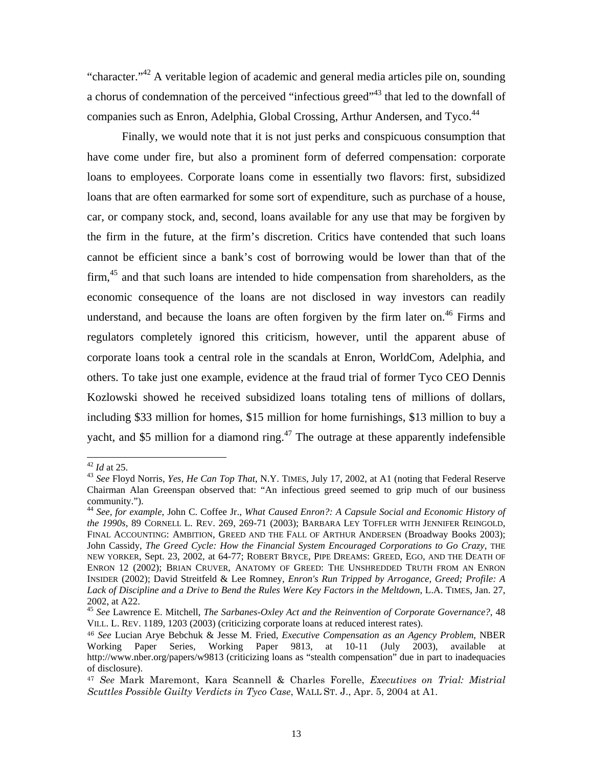"character."<sup>42</sup> A veritable legion of academic and general media articles pile on, sounding companies such as Enron, Adelphia, Global Crossing, Arthur Andersen, and Tyco.<sup>44</sup> a chorus of condemnation of the perceived "infectious greed"<sup>43</sup> that led to the downfall of

including \$33 million for homes, \$15 million for home furnishings, \$13 million to buy a Finally, we would note that it is not just perks and conspicuous consumption that have come under fire, but also a prominent form of deferred compensation: corporate loans to employees. Corporate loans come in essentially two flavors: first, subsidized loans that are often earmarked for some sort of expenditure, such as purchase of a house, car, or company stock, and, second, loans available for any use that may be forgiven by the firm in the future, at the firm's discretion. Critics have contended that such loans cannot be efficient since a bank's cost of borrowing would be lower than that of the firm,[45](#page-14-3) and that such loans are intended to hide compensation from shareholders, as the economic consequence of the loans are not disclosed in way investors can readily understand, and because the loans are often forgiven by the firm later on.<sup>46</sup> Firms and regulators completely ignored this criticism, however, until the apparent abuse of corporate loans took a central role in the scandals at Enron, WorldCom, Adelphia, and others. To take just one example, evidence at the fraud trial of former Tyco CEO Dennis Kozlowski showed he received subsidized loans totaling tens of millions of dollars, yacht, and \$5 million for a diamond ring.<sup>47</sup> The outrage at these apparently indefensible

<span id="page-14-1"></span><span id="page-14-0"></span>

<sup>&</sup>lt;sup>42</sup> *Id* at 25.<br><sup>43</sup> *See* Floyd Norris, *Yes, He Can Top That*, N.Y. TIMES, July 17, 2002, at A1 (noting that Federal Reserve Chairman Alan Greenspan observed that: "An infectious greed seemed to grip much of our business community."). 44 *See, for example*, John C. Coffee Jr., *What Caused Enron?: A Capsule Social and Economic History of*

<span id="page-14-2"></span>*the 1990s*, 89 CORNELL L. REV. 269, 269-71 (2003); BARBARA LEY TOFFLER WITH JENNIFER REINGOLD, 2002, at A22.<br><sup>45</sup> *See* Lawrence E. Mitchell, *The Sarbanes-Oxley Act and the Reinvention of Corporate Governance?*, 48 FINAL ACCOUNTING: AMBITION, GREED AND THE FALL OF ARTHUR ANDERSEN (Broadway Books 2003); John Cassidy, *The Greed Cycle: How the Financial System Encouraged Corporations to Go Crazy*, THE NEW YORKER, Sept. 23, 2002, at 64-77; ROBERT BRYCE, PIPE DREAMS: GREED, EGO, AND THE DEATH OF ENRON 12 (2002); BRIAN CRUVER, ANATOMY OF GREED: THE UNSHREDDED TRUTH FROM AN ENRON INSIDER (2002); David Streitfeld & Lee Romney, *Enron's Run Tripped by Arrogance, Greed; Profile: A Lack of Discipline and a Drive to Bend the Rules Were Key Factors in the Meltdown*, L.A. TIMES, Jan. 27,

<span id="page-14-3"></span>VILL. L. REV. 1189, 1203 (2003) (criticizing corporate loans at reduced interest rates).

<span id="page-14-4"></span>*an Agency Problem*, NBER <sup>46</sup> *See* Lucian Arye Bebchuk & Jesse M. Fried, *Executive Compensation as* Working Paper Series, Working Paper 9813, at 10-11 (July 2003), available at http://www.nber.org/papers/w9813 (criticizing loans as "stealth compensation" due in part to inadequacies of disclosure).

<span id="page-14-5"></span>Scuttles Possible Guilty Verdicts in Tyco Case, WALL ST. J., Apr. 5, 2004 at A1. <sup>47</sup> *See* Mark Maremont, Kara Scannell & Charles Forelle, *Executives on Trial: Mistrial*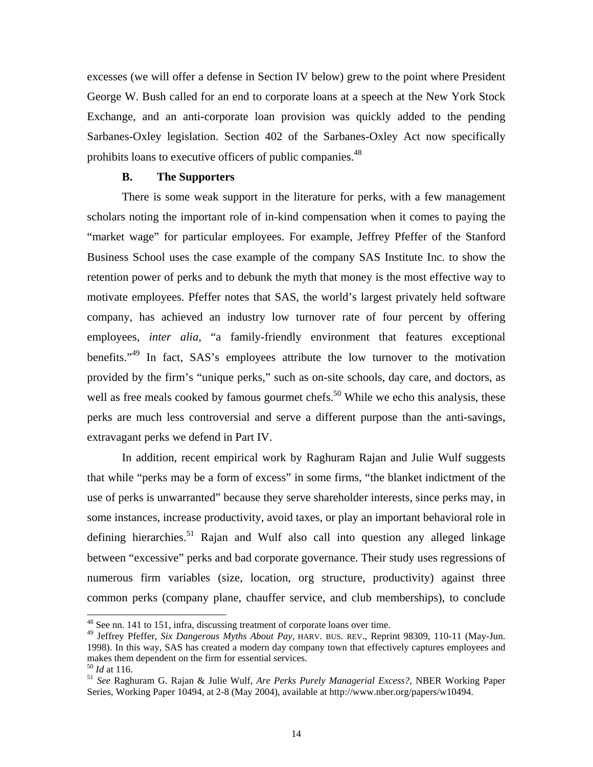excesses (we will offer a defense in Section IV below) grew to the point where President George W. Bush called for an end to corporate loans at a speech at the New York Stock Exchange, and an anti-corporate loan provision was quickly added to the pending Sarbanes-Oxley legislation. Section 402 of the Sarbanes-Oxley Act now specifically prohibits loans to executive officers of public companies.<sup>48</sup>

## **B. The Supporters**

There is some weak support in the literature for perks, with a few management scholars noting the important role of in-kind compensation when it comes to paying the "market wage" for particular employees. For example, Jeffrey Pfeffer of the Stanford Business School uses the case example of the company SAS Institute Inc. to show the retention power of perks and to debunk the myth that money is the most effective way to motivate employees. Pfeffer notes that SAS, the world's largest privately held software company, has achieved an industry low turnover rate of four percent by offering employees, *inter alia*, "a family-friendly environment that features exceptional benefits."<sup>49</sup> In fact, SAS's employees attribute the low turnover to the motivation provided by the firm's "unique perks," such as on-site schools, day care, and doctors, as well as free meals cooked by famous gourmet chefs.<sup>50</sup> While we echo this analysis, these perks are much less controversial and serve a different purpose than the anti-savings, extravagant perks we defend in Part IV.

In addition, recent empirical work by Raghuram Rajan and Julie Wulf suggests that while "perks may be a form of excess" in some firms, "the blanket indictment of the use of perks is unwarranted" because they serve shareholder interests, since perks may, in some instances, increase productivity, avoid taxes, or play an important behavioral role in defining hierarchies.<sup>51</sup> Rajan and Wulf also call into question any alleged linkage between "excessive" perks and bad corporate governance. Their study uses regressions of numerous firm variables (size, location, org structure, productivity) against three common perks (company plane, chauffer service, and club memberships), to conclude

<span id="page-15-0"></span> <sup>48</sup> See nn. 141 to 151, infra, discussing treatment of corporate loans over time.

<span id="page-15-1"></span><sup>49</sup> Jeffrey Pfeffer, *Six Dangerous Myths About Pay*, HARV. BUS. REV., Reprint 98309, 110-11 (May-Jun. 1998). In this way, SAS has created a modern day company town that effectively captures employees and makes them dependent on the firm for essential services.<br><sup>50</sup> *Id* at 116.<br><sup>51</sup> *See* Raghuram G. Rajan & Julie Wulf, *Are Perks Purely Managerial Excess?*, NBER Working Paper

<span id="page-15-2"></span>

<span id="page-15-3"></span>Series, Working Paper 10494, at 2-8 (May 2004), available at http://www.nber.org/papers/w10494.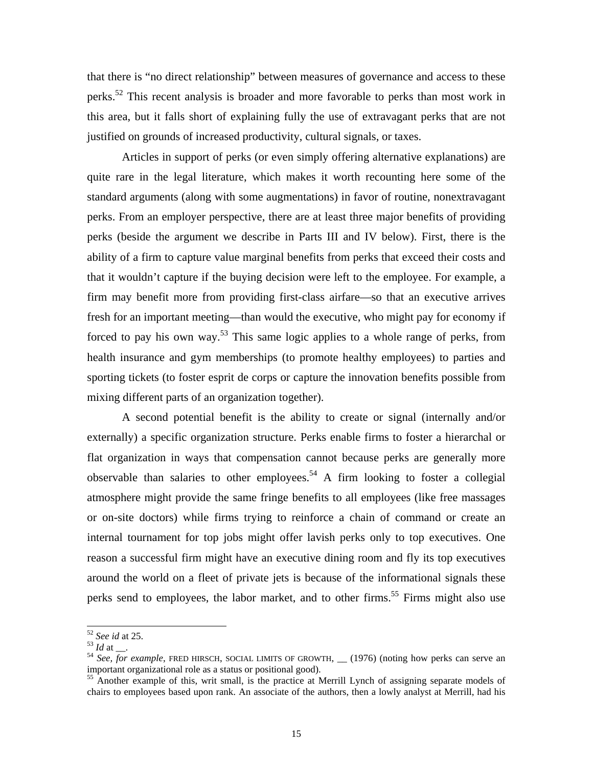<span id="page-16-3"></span>that there is "no direct relationship" between measures of governance and access to these perks.<sup>52</sup> This recent analysis is broader and more favorable to perks than most work in this area, but it falls short of explaining fully the use of extravagant perks that are not justified on grounds of increased productivity, cultural signals, or taxes.

Articles in support of perks (or even simply offering alternative explanations) are quite rare in the legal literature, which makes it worth recounting here some of the standard arguments (along with some augmentations) in favor of routine, nonextravagant perks. From an employer perspective, there are at least three major benefits of providing perks (beside the argument we describe in Parts III and IV below). First, there is the ability of a firm to capture value marginal benefits from perks that exceed their costs and that it wouldn't capture if the buying decision were left to the employee. For example, a firm may benefit more from providing first-class airfare—so that an executive arrives fresh for an important meeting—than would the executive, who might pay for economy if forced to pay his own way.<sup>53</sup> This same logic applies to a whole range of perks, from health insurance and gym memberships (to promote healthy employees) to parties and sporting tickets (to foster esprit de corps or capture the innovation benefits possible from mixing different parts of an organization together).

externally) a specific organization structure. Perks enable firms to foster a hierarchal or flat org anization in ways that compensation cannot because perks are generally more A second potential benefit is the ability to create or signal (internally and/or observable than salaries to other employees.<sup>54</sup> A firm looking to foster a collegial atmosphere might provide the same fringe benefits to all employees (like free massages or on-site doctors) while firms trying to reinforce a chain of command or create an internal tournament for top jobs might offer lavish perks only to top executives. One reason a successful firm might have an executive dining room and fly its top executives around the world on a fleet of private jets is because of the informational signals these perks send to employees, the labor market, and to other firms.<sup>55</sup> Firms might also use

<span id="page-16-0"></span>

<span id="page-16-2"></span><span id="page-16-1"></span>

<sup>&</sup>lt;sup>52</sup> *See id* at 25.<br><sup>53</sup> *Id* at \_\_.<br><sup>54</sup> *See, for example*, FRED HIRSCH, SOCIAL LIMITS OF GROWTH, \_\_ (1976) (noting how perks can serve an important organizational role as a status or positional good).

chairs to employees based upon rank. An associate of the authors, then a lowly analyst at Merrill, had his <sup>55</sup> Another example of this, writ small, is the practice at Merrill Lynch of assigning separate models of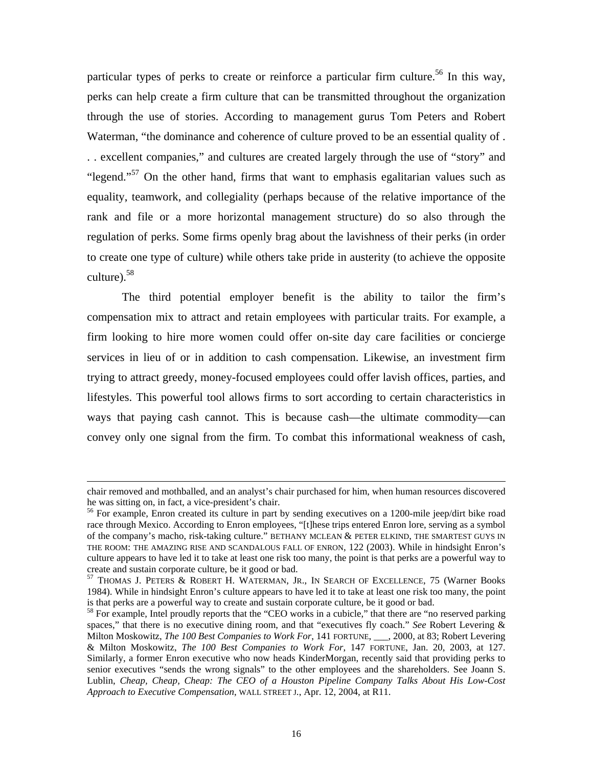particular types of perks to create or reinforce a particular firm culture.<sup>56</sup> In this way, perks can help create a firm culture that can be transmitted throughout the organization through the use of stories. According to management gurus Tom Peters and Robert Waterman, "the dominance and coherence of culture proved to be an essential quality of . . . exce llent companies," and cultures are created largely through the use of "story" and "legend."<sup>57</sup> On the other hand, firms that want to emphasis egalitarian values such as equality, teamwork, and collegiality (perhaps because of the relative importance of the rank and file or a more horizontal management structure) do so also through the regulation of perks. Some firms openly brag about the lavishness of their perks (in order to create one type of culture) while others take pride in austerity (to achieve the opposite culture).[58](#page-17-2)

lifestyles. This powerful tool allows firms to sort according to certain characteristics in ways t hat paying cash cannot. This is because cash—the ultimate commodity—can The third potential employer benefit is the ability to tailor the firm's compensation mix to attract and retain employees with particular traits. For example, a firm looking to hire more women could offer on-site day care facilities or concierge services in lieu of or in addition to cash compensation. Likewise, an investment firm trying to attract greedy, money-focused employees could offer lavish offices, parties, and convey only one signal from the firm. To combat this informational weakness of cash,

 $\overline{a}$ 

chair removed and mothballed, and an analyst's chair purchased for him, when human resources discovered he was sitting on, in fact, a vice-president's chair.<br><sup>56</sup> For example, Enron created its culture in part by sending executives on a 1200-mile jeep/dirt bike road

<span id="page-17-0"></span>race through Mexico. According to Enron employees, "[t]hese trips entered Enron lore, serving as a symbol of the company's macho, risk-taking culture." BETHANY MCLEAN & PETER ELKIND, THE SMARTEST GUYS IN THE ROOM: THE AMAZING RISE AND SCANDALOUS FALL OF ENRON, 122 (2003). While in hindsight Enron's culture appears to have led it to take at least one risk too many, the point is that perks are a powerful way to create and sustain corporate culture, be it good or bad.<br><sup>57</sup> THOMAS J. PETERS & ROBERT H. WATERMAN, JR., IN SEARCH OF EXCELLENCE, 75 (Warner Books

<span id="page-17-1"></span><sup>1984).</sup> While in hindsight Enron's culture appears to have led it to take at least one risk too many, the point

<span id="page-17-2"></span><sup>&</sup>lt;sup>58</sup> For example, Intel proudly reports that the "CEO works in a cubicle," that there are "no reserved parking spaces," that there is no executive dining room, and that "executives fly coach." *See* Robert Levering & Milton Moskowitz, *The 100 Best Companies to Work For*, 141 FORTUNE, <sub>\_\_\_</sub>, 2000, at 83; Robert Levering & Milton Moskowitz, The 100 Best Companies to Work For, 147 FORTUNE, Jan. 20, 2003, at 127. senior executives "sends the wrong signals" to the other employees and the shareholders. See Joann S. Similarly, a former Enron executive who now heads KinderMorgan, recently said that providing perks to Lublin, *Cheap, Cheap, Cheap: The CEO of a Houston Pipeline Company Talks About His Low-Cost Approach to Executive Compensation*, WALL STREET J., Apr. 12, 2004, at R11.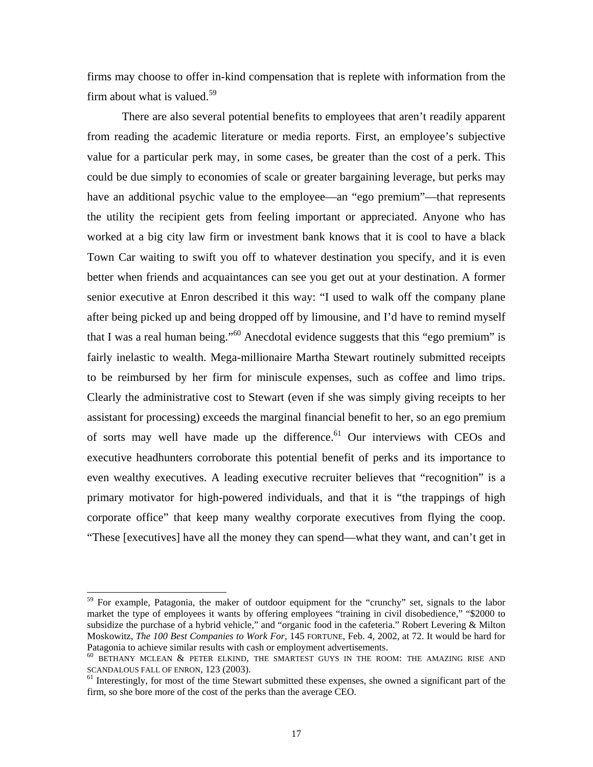firms may choose to offer in-kind compensation that is replete with information from the firm about what is valued.<sup>[59](#page-18-0)</sup>

There are also several potential benefits to employees that aren't readily apparent from reading the academic literature or media reports. First, an employee's subjective value for a particular perk may, in some cases, be greater than the cost of a perk. This could be due simply to economies of scale or greater bargaining leverage, but perks may have an additional psychic value to the employee—an "ego premium"—that represents the utility the recipient gets from feeling important or appreciated. Anyone who has worked at a big city law firm or investment bank knows that it is cool to have a black Town Car waiting to swift you off to whatever destination you specify, and it is even better when friends and acquaintances can see you get out at your destination. A former senior executive at Enron described it this way: "I used to walk off the company plane executive headhunters corroborate this potential benefit of perks and its importance to even wealthy executives. A leading executive recruiter believes that "recognition" is a after being picked up and being dropped off by limousine, and I'd have to remind myself that I was a real human being."<sup>60</sup> Anecdotal evidence suggests that this "ego premium" is fairly inelastic to wealth. Mega-millionaire Martha Stewart routinely submitted receipts to be reimbursed by her firm for miniscule expenses, such as coffee and limo trips. Clearly the administrative cost to Stewart (even if she was simply giving receipts to her assistant for processing) exceeds the marginal financial benefit to her, so an ego premium of sorts may well have made up the difference. $61$  Our interviews with CEOs and primary motivator for high-powered individuals, and that it is "the trappings of high corporate office" that keep many wealthy corporate executives from flying the coop. "These [executives] have all the money they can spend—what they want, and can't get in

<span id="page-18-0"></span><sup>&</sup>lt;sup>59</sup> For example, Patagonia, the maker of outdoor equipment for the "crunchy" set, signals to the labor market the type of employees it wants by offering employees "training in civil disobedience," "\$2000 to subsidize the purchase of a hybrid vehicle," and "organic food in the cafeteria." Robert Levering & Milton Moskowitz, *The 100 Best Companies to Work For*, 145 FORTUNE, Feb. 4, 2002, at 72. It would be hard for

<span id="page-18-1"></span>Patagonia to achieve similar results with cash or employment advertisements.<br><sup>60</sup> BETHANY MCLEAN & PETER ELKIND, THE SMARTEST GUYS IN THE ROOM: THE AMAZING RISE AND SCANDALOUS FALL OF ENRON, 123 (2003).

<span id="page-18-2"></span> $<sup>61</sup>$  Interestingly, for most of the time Stewart submitted these expenses, she owned a significant part of the</sup> firm, so she bore more of the cost of the perks than the average CEO.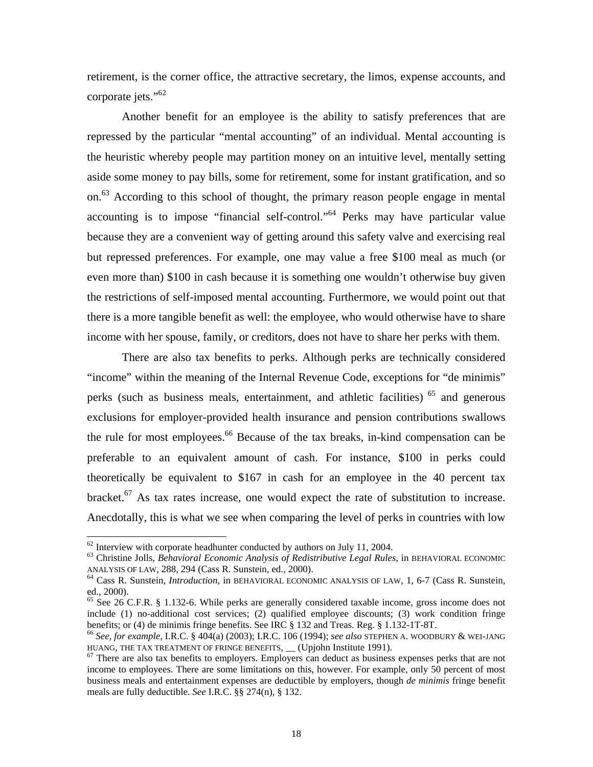retirement, is the corner office, the attractive secretary, the limos, expense accounts, and corporate jets."<sup>62</sup>

Another benefit for an employee is the ability to satisfy preferences that are repressed by the particular "mental accounting" of an individual. Mental accounting is the heuristic whereby people may partition money on an intuitive level, mentally setting aside some money to pay bills, some for retirement, some for instant gratification, and so on[.63](#page-19-1) According to this school of thought, the primary reason people engage in mental accounting is to impose "financial self-control."[64](#page-19-2) Perks may have particular value because they are a convenient way of getting around this safety valve and exercising real but repressed preferences. For example, one may value a free \$100 meal as much (or even more than) \$100 in cash because it is something one wouldn't otherwise buy given the restrictions of self-imposed mental accounting. Furthermore, we would point out that there is a more tangible benefit as well: the employee, who would otherwise have to share income with her spouse, family, or creditors, does not have to share her perks with them.

There are also tax benefits to perks. Although perks are technically considered "income" within the meaning of the Internal Revenue Code, exceptions for "de minimis" perks (such as business meals, entertainment, and athletic facilities)<sup>65</sup> and generous exclusions for employer-provided health insurance and pension contributions swallows the rule for most employees. $66$  Because of the tax breaks, in-kind compensation can be preferable to an equivalent amount of cash. For instance, \$100 in perks could theoretically be equivalent to \$167 in cash for an employee in the 40 percent tax bracket[.67](#page-19-5) As tax rates increase, one would expect the rate of substitution to increase. Anecdotally, this is what we see when comparing the level of perks in countries with low

<span id="page-19-1"></span><span id="page-19-0"></span>

<sup>&</sup>lt;sup>62</sup> Interview with corporate headhunter conducted by authors on July 11, 2004.<br><sup>63</sup> Christine Jolls, *Behavioral Economic Analysis of Redistributive Legal Rules*, in BEHAVIORAL ECONOMIC ANALYSIS OF LAW, 288, 294 (Cass R.

<span id="page-19-2"></span><sup>&</sup>lt;sup>64</sup> Cass R. Sunstein, *Introduction*, in BEHAVIORAL ECONOMIC ANALYSIS OF LAW, 1, 6-7 (Cass R. Sunstein, ed., 2000).

<span id="page-19-3"></span> $65$  See 26 C.F.R. § 1.132-6. While perks are generally considered taxable income, gross income does not include (1) no-additional cost services; (2) qualified employee discounts; (3) work condition fringe benefits; or (4) de minimis fringe benefits. See IRC  $\S$  132 and Treas. Reg.  $\S$  1.132-1T-8T.

<span id="page-19-4"></span><sup>&</sup>lt;sup>66</sup> See, for example, I.R.C. § 404(a) (2003); I.R.C. 106 (1994); see also STEPHEN A. WOODBURY & WEI-JANG HUANG, THE TAX TREATMENT OF FRINGE BENEFITS,  $\_\_$  (Upjohn Institute 1991).<br><sup>67</sup> There are also tax benefits to employers. Employers can deduct as business expenses perks that are not

<span id="page-19-5"></span>income to employees. There are some limitations on this, however. For example, only 50 percent of most business meals and entertainment expenses are deductible by employers, though *de minimis* fringe benefit meals are fully deductible. *See* I.R.C. §§ 274(n), § 132.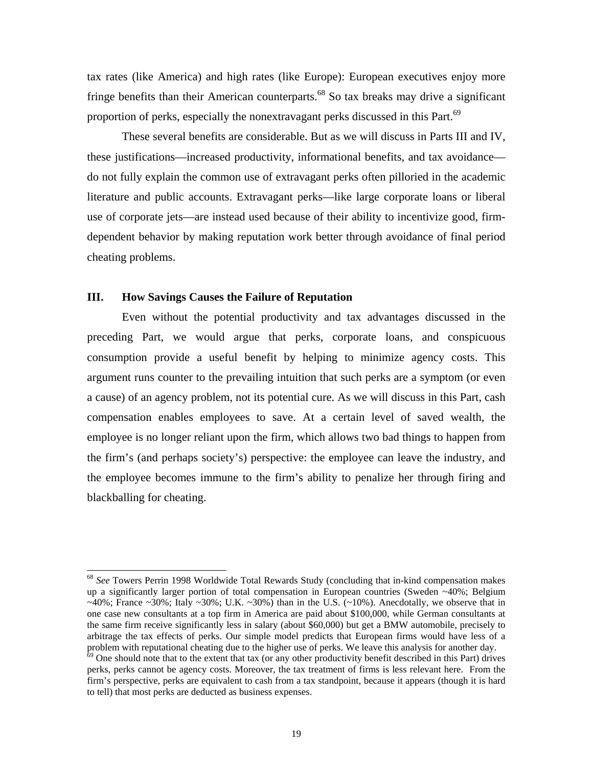tax rates (like America) and high rates (like Europe): European executives enjoy more fringe benefits than their American counterparts.<sup>68</sup> So tax breaks may drive a significant proportion of perks, especially the nonextravagant perks discussed in this Part.<sup>[69](#page-20-1)</sup>

These several benefits are considerable. But as we will discuss in Parts III and IV, these justifications—increased productivity, informational benefits, and tax avoidance do not fully explain the common use of extravagant perks often pilloried in the academic literature and public accounts. Extravagant perks—like large corporate loans or liberal use of corporate jets—are instead used because of their ability to incentivize good, firmdependent behavior by making reputation work better through avoidance of final period cheating problems.

## **III. How Savings Causes the Failure of Reputation**

consum ption provide a useful benefit by helping to minimize agency costs. This Even without the potential productivity and tax advantages discussed in the preceding Part, we would argue that perks, corporate loans, and conspicuous argument runs counter to the prevailing intuition that such perks are a symptom (or even a cause) of an agency problem, not its potential cure. As we will discuss in this Part, cash compensation enables employees to save. At a certain level of saved wealth, the employee is no longer reliant upon the firm, which allows two bad things to happen from the firm's (and perhaps society's) perspective: the employee can leave the industry, and the employee becomes immune to the firm's ability to penalize her through firing and blackballing for cheating.

<span id="page-20-0"></span> <sup>68</sup> *See* Towers Perrin 1998 Worldwide Total Rewards Study (concluding that in-kind compensation makes up a significantly larger portion of total compensation in European countries (Sweden ~40%; Belgium the same firm receive significantly less in salary (about \$60,000) but get a BMW automobile, precisely to problem with reputational cheating due to the higher use of perks. We leave this analysis for another day.<br><sup>69</sup> One should note that to the extent that tax (or any other productivity benefit described in this Part) drives  $\sim$ 40%; France  $\sim$ 30%; Italy  $\sim$ 30%; U.K.  $\sim$ 30%) than in the U.S. ( $\sim$ 10%). Anecdotally, we observe that in one case new consultants at a top firm in America are paid about \$100,000, while German consultants at arbitrage the tax effects of perks. Our simple model predicts that European firms would have less of a

<span id="page-20-1"></span><sup>.</sup> to tell) that most perks are deducted as business expenses perks, perks cannot be agency costs. Moreover, the tax treatment of firms is less relevant here. From the firm's perspective, perks are equivalent to cash from a tax standpoint, because it appears (though it is hard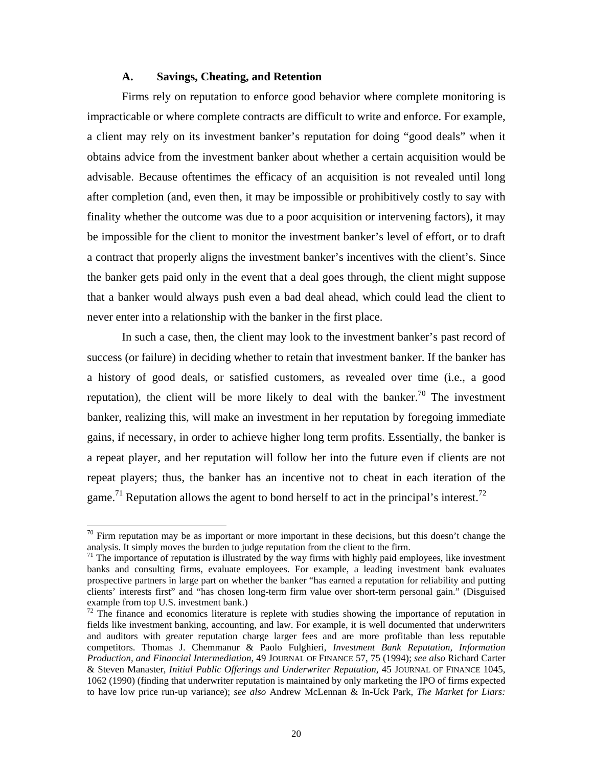## **A. Savings, Cheating, and Retention**

<span id="page-21-2"></span>Firms rely on reputation to enforce good behavior where complete monitoring is impracticable or where complete contracts are difficult to write and enforce. For example, a contract that properly aligns the investment banker's incentives with the client's. Since the banker gets paid only in the event that a deal goes through, the client might suppose that a banker would always push even a bad deal ahead, which could lead the client to a client may rely on its investment banker's reputation for doing "good deals" when it obtains advice from the investment banker about whether a certain acquisition would be advisable. Because oftentimes the efficacy of an acquisition is not revealed until long after completion (and, even then, it may be impossible or prohibitively costly to say with finality whether the outcome was due to a poor acquisition or intervening factors), it may be impossible for the client to monitor the investment banker's level of effort, or to draft never enter into a relationship with the banker in the first place.

game.<sup>[71](#page-21-1)</sup> Reputation allows the agent to bond herself to act in the principal's interest.<sup>72</sup> In such a case, then, the client may look to the investment banker's past record of success (or failure) in deciding whether to retain that investment banker. If the banker has a history of good deals, or satisfied customers, as revealed over time (i.e., a good reputation), the client will be more likely to deal with the banker.<sup>70</sup> The investment banker, realizing this, will make an investment in her reputation by foregoing immediate gains, if necessary, in order to achieve higher long term profits. Essentially, the banker is a repeat player, and her reputation will follow her into the future even if clients are not repeat players; thus, the banker has an incentive not to cheat in each iteration of the

l

<span id="page-21-0"></span> $\frac{70}{10}$  Firm reputation may be as important or more important in these decisions, but this doesn't change the analysis. It simply moves the burden to judge reputation from the client to the firm.<br><sup>71</sup> The importance of reputation is illustrated by the way firms with highly paid employees, like investment

<span id="page-21-1"></span>banks and consulting firms, evaluate employees. For example, a leading investment bank evaluates prospective partners in large part on whether the banker "has earned a reputation for reliability and putting clients' interests first" and "has chosen long-term firm value over short-term personal gain." (Disguised example from top U.S. investment bank.)<br><sup>72</sup> The finance and economics literature is replete with studies showing the importance of reputation in

*n* competitors. Thomas J. Chemmanur & Paolo Fulghieri, *Investment Bank Reputation, Informatio* to have low price run-up variance); *see also* Andrew McLennan & In-Uck Park, *The Market for Liars:* fields like investment banking, accounting, and law. For example, it is well documented that underwriters and auditors with greater reputation charge larger fees and are more profitable than less reputable *Production, and Financial Intermediation*, 49 JOURNAL OF FINANCE 57, 75 (1994); *see also* Richard Carter & Steven Manaster, *Initial Public Offerings and Underwriter Reputation*, 45 JOURNAL OF FINANCE 1045, 1062 (1990) (finding that underwriter reputation is maintained by only marketing the IPO of firms expected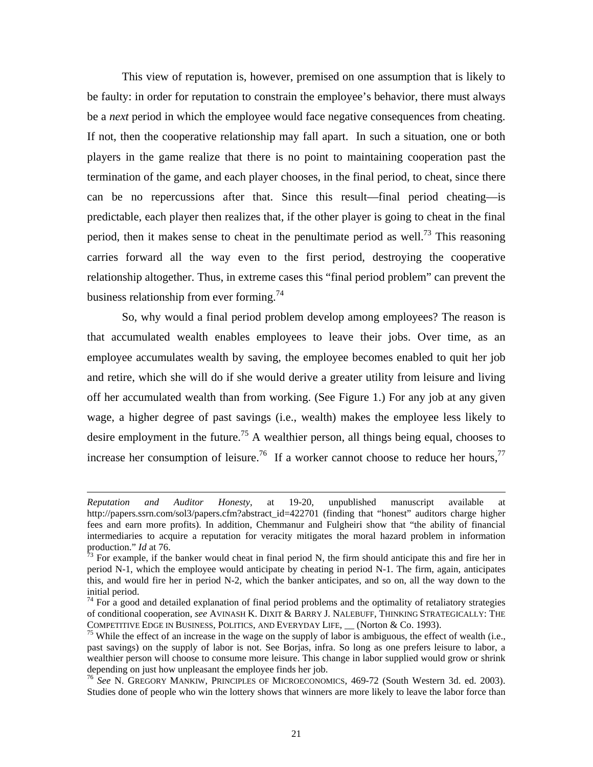<span id="page-22-3"></span>This view of reputation is, however, premised on one assumption that is likely to be faulty: in order for reputation to constrain the employee's behavior, there must always be a *next* period in which the employee would face negative consequences from cheating. If not, then the cooperative relationship may fall apart. In such a situation, one or both players in the game realize that there is no point to maintaining cooperation past the termination of the game, and each player chooses, in the final period, to cheat, since there can be no repercussions after that. Since this result—final period cheating—is predictable, each player then realizes that, if the other player is going to cheat in the final period, then it makes sense to cheat in the penultimate period as well.<sup>73</sup> This reasoning carries forward all the way even to the first period, destroying the cooperative relationship altogether. Thus, in extreme cases this "final period problem" can prevent the business relationship from ever forming.<sup>74</sup>

So, why would a final period problem develop among employees? The reason is that ac cumulated wealth enables employees to leave their jobs. Over time, as an employee accumulates wealth by saving, the employee becomes enabled to quit her job and retire, which she will do if she would derive a greater utility from leisure and living off her accumulated wealth than from working. (See Figure 1.) For any job at any given wage, a higher degree of past savings (i.e., wealth) makes the employee less likely to desire employment in the future.<sup>75</sup> A wealthier person, all things being equal, chooses to increase her consumption of leisure.<sup>76</sup> If a worker cannot choose to reduce her hours,<sup>77</sup>

 $\overline{a}$ 

<span id="page-22-4"></span>*Reputation and Auditor Honesty*, at 19-20, unpublished manuscript available at http://papers.ssrn.com/sol3/papers.cfm?abstract\_id=422701 (finding that "honest" auditors charge higher fees and earn more profits). In addition, Chemmanur and Fulgheiri show that "the ability of financial intermediaries to acquire a reputation for veracity mitigates the moral hazard problem in information

<span id="page-22-0"></span>production." *Id* at 76. The banker would cheat in final period N, the firm should anticipate this and fire her in  $^{73}$  For example, if the banker would cheat in final period N, the firm should anticipate this and fire h period N-1, which the employee would anticipate by cheating in period N-1. The firm, again, anticipates this, and would fire her in period N-2, which the banker anticipates, and so on, all the way down to the

<span id="page-22-1"></span>initial period.<br><sup>74</sup> For a good and detailed explanation of final period problems and the optimality of retaliatory strategies of conditional cooperation, *see* AVINASH K. DIXIT & BARRY J. NALEBUFF, THINKING STRATEGICALLY: THE COMPETITIVE EDGE IN BUSINESS, POLITICS, AND EVERYDAY LIFE, (Norton & Co. 1993).

<span id="page-22-2"></span> $^{75}$  While the effect of an increase in the wage on the supply of labor is ambiguous, the effect of wealth (i.e., past savings) on the supply of labor is not. See Borjas, infra. So long as one prefers leisure to labor, a wealthier person will choose to consume more leisure. This change in labor supplied would grow or shrink depending on just how unpleasant the employee finds her job.<br><sup>76</sup> *See* N. GREGORY MANKIW, PRINCIPLES OF MICROECONOMICS, 469-72 (South Western 3d. ed. 2003).

Studies done of people who win the lottery shows that winners are more likely to leave the labor force than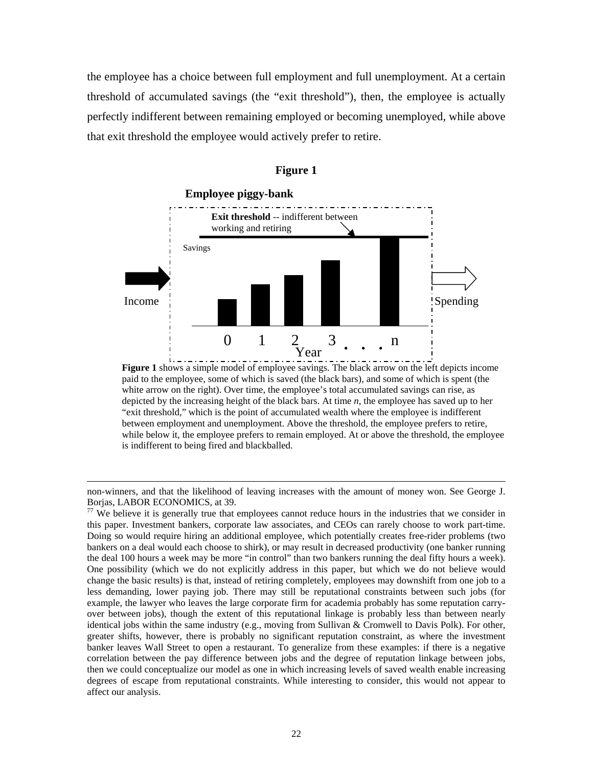the emp loyee has a choice between full employment and full unemployment. At a certain threshold of accumulated savings (the "exit threshold"), then, the employee is actually perfectly indifferent between remaining employed or becoming unemployed, while above that exit threshold the employee would actively prefer to retire.



#### **Figure 1**

**Figure 1** shows a simple model of employee savings. The black arrow on the left depicts income paid to the employee, some of which is saved (the black bars), and some of which is spent (the white arrow on the right). Over time, the employee's total accumulated savings can rise, as depicted by the increasing height of the black bars. At time *n*, the employee has saved up to her "exit threshold," which is the point of accumulated wealth where the employee is indifferent between employment and unemployment. Above the threshold, the employee prefers to retire, while below it, the employee prefers to remain employed. At or above the threshold, the employee is indifferent to being fired and blackballed.

 $\overline{a}$ 

non-winners, and that the likelihood of leaving increases with the amount of money won. See George J. Borjas, LABOR ECONOMICS, at 39.<br><sup>77</sup> We believe it is generally true that employees cannot reduce hours in the industries that we consider in

bankers on a deal would each choose to shirk), or may result in decreased productivity (one banker running less demanding, lower paying job. There may still be reputational constraints between such jobs (for identical jobs within the same industry (e.g., moving from Sullivan & Cromwell to Davis Polk). For other, then we could conceptualize our model as one in which increasing levels of saved wealth enable increasing this paper. Investment bankers, corporate law associates, and CEOs can rarely choose to work part-time. Doing so would require hiring an additional employee, which potentially creates free-rider problems (two the deal 100 hours a week may be more "in control" than two bankers running the deal fifty hours a week). One possibility (which we do not explicitly address in this paper, but which we do not believe would change the basic results) is that, instead of retiring completely, employees may downshift from one job to a example, the lawyer who leaves the large corporate firm for academia probably has some reputation carryover between jobs), though the extent of this reputational linkage is probably less than between nearly greater shifts, however, there is probably no significant reputation constraint, as where the investment banker leaves Wall Street to open a restaurant. To generalize from these examples: if there is a negative correlation between the pay difference between jobs and the degree of reputation linkage between jobs, degrees of escape from reputational constraints. While interesting to consider, this would not appear to affect our analysis.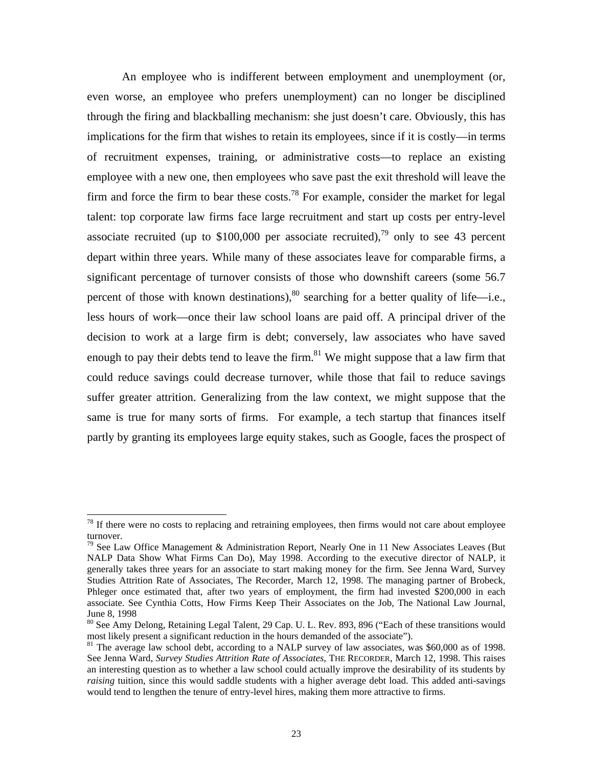An employee who is indifferent between employment and unemployment (or, even worse, an employee who prefers unemployment) can no longer be disciplined through the firing and blackballing mechanism: she just doesn't care. Obviously, this has implications for the firm that wishes to retain its employees, since if it is costly—in terms of recruitment expenses, training, or administrative costs—to replace an existing employee with a new one, then employees who save past the exit threshold will leave the firmand force the firm to bear these costs.<sup>78</sup> For example, consider the market for legal talent: top corporate law firms face large recruitment and start up costs per entry-level associate recruited (up to \$100,000 per associate recruited),<sup>79</sup> only to see 43 percent depart within three years. While many of these associates leave for comparable firms, a significant percentage of turnover consists of those who downshift careers (some 56.7 percent of those with known destinations),  $80$  searching for a better quality of life—i.e., less hours of work—once their law school loans are paid off. A principal driver of the decision to work at a large firm is debt; conversely, law associates who have saved enoughto pay their debts tend to leave the firm.<sup>81</sup> We might suppose that a law firm that could reduce savings could decrease turnover, while those that fail to reduce savings suffer greater attrition. Generalizing from the law context, we might suppose that the same is true for many sorts of firms. For example, a tech startup that finances itself partly b y granting its employees large equity stakes, such as Google, faces the prospect of

<span id="page-24-0"></span> $78$  If there were no costs to replacing and retraining employees, then firms would not care about employee turnover.<br><sup>79</sup> See Law Office Management & Administration Report, Nearly One in 11 New Associates Leaves (But

<span id="page-24-1"></span>NALP Data Show What Firms Can Do), May 1998. According to the executive director of NALP, it generally takes three years for an associate to start making money for the firm. See Jenna Ward, Survey Studies Attrition Rate of Associates, The Recorder, March 12, 1998. The managing partner of Brobeck, Phleger once estimated that, after two years of employment, the firm had invested \$200,000 in each associate. See Cynthia Cotts, How Firms Keep Their Associates on the Job, The National Law Journal, June 8, 1998

<span id="page-24-2"></span><sup>&</sup>lt;sup>80</sup> See Amy Delong, Retaining Legal Talent, 29 Cap. U. L. Rev. 893, 896 ("Each of these transitions would most likely present a significant reduction in the hours demanded of the associate").

<span id="page-24-3"></span> $81$  The average law school debt, according to a NALP survey of law associates, was \$60,000 as of 1998. See Jenna Ward, *Survey Studies Attrition Rate of Associates*, THE RECORDER, March 12, 1998. This raises an interesting question as to whether a law school could actually improve the desirability of its students by *raising* tuition, since this would saddle students with a higher average debt load. This added anti-savings would tend to lengthen the tenure of entry-level hires, making them more attractive to firms.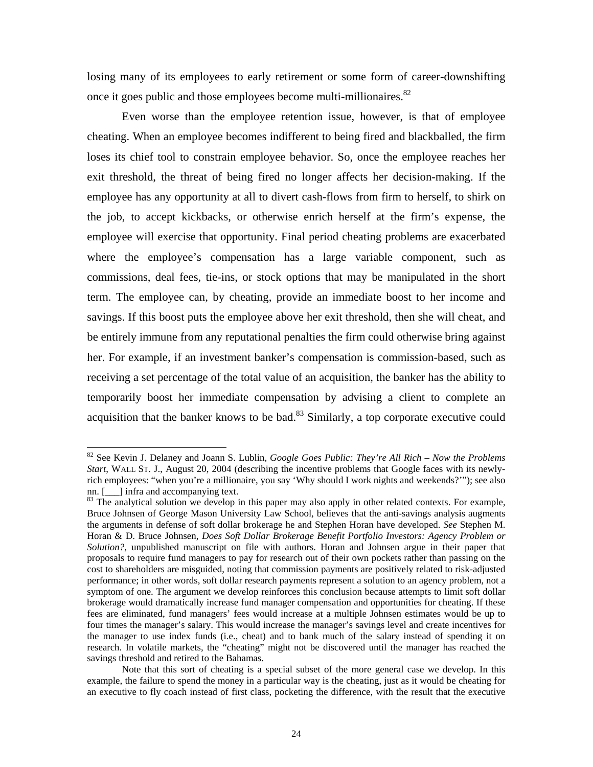<span id="page-25-1"></span>losing many of its employees to early retirement or some form of career-downshifting once it goes public and those employees become multi-millionaires.<sup>82</sup>

Even worse than the employee retention issue, however, is that of employee cheating. When an employee becomes indifferent to being fired and blackballed, the firm loses its chief tool to constrain employee behavior. So, once the employee reaches her exit threshold, the threat of being fired no longer affects her decision-making. If the employee has any opportunity at all to divert cash-flows from firm to herself, to shirk on the job, to accept kickbacks, or otherwise enrich herself at the firm's expense, the employee will exercise that opportunity. Final period cheating problems are exacerbated where the employee's compensation has a large variable component, such as commissions, deal fees, tie-ins, or stock options that may be manipulated in the short term. The employee can, by cheating, provide an immediate boost to her income and savings. If this boost puts the employee above her exit threshold, then she will cheat, and be entirely immune from any reputational penalties the firm could otherwise bring against her. For example, if an investment banker's compensation is commission-based, such as receiving a set percentage of the total value of an acquisition, the banker has the ability to temporarily boost her immediate compensation by advising a client to complete an acquisition that the banker knows to be bad.<sup>83</sup> Similarly, a top corporate executive could

<span id="page-25-0"></span> <sup>82</sup> See Kevin J. Delaney and Joann S. Lublin, *Google Goes Public: They're All Rich – Now the Problems Start*, WALL ST. J., August 20, 2004 (describing the incentive problems that Google faces with its newlyrich employees: "when you're a millionaire, you say 'Why should I work nights and weekends?'"); see also nn. [100] infra and accompanying text.<br><sup>83</sup> The analytical solution we develop in this paper may also apply in other related contexts. For example,

Bruce Johnsen of George Mason University Law School, believes that the anti-savings analysis augments . Bruce Johnsen, *Does Soft Dollar Brokerage Benefit Portfolio Investors: Agency Problem or* Horan & D fees are eliminated, fund managers' fees would increase at a multiple Johnsen estimates would be up to the manager to use index funds (i.e., cheat) and to bank much of the salary instead of spending it on the arguments in defense of soft dollar brokerage he and Stephen Horan have developed. *See* Stephen M. *Solution?*, unpublished manuscript on file with authors. Horan and Johnsen argue in their paper that proposals to require fund managers to pay for research out of their own pockets rather than passing on the cost to shareholders are misguided, noting that commission payments are positively related to risk-adjusted performance; in other words, soft dollar research payments represent a solution to an agency problem, not a symptom of one. The argument we develop reinforces this conclusion because attempts to limit soft dollar brokerage would dramatically increase fund manager compensation and opportunities for cheating. If these four times the manager's salary. This would increase the manager's savings level and create incentives for research. In volatile markets, the "cheating" might not be discovered until the manager has reached the savings threshold and retired to the Bahamas.

an executive to fly coach instead of first class, pocketing the difference, with the result that the executive Note that this sort of cheating is a special subset of the more general case we develop. In this example, the failure to spend the money in a particular way is the cheating, just as it would be cheating for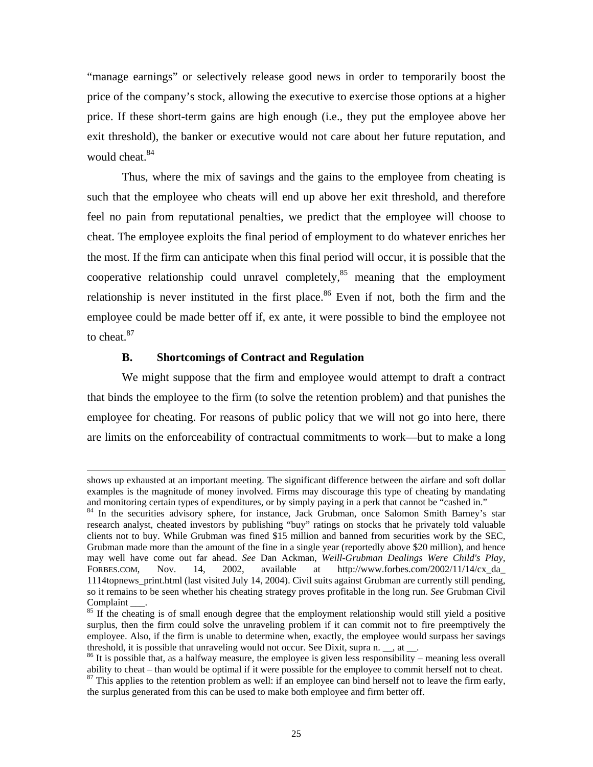"manage earnings" or selectively release good news in order to temporarily boost the price of the company's stock, allowing the executive to exercise those options at a higher price. I f these short-term gains are high enough (i.e., they put the employee above her exit threshold), the banker or executive would not care about her future reputation, and would cheat.<sup>84</sup>

Thus, where the mix of savings and the gains to the employee from cheating is such that the employee who cheats will end up above her exit threshold, and therefore feel no pain from reputational penalties, we predict that the employee will choose to cheat. The employee exploits the final period of employment to do whatever enriches her the most. If the firm can anticipate when this final period will occur, it is possible that the cooperative relationship could unravel completely, $85$  meaning that the employment relationship is never instituted in the first place.<sup>86</sup> Even if not, both the firm and the employee could be made better off if, ex ante, it were possible to bind the employee not to cheat. $87$ 

## **B. Shortcomings of Contract and Regulation**

 $\overline{a}$ 

are limits on the enforceability of contractual commitments to work—but to make a long We might suppose that the firm and employee would attempt to draft a contract that binds the employee to the firm (to solve the retention problem) and that punishes the employee for cheating. For reasons of public policy that we will not go into here, there

shows up exhausted at an important meeting. The significant difference between the airfare and soft dollar examples is the magnitude of money involved. Firms may discourage this type of cheating by mandating

<span id="page-26-0"></span>and monitoring certain types of expenditures, or by simply paying in a perk that cannot be "cashed in." <sup>84</sup> In the securities advisory sphere, for instance, Jack Grubman, once Salomon Smith Barney's star research analyst, cheated investors by publishing "buy" ratings on stocks that he privately told valuable clients not to buy. While Grubman was fined \$15 million and banned from securities work by the SEC, Grubman made more than the amount of the fine in a single year (reportedly above \$20 million), and hence may well have come out far ahead. *See* Dan Ackman, *Weill-Grubman Dealings Were Child's Play*, FORBES.COM, Nov. 14, 2002, available at http://www.forbes.com/2002/11/14/cx da 1114topnews\_print.html (last visited July 14, 2004). Civil suits against Grubman are currently still pending, so it remains to be seen whether his cheating strategy proves profitable in the long run. *See* Grubman Civil Complaint  $\frac{1}{s}$ .<br><sup>85</sup> If the cheating is of small enough degree that the employment relationship would still yield a positive

<span id="page-26-1"></span>threshold, it is possible that unraveling would not occur. See Dixit, supra n.  $\ldots$ , at  $\ldots$ .<br><sup>86</sup> It is possible that, as a halfway measure, the employee is given less responsibility – meaning less overall surplus, then the firm could solve the unraveling problem if it can commit not to fire preemptively the employee. Also, if the firm is unable to determine when, exactly, the employee would surpass her savings

<span id="page-26-3"></span><span id="page-26-2"></span>ability to cheat – than would be optimal if it were possible for the employee to commit herself not to cheat.  $\frac{87}{10}$  This applies to the retention problem as well: if an employee can bind herself not to leave the firm early, the surplus generated from this can be used to make both employee and firm better off.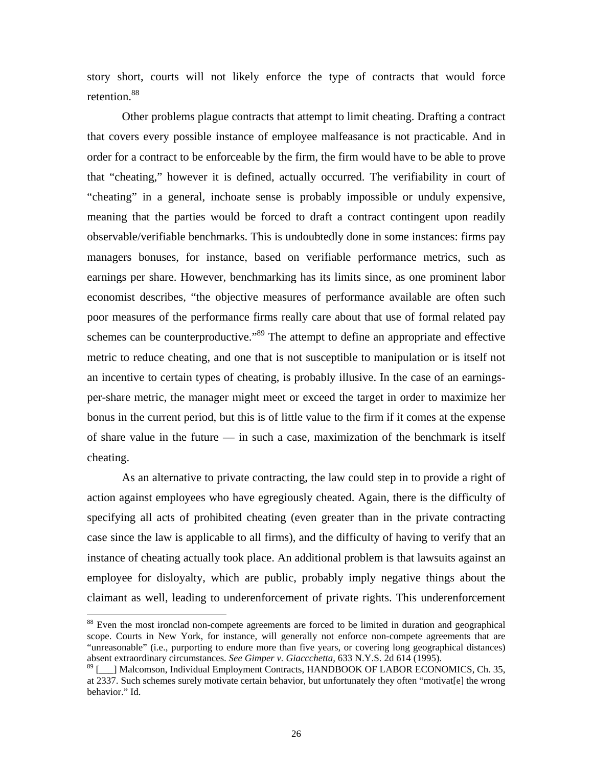story short, courts will not likely enforce the type of contracts that would force retention.<sup>88</sup>

Other problems plague contracts that attempt to limit cheating. Drafting a contract that covers every possible instance of employee malfeasance is not practicable. And in order for a contract to be enforceable by the firm, the firm would have to be able to prove schemes can be counterproductive."<sup>89</sup> The attempt to define an appropriate and effective metric to reduce cheating, and one that is not susceptible to manipulation or is itself not an ince ntive to certain types of cheating, is probably illusive. In the case of an earningscheating. that "cheating," however it is defined, actually occurred. The verifiability in court of "cheating" in a general, inchoate sense is probably impossible or unduly expensive, meaning that the parties would be forced to draft a contract contingent upon readily observable/verifiable benchmarks. This is undoubtedly done in some instances: firms pay managers bonuses, for instance, based on verifiable performance metrics, such as earnings per share. However, benchmarking has its limits since, as one prominent labor economist describes, "the objective measures of performance available are often such poor measures of the performance firms really care about that use of formal related pay per-share metric, the manager might meet or exceed the target in order to maximize her bonus in the current period, but this is of little value to the firm if it comes at the expense of share value in the future — in such a case, maximization of the benchmark is itself

As an alternative to private contracting, the law could step in to provide a right of action against employees who have egregiously cheated. Again, there is the difficulty of specifying all acts of prohibited cheating (even greater than in the private contracting case since the law is applicable to all firms), and the difficulty of having to verify that an instance of cheating actually took place. An additional problem is that lawsuits against an employee for disloyalty, which are public, probably imply negative things about the claimant as well, leading to underenforcement of private rights. This underenforcement

<span id="page-27-0"></span><sup>&</sup>lt;sup>88</sup> Even the most ironclad non-compete agreements are forced to be limited in duration and geographical scope. Courts in New York, for instance, will generally not enforce non-compete agreements that are "unreasonable" (i.e., purporting to endure more than five years, or covering long geographical distances) absent extraordinary circumstances. *See Gimper v. Giaccchetta*, 633 N.Y.S. 2d 614 (1995).

<span id="page-27-1"></span><sup>&</sup>lt;sup>89</sup> [\_\_] Malcomson, Individual Employment Contracts, HANDBOOK OF LABOR ECONOMICS, Ch. 35, at 2337. Such schemes surely motivate certain behavior, but unfortunately they often "motivat[e] the wrong behavior." Id.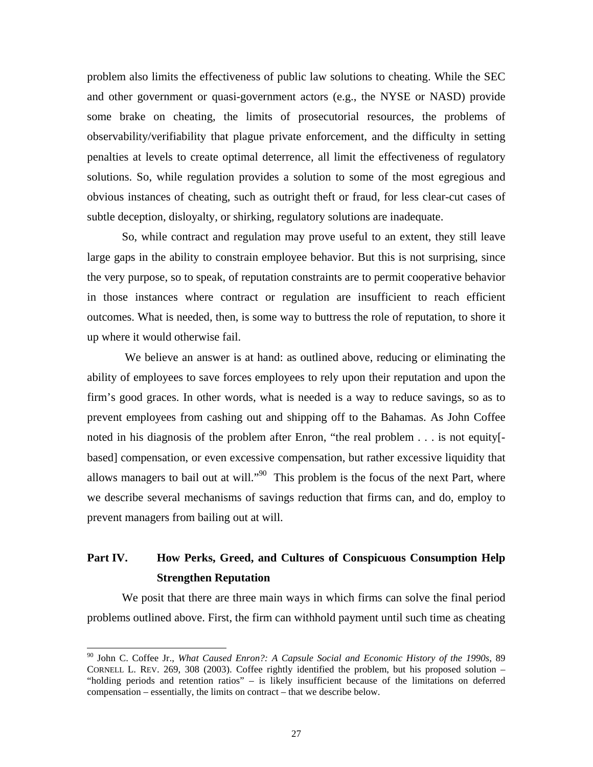problem also limits the effectiveness of public law solutions to cheating. While the SEC and other government or quasi-government actors (e.g., the NYSE or NASD) provide some brake on cheating, the limits of prosecutorial resources, the problems of observability/verifiability that plague private enforcement, and the difficulty in setting penalties at levels to create optimal deterrence, all limit the effectiveness of regulatory solutions. So, while regulation provides a solution to some of the most egregious and obvious instances of cheating, such as outright theft or fraud, for less clear-cut cases of subtle deception, disloyalty, or shirking, regulatory solutions are inadequate.

So, while contract and regulation may prove useful to an extent, they still leave large gaps in the ability to constrain employee behavior. But this is not surprising, since the very purpose, so to speak, of reputation constraints are to permit cooperative behavior in those instances where contract or regulation are insufficient to reach efficient outcomes. What is needed, then, is some way to buttress the role of reputation, to shore it up where it would otherwise fail.

based] compensation, or even excessive compensation, but rather excessive liquidity that allows managers to bail out at will."<sup>90</sup> This problem is the focus of the next Part, where We believe an answer is at hand: as outlined above, reducing or eliminating the ability of employees to save forces employees to rely upon their reputation and upon the firm's good graces. In other words, what is needed is a way to reduce savings, so as to prevent employees from cashing out and shipping off to the Bahamas. As John Coffee noted in his diagnosis of the problem after Enron, "the real problem . . . is not equity[ we describe several mechanisms of savings reduction that firms can, and do, employ to prevent managers from bailing out at will.

## **Part IV. How Perks, Greed, and Cultures of Conspicuous Consumption Help Strengthen Reputation**

We posit that there are three main ways in which firms can solve the final period problems outlined above. First, the firm can withhold payment until such time as cheating

<span id="page-28-0"></span> <sup>90</sup> John C. Coffee Jr., *What Caused Enron?: A Capsule Social and Economic History of the 1990s*, 89  $compensation – essentially, the limits on contract – that we describe below.$ CORNELL L. REV. 269, 308 (2003). Coffee rightly identified the problem, but his proposed solution – "holding periods and retention ratios" – is likely insufficient because of the limitations on deferred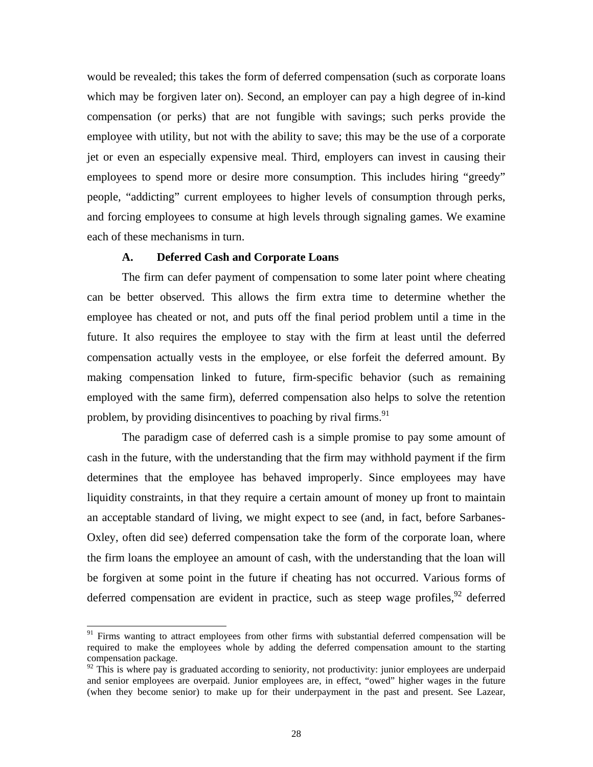<span id="page-29-1"></span>would be revealed; this takes the form of deferred compensation (such as corporate loans which may be forgiven later on). Second, an employer can pay a high degree of in-kind compensation (or perks) that are not fungible with savings; such perks provide the employee with utility, but not with the ability to save; this may be the use of a corporate jet or even an especially expensive meal. Third, employers can invest in causing their employees to spend more or desire more consumption. This includes hiring "greedy" people, "addicting" current employees to higher levels of consumption through perks, and forcing employees to consume at high levels through signaling games. We examine each of these mechanisms in turn.

## **A. Deferred Cash and Corporate Loans**

future. It also requires the employee to stay with the firm at least until the deferred compensation actually vests in the employee, or else forfeit the deferred amount. By The firm can defer payment of compensation to some later point where cheating can be better observed. This allows the firm extra time to determine whether the employee has cheated or not, and puts off the final period problem until a time in the making compensation linked to future, firm-specific behavior (such as remaining employed with the same firm), deferred compensation also helps to solve the retention problem, by providing disincentives to poaching by rival firms.  $91$ 

an acceptable standard of living, we might expect to see (and, in fact, before Sarbanes-Oxley, often did see) deferred compensation take the form of the corporate loan, where be forgiven at some point in the future if cheating has not occurred. Various forms of deferred compensation are evident in practice, such as steep wage profiles,  $92$  deferred The paradigm case of deferred cash is a simple promise to pay some amount of cash in the future, with the understanding that the firm may withhold payment if the firm determines that the employee has behaved improperly. Since employees may have liquidity constraints, in that they require a certain amount of money up front to maintain the firm loans the employee an amount of cash, with the understanding that the loan will

<span id="page-29-0"></span><sup>&</sup>lt;sup>91</sup> Firms wanting to attract employees from other firms with substantial deferred compensation will be required to make the employees whole by adding the deferred compensation amount to the starting compensation package.

<sup>(</sup>when they become senior) to make up for their underpayment in the past and present. See Lazear,  $\frac{92}{2}$  This is where pay is graduated according to seniority, not productivity: junior employees are underpaid and senior employees are overpaid. Junior employees are, in effect, "owed" higher wages in the future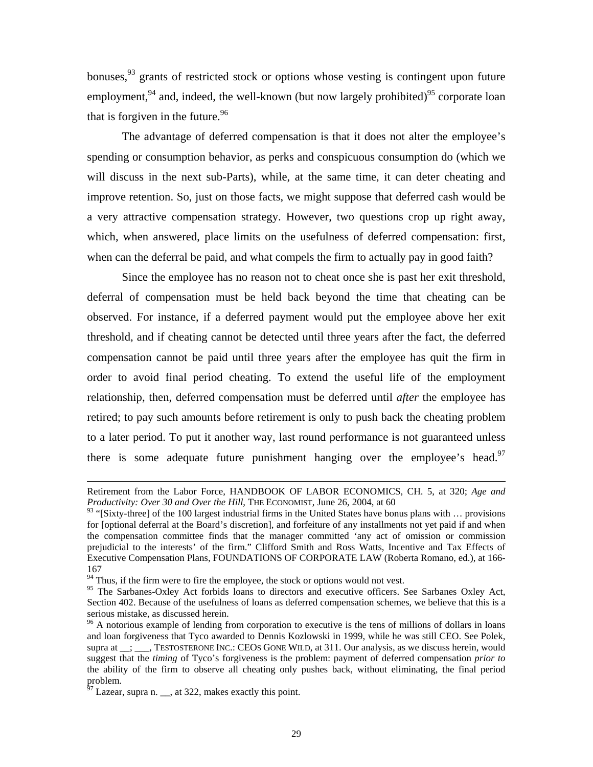bonuses,  $93$  grants of restricted stock or options whose vesting is contingent upon future employment, $94$  and, indeed, the well-known (but now largely prohibited) $95$  corporate loan that is forgiven in the future.  $96$ 

The advantage of deferred compensation is that it does not alter the employee's spending or consumption behavior, as perks and conspicuous consumption do (which we will discuss in the next sub-Parts), while, at the same time, it can deter cheating and improve retention. So, just on those facts, we might suppose that deferred cash would be a very attractive compensation strategy. However, two questions crop up right away, which, when answered, place limits on the usefulness of deferred compensation: first, when can the deferral be paid, and what compels the firm to actually pay in good faith?

retired; to pay such amounts before retirement is only to push back the cheating problem to a lat er period. To put it another way, last round performance is not guaranteed unless Since the employee has no reason not to cheat once she is past her exit threshold, deferral of compensation must be held back beyond the time that cheating can be observed. For instance, if a deferred payment would put the employee above her exit threshold, and if cheating cannot be detected until three years after the fact, the deferred compensation cannot be paid until three years after the employee has quit the firm in order to avoid final period cheating. To extend the useful life of the employment relationship, then, deferred compensation must be deferred until *after* the employee has there is some adequate future punishment hanging over the employee's head.<sup>97</sup>

 $\overline{a}$ 

Retirement from the Labor Force, HANDBOOK OF LABOR ECONOMICS, CH. 5, at 320; *Age and Productivity: Over 30 and Over the Hill*, THE ECONOMIST, June 26, 2004, at 60

<span id="page-30-0"></span><sup>&</sup>lt;sup>93</sup> "[Sixty-three] of the 100 largest industrial firms in the United States have bonus plans with ... provisions for [optional deferral at the Board's discretion], and forfeiture of any installments not yet paid if and when the compensation committee finds that the manager committed 'any act of omission or commission prejudicial to the interests' of the firm." Clifford Smith and Ross Watts, Incentive and Tax Effects of Executive Compensation Plans, FOUNDATIONS OF CORPORATE LAW (Roberta Romano, ed.), at 166-  $^{167}$  Thus, if the firm were to fire the employee, the stock or options would not vest.

<span id="page-30-1"></span>

<span id="page-30-2"></span><sup>&</sup>lt;sup>95</sup> The Sarbanes-Oxley Act forbids loans to directors and executive officers. See Sarbanes Oxley Act, Section 402. Because of the usefulness of loans as deferred compensation schemes, we believe that this is a serious mistake, as discussed herein.<br><sup>96</sup> A notorious example of lending from corporation to executive is the tens of millions of dollars in loans

<span id="page-30-3"></span>suggest that the *timing* of Tyco's forgiveness is the problem: payment of deferred compensation *prior to* and loan forgiveness that Tyco awarded to Dennis Kozlowski in 1999, while he was still CEO. See Polek, supra at \_\_; \_\_\_, TESTOSTERONE INC.: CEOS GONE WILD, at 311. Our analysis, as we discuss herein, would the ability of the firm to observe all cheating only pushes back, without eliminating, the final period problem.

<span id="page-30-4"></span>Lazear, supra n.  $\Box$ , at 322, makes exactly this point.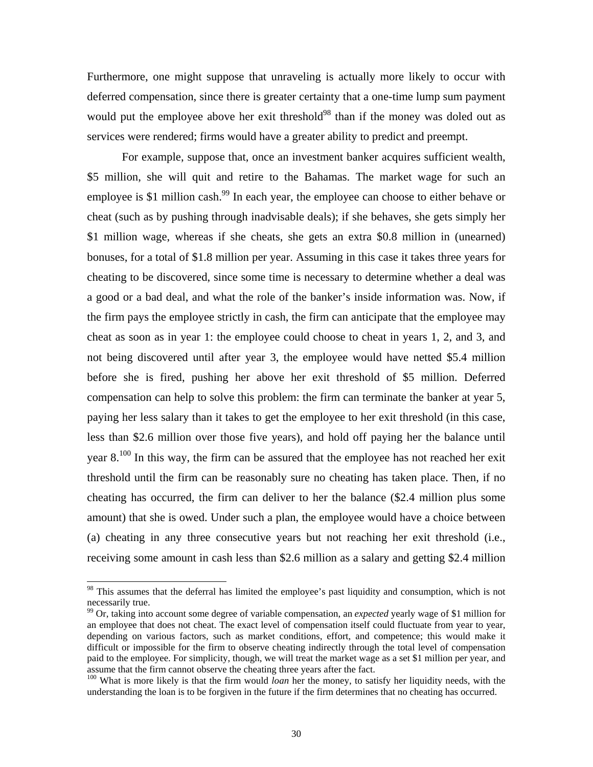Furthermore, one might suppose that unraveling is actually more likely to occur with deferred compensation, since there is greater certainty that a one-time lump sum payment would put the employee above her exit threshold<sup>98</sup> than if the money was doled out as service s were rendered; firms would have a greater ability to predict and preempt.

bonuses, for a total of \$1.8 million per year. Assuming in this case it takes three years for cheatin g to be discovered, since some time is necessary to determine whether a deal was threshold until the firm can be reasonably sure no cheating has taken place. Then, if no For example, suppose that, once an investment banker acquires sufficient wealth, \$5 million, she will quit and retire to the Bahamas. The market wage for such an employee is \$1 million cash.<sup>99</sup> In each year, the employee can choose to either behave or cheat (such as by pushing through inadvisable deals); if she behaves, she gets simply her \$1 million wage, whereas if she cheats, she gets an extra \$0.8 million in (unearned) a good or a bad deal, and what the role of the banker's inside information was. Now, if the firm pays the employee strictly in cash, the firm can anticipate that the employee may cheat as soon as in year 1: the employee could choose to cheat in years 1, 2, and 3, and not being discovered until after year 3, the employee would have netted \$5.4 million before she is fired, pushing her above her exit threshold of \$5 million. Deferred compensation can help to solve this problem: the firm can terminate the banker at year 5, paying her less salary than it takes to get the employee to her exit threshold (in this case, less than \$2.6 million over those five years), and hold off paying her the balance until year  $8^{100}$  In this way, the firm can be assured that the employee has not reached her exit cheating has occurred, the firm can deliver to her the balance (\$2.4 million plus some amount) that she is owed. Under such a plan, the employee would have a choice between (a) cheating in any three consecutive years but not reaching her exit threshold (i.e., receiving some amount in cash less than \$2.6 million as a salary and getting \$2.4 million

<span id="page-31-0"></span><sup>&</sup>lt;sup>98</sup> This assumes that the deferral has limited the employee's past liquidity and consumption, which is not necessarily true.<br><sup>99</sup> Or, taking into account some degree of variable compensation, an *expected* yearly wage of \$1 million for

<span id="page-31-1"></span>assume that the firm cannot observe the cheating three years after the fact.<br><sup>100</sup> What is more likely is that the firm would *loan* her the money, to satisfy her liquidity needs, with the an employee that does not cheat. The exact level of compensation itself could fluctuate from year to year, depending on various factors, such as market conditions, effort, and competence; this would make it difficult or impossible for the firm to observe cheating indirectly through the total level of compensation paid to the employee. For simplicity, though, we will treat the market wage as a set \$1 million per year, and assume that the firm cannot observe the cheating three years after the fact.

<span id="page-31-2"></span>understanding the loan is to be forgiven in the future if the firm determines that no cheating has occurred.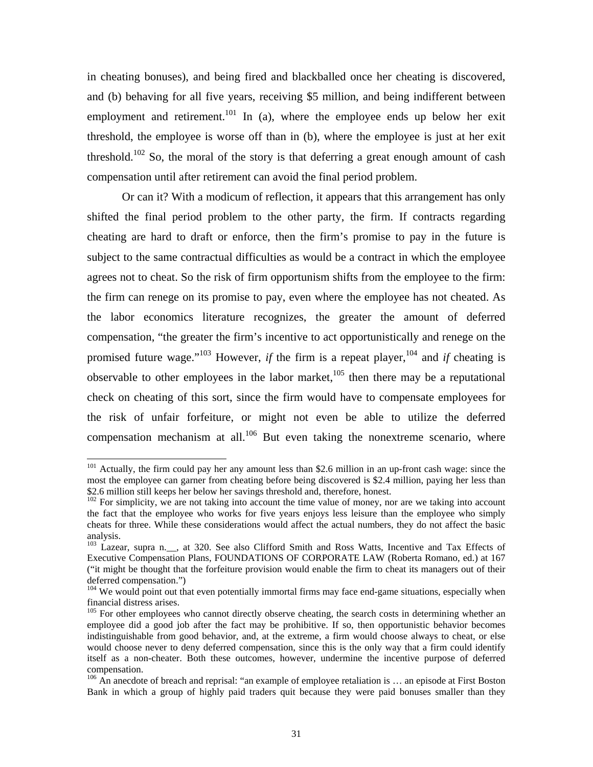<span id="page-32-5"></span>in cheating bonuses), and being fired and blackballed once her cheating is discovered, and (b) behaving for all five years, receiving \$5 million, and being indifferent between employment and retirement.<sup>101</sup> In (a), where the employee ends up below her exit threshold, the employee is worse off than in (b), where the employee is just at her exit threshold.<sup>102</sup> So, the moral of the story is that deferring a great enough amount of cash compensation until after retirement can avoid the final period problem.

Or can it? With a modicum of reflection, it appears that this arrangement has only shifted the final period problem to the other party, the firm. If contracts regarding cheating are hard to draft or enforce, then the firm's promise to pay in the future is subject to the same contractual difficulties as would be a contract in which the employee agrees not to cheat. So the risk of firm opportunism shifts from the employee to the firm: the firm can renege on its promise to pay, even where the employee has not cheated. As the labor economics literature recognizes, the greater the amount of deferred compensation, "the greater the firm's incentive to act opportunistically and renege on the promised future wage."<sup>103</sup> However, *if* the firm is a repeat player,<sup>104</sup> and *if* cheating is observable to other employees in the labor market, $105$  then there may be a reputational check on cheating of this sort, since the firm would have to compensate employees for the risk of unfair forfeiture, or might not even be able to utilize the deferred compensation mechanism at all. $106$  But even taking the nonextreme scenario, where

<span id="page-32-0"></span><sup>&</sup>lt;sup>101</sup> Actually, the firm could pay her any amount less than \$2.6 million in an up-front cash wage: since the most the employee can garner from cheating before being discovered is \$2.4 million, paying her less than \$2.6 million still keeps her below her savings threshold and, therefore, honest.

<span id="page-32-1"></span><sup>&</sup>lt;sup>102</sup> For simplicity, we are not taking into account the time value of money, nor are we taking into account the fact that the employee who works for five years enjoys less leisure than the employee who simply cheats for three. While these considerations would affect the actual numbers, they do not affect the basic analysis.

<span id="page-32-2"></span><sup>&</sup>lt;sup>103</sup> Lazear, supra n.<sub>,</sub> at 320. See also Clifford Smith and Ross Watts, Incentive and Tax Effects of Executive Compensation Plans, FOUNDATIONS OF CORPORATE LAW (Roberta Romano, ed.) at 167 ("it might be thought that the forfeiture provision would enable the firm to cheat its managers out of their deferred compensation.")

<span id="page-32-3"></span>financial distress arises.  $104$  We would point out that even potentially immortal firms may face end-game situations, especially when

<span id="page-32-4"></span><sup>&</sup>lt;sup>105</sup> For other employees who cannot directly observe cheating, the search costs in determining whether an employee did a good job after the fact may be prohibitive. If so, then opportunistic behavior becomes indistinguishable from good behavior, and, at the extreme, a firm would choose always to cheat, or else would choose never to deny deferred compensation, since this is the only way that a firm could identify itself as a non-cheater. Both these outcomes, however, undermine the incentive purpose of deferred compensation.<br><sup>106</sup> An anecdote of breach and reprisal: "an example of employee retaliation is ... an episode at First Boston

Bank in which a group of highly paid traders quit because they were paid bonuses smaller than they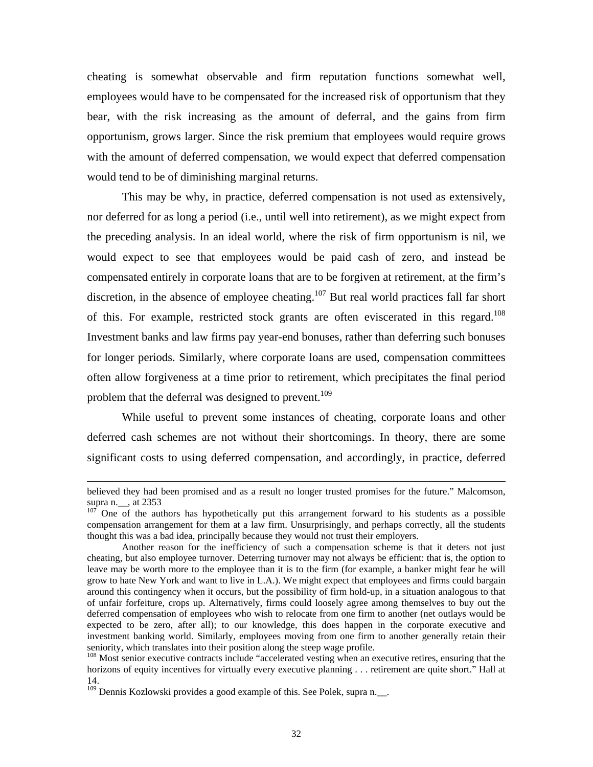cheating is somewhat observable and firm reputation functions somewhat well, employees would have to be compensated for the increased risk of opportunism that they bear, with the risk increasing as the amount of deferral, and the gains from firm opportunism, grows larger. Since the risk premium that employees would require grows with the amount of deferred compensation, we would expect that deferred compensation would tend to be of diminishing marginal returns.

This may be why, in practice, deferred compensation is not used as extensively, nor deferred for as long a period (i.e., until well into retirement), as we might expect from the preceding analysis. In an ideal world, where the risk of firm opportunism is nil, we would expect to see that employees would be paid cash of zero, and instead be compensated entirely in corporate loans that are to be forgiven at retirement, at the firm's discretion, in the absence of employee cheating.<sup>107</sup> But real world practices fall far short of this. For example, restricted stock grants are often eviscerated in this regard.<sup>108</sup> Investment banks and law firms pay year-end bonuses, rather than deferring such bonuses for longer periods. Similarly, where corporate loans are used, compensation committees often allow forgiveness at a time prior to retirement, which precipitates the final period problem that the deferral was designed to prevent.<sup>109</sup>

While useful to prevent some instances of cheating, corporate loans and other deferred cash schemes are not without their shortcomings. In theory, there are some significant costs to using deferred compensation, and accordingly, in practice, deferred

 $\overline{a}$ 

believed they had been promised and as a result no longer trusted promises for the future." Malcomson, supra n. \_\_, at 2353  $107$  One of the authors has hypothetically put this arrangement forward to his students as a possible

<span id="page-33-0"></span>thought this was a bad idea, principally because they would not trust their employers. compensation arrangement for them at a law firm. Unsurprisingly, and perhaps correctly, all the students

grow to hate New York and want to live in L.A.). We might expect that employees and firms could bargain of unfair forfeiture, crops up. Alternatively, firms could loosely agree among themselves to buy out the Another reason for the inefficiency of such a compensation scheme is that it deters not just cheating, but also employee turnover. Deterring turnover may not always be efficient: that is, the option to leave may be worth more to the employee than it is to the firm (for example, a banker might fear he will around this contingency when it occurs, but the possibility of firm hold-up, in a situation analogous to that deferred compensation of employees who wish to relocate from one firm to another (net outlays would be expected to be zero, after all); to our knowledge, this does happen in the corporate executive and investment banking world. Similarly, employees moving from one firm to another generally retain their seniority, which translates into their position along the steep wage profile.<br><sup>108</sup> Most senior executive contracts include "accelerated vesting when an executive retires, ensuring that the

<span id="page-33-1"></span>horizons of equity incentives for virtually every executive planning . . . retirement are quite short." Hall at 14.

<span id="page-33-2"></span><sup>&</sup>lt;sup>109</sup> Dennis Kozlowski provides a good example of this. See Polek, supra n.\_\_.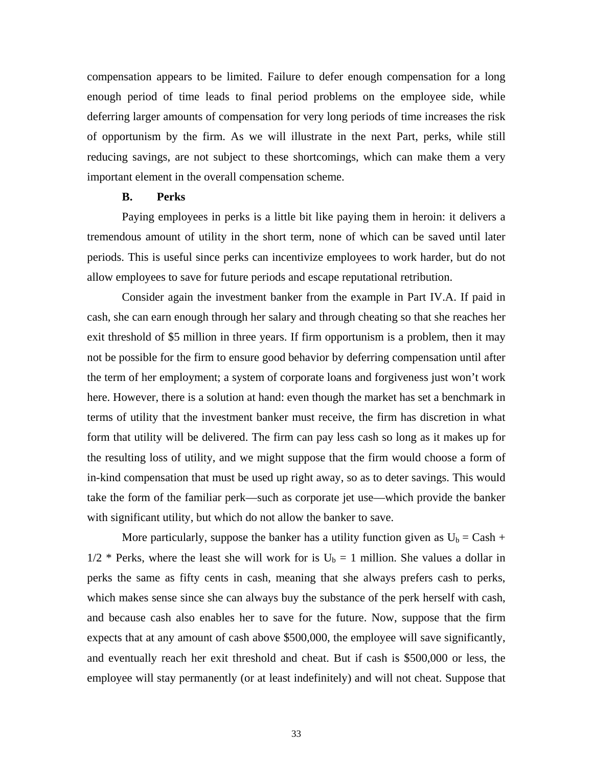compensation appears to be limited. Failure to defer enough compensation for a long enough period of time leads to final period problems on the employee side, while deferring larger amounts of compensation for very long periods of time increases the risk of opportunism by the firm. As we will illustrate in the next Part, perks, while still reducing savings, are not subject to these shortcomings, which can make them a very important element in the overall compensation scheme.

## **B. Perks**

Paying employees in perks is a little bit like paying them in heroin: it delivers a tremendous amount of utility in the short term, none of which can be saved until later periods. This is useful since perks can incentivize employees to work harder, but do not allow employees to save for future periods and escape reputational retribution.

here. However, there is a solution at hand: even though the market has set a benchmark in terms of utility that the investment banker must receive, the firm has discretion in what in-kind compensation that must be used up right away, so as to deter savings. This would Consider again the investment banker from the example in Part IV.A. If paid in cash, she can earn enough through her salary and through cheating so that she reaches her exit threshold of \$5 million in three years. If firm opportunism is a problem, then it may not be possible for the firm to ensure good behavior by deferring compensation until after the term of her employment; a system of corporate loans and forgiveness just won't work form that utility will be delivered. The firm can pay less cash so long as it makes up for the resulting loss of utility, and we might suppose that the firm would choose a form of take the form of the familiar perk—such as corporate jet use—which provide the banker with significant utility, but which do not allow the banker to save.

More particularly, suppose the banker has a utility function given as  $U_b = Cash +$  $1/2$  \* Perks, where the least she will work for is  $U_b = 1$  million. She values a dollar in perks the same as fifty cents in cash, meaning that she always prefers cash to perks, which makes sense since she can always buy the substance of the perk herself with cash, and because cash also enables her to save for the future. Now, suppose that the firm expects that at any amount of cash above \$500,000, the employee will save significantly, and eventually reach her exit threshold and cheat. But if cash is \$500,000 or less, the employee will stay permanently (or at least indefinitely) and will not cheat. Suppose that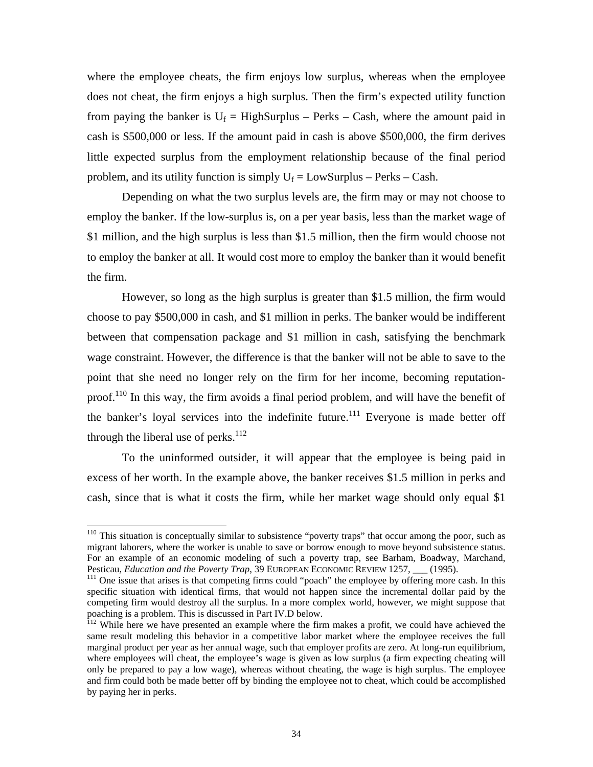where the employee cheats, the firm enjoys low surplus, whereas when the employee does not cheat, the firm enjoys a high surplus. Then the firm's expected utility function from paying the banker is  $U_f = HighSurplus - Perks - Cash$ , where the amount paid in cash is \$500,000 or less. If the amount paid in cash is above \$500,000, the firm derives little expected surplus from the employment relationship because of the final period problem, and its utility function is simply  $U_f = LowSurplus - Perks - Cash$ .

Depending on what the two surplus levels are, the firm may or may not choose to employ the banker. If the low-surplus is, on a per year basis, less than the market wage of \$1 million, and the high surplus is less than \$1.5 million, then the firm would choose not to employ the banker at all. It would cost more to employ the banker than it would benefit the firm.

However, so long as the high surplus is greater than \$1.5 million, the firm would choose to pay \$500,000 in cash, and \$1 million in perks. The banker would be indifferent between that compensation package and \$1 million in cash, satisfying the benchmark wage constraint. However, the difference is that the banker will not be able to save to the point that she need no longer rely on the firm for her income, becoming reputationproof.<sup>110</sup> In this way, the firm avoids a final period problem, and will have the benefit of the banker's loyal services into the indefinite future.<sup>111</sup> Everyone is made better off through the liberal use of perks.<sup>112</sup>

To the uninformed outsider, it will appear that the employee is being paid in excess of her worth. In the example above, the banker receives \$1.5 million in perks and cash, since that is what it costs the firm, while her market wage should only equal \$1

<span id="page-35-0"></span><sup>&</sup>lt;sup>110</sup> This situation is conceptually similar to subsistence "poverty traps" that occur among the poor, such as migrant l aborers, where the worker is unable to save or borrow enough to move beyond subsistence status. For an example of an economic modeling of such a poverty trap, see Barham, Boadway, Marchand, Pesticau, *Education and the Poverty Trap*, 39 EUROPEAN ECONOMIC REVIEW 1257, <sub>\_\_\_</sub> (1995).<br><sup>111</sup> One issue that arises is that competing firms could "poach" the employee by offering more cash. In this

<span id="page-35-1"></span>specific situation with identical firms, that would not happen since the incremental dollar paid by the competing firm would destroy all the surplus. In a more complex world, however, we might suppose that poaching is a problem. This is discussed in Part IV.D below.<br><sup>112</sup> While here we have presented an example where the firm makes a profit, we could have achieved the

<span id="page-35-2"></span>by paying her in perks. same result modeling this behavior in a competitive labor market where the employee receives the full marginal product per year as her annual wage, such that employer profits are zero. At long-run equilibrium, where employees will cheat, the employee's wage is given as low surplus (a firm expecting cheating will only be prepared to pay a low wage), whereas without cheating, the wage is high surplus. The employee and firm could both be made better off by binding the employee not to cheat, which could be accomplished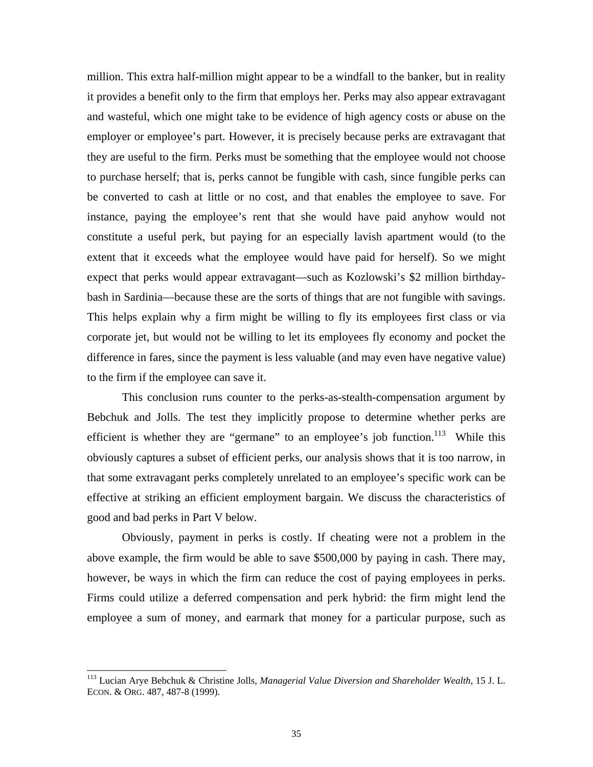million. This extra half-million might appear to be a windfall to the banker, but in reality it provides a benefit only to the firm that employs her. Perks may also appear extravagant and wasteful, which one might take to be evidence of high agency costs or abuse on the employer or employee's part. However, it is precisely because perks are extravagant that they are useful to the firm. Perks must be something that the employee would not choose to purchase herself; that is, perks cannot be fungible with cash, since fungible perks can be con verted to cash at little or no cost, and that enables the employee to save. For expect that perks would appear extravagant—such as Kozlowski's \$2 million birthdaybash in Sardinia—because these are the sorts of things that are not fungible with savings. instance, paying the employee's rent that she would have paid anyhow would not constitute a useful perk, but paying for an especially lavish apartment would (to the extent that it exceeds what the employee would have paid for herself). So we might This helps explain why a firm might be willing to fly its employees first class or via corporate jet, but would not be willing to let its employees fly economy and pocket the difference in fares, since the payment is less valuable (and may even have negative value) to the firm if the employee can save it.

efficient is whether they are "germane" to an employee's job function.<sup>113</sup> While this obviou sly captures a subset of efficient perks, our analysis shows that it is too narrow, in good and bad perks in Part V below. This conclusion runs counter to the perks-as-stealth-compensation argument by Bebchuk and Jolls. The test they implicitly propose to determine whether perks are that some extravagant perks completely unrelated to an employee's specific work can be effective at striking an efficient employment bargain. We discuss the characteristics of

Obviously, payment in perks is costly. If cheating were not a problem in the above example, the firm would be able to save \$500,000 by paying in cash. There may, however, be ways in which the firm can reduce the cost of paying employees in perks. Firms could utilize a deferred compensation and perk hybrid: the firm might lend the employee a sum of money, and earmark that money for a particular purpose, such as

<span id="page-36-0"></span> <sup>113</sup> Lucian Arye Bebchuk & Christine Jolls, *Managerial Value Diversion and Shareholder Wealth*, 15 J. L. ECON. & ORG. 487, 487-8 (1999).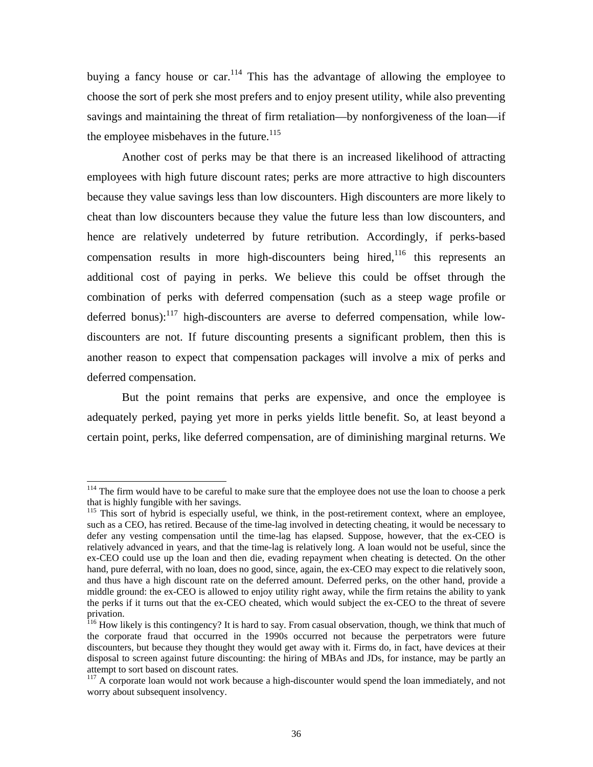buying a fancy house or car.<sup>114</sup> This has the advantage of allowing the employee to choose the sort of perk she most prefers and to enjoy present utility, while also preventing savings and maintaining the threat of firm retaliation—by nonforgiveness of the loan—if the employee misbehaves in the future.<sup>115</sup>

Another cost of perks may be that there is an increased likelihood of attracting employees with high future discount rates; perks are more attractive to high discounters because they value savings less than low discounters. High discounters are more likely to cheat than low discounters because they value the future less than low discounters, and hence are relatively undeterred by future retribution. Accordingly, if perks-based compensation results in more high-discounters being hired,<sup>[116](#page-37-2)</sup> this represents an additional cost of paying in perks. We believe this could be offset through the combination of perks with deferred compensation (such as a steep wage profile or deferred bonus): $^{117}$  high-discounters are averse to deferred compensation, while lowdiscounters are not. If future discounting presents a significant problem, then this is another reason to expect that compensation packages will involve a mix of perks and deferred compensation.

But the point remains that perks are expensive, and once the employee is adequately perked, paying yet more in perks yields little benefit. So, at least beyond a certain point, perks, like deferred compensation, are of diminishing marginal returns. We

<span id="page-37-0"></span><sup>&</sup>lt;sup>114</sup> The firm would have to be careful to make sure that the employee does not use the loan to choose a perk that is highly fungible with her savings. that is highly fungible with her savings.<br><sup>115</sup> This sort of hybrid is especially useful, we think, in the post-retirement context, where an employee,

<span id="page-37-1"></span>such as a CEO, has retired. Because of the tim e-lag involved in detecting cheating, it would be necessary to relatively advanced in years, and that the time-lag is relatively long. A loan would not be useful, since the defer any vesting compensation until the time-lag has elapsed. Suppose, however, that the ex-CEO is ex-CEO could use up the loan and then die, evading repayment when cheating is detected. On the other hand, pure deferral, with no loan, does no good, since, again, the ex-CEO may expect to die relatively soon, and thus have a high discount rate on the deferred amount. Deferred perks, on the other hand, provide a middle ground: the ex-CEO is allowed to enjoy utility right away, while the firm retains the ability to yank the perks if it turns out that the ex-CEO cheated, which would subject the ex-CEO to the threat of severe

<span id="page-37-2"></span>the corporate fraud that occurred in the 1990s occurred not because the perpetrators were future discounters, but because they thought they would get away with it. Firms do, in fact, have devices at their disposal to screen against future discounting: the hiring of MBAs and JDs, for instance, may be partly an attempt to sort based on discount rates. privation.<br><sup>116</sup> How likely is this contingency? It is hard to say. From casual observation, though, we think that much of

<span id="page-37-3"></span>worry about subsequent insolvency. <sup>117</sup> A corporate loan would not work because a high-discounter would spend the loan immediately, and not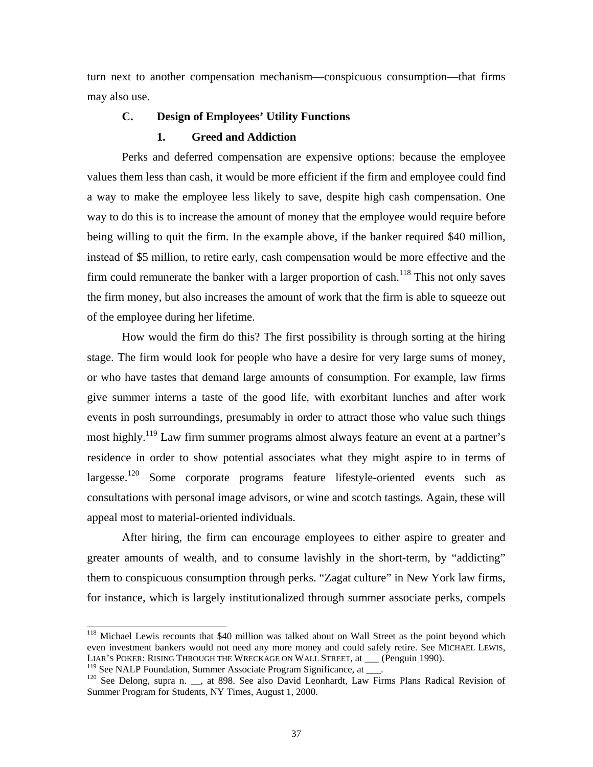turn next to another compensation mechanism—conspicuous consumption—that firms may also use.

## **C. Design of Employees' Utility Functions**

#### **1. Greed and Addiction**

Perks and deferred compensation are expensive options: because the employee values them less than cash, it would be more efficient if the firm and employee could find a way to make the employee less likely to save, despite high cash compensation. One way to do this is to increase the amount of money that the employee would require before being willing to quit the firm. In the example above, if the banker required \$40 million, instead of \$5 million, to retire early, cash compensation would be more effective and the firm could remunerate the banker with a larger proportion of cash.<sup>118</sup> This not only saves the firm money, but also increases the amount of work that the firm is able to squeeze out of the employee during her lifetime.

or who have tastes that demand large amounts of consumption. For example, law firms give su mmer interns a taste of the good life, with exorbitant lunches and after work residence in order to show potential associates what they might aspire to in terms of largesse.<sup>120</sup> Some corporate programs feature lifestyle-oriented events such as How would the firm do this? The first possibility is through sorting at the hiring stage. The firm would look for people who have a desire for very large sums of money, events in posh surroundings, presumably in order to attract those who value such things most highly.<sup>119</sup> Law firm summer programs almost always feature an event at a partner's consultations with personal image advisors, or wine and scotch tastings. Again, these will appeal most to material-oriented individuals.

After hiring, the firm can encourage employees to either aspire to greater and greater amounts of wealth, and to consume lavishly in the short-term, by "addicting" them to conspicuous consumption through perks. "Zagat culture" in New York law firms, for instance, which is largely institutionalized through summer associate perks, compels

<span id="page-38-0"></span><sup>&</sup>lt;sup>118</sup> Michael Lewis recounts that \$40 million was talked about on Wall Street as the point beyond which even investment bankers would not need any more money and could safely retire. See MICHAEL LEWIS, LIAR'S POKER: RISING THROUGH THE WRECKAGE ON WALL STREET, at \_\_\_ (Penguin 1990).

<span id="page-38-1"></span><sup>&</sup>lt;sup>119</sup> See NALP Foundation, Summer Associate Program Significance, at \_\_\_.

<span id="page-38-2"></span>Summer Program for Students, NY Times, August 1, 2000. <sup>120</sup> See Delong, supra n. \_\_, at 898. See also David Leonhardt, Law Firms Plans Radical Revision of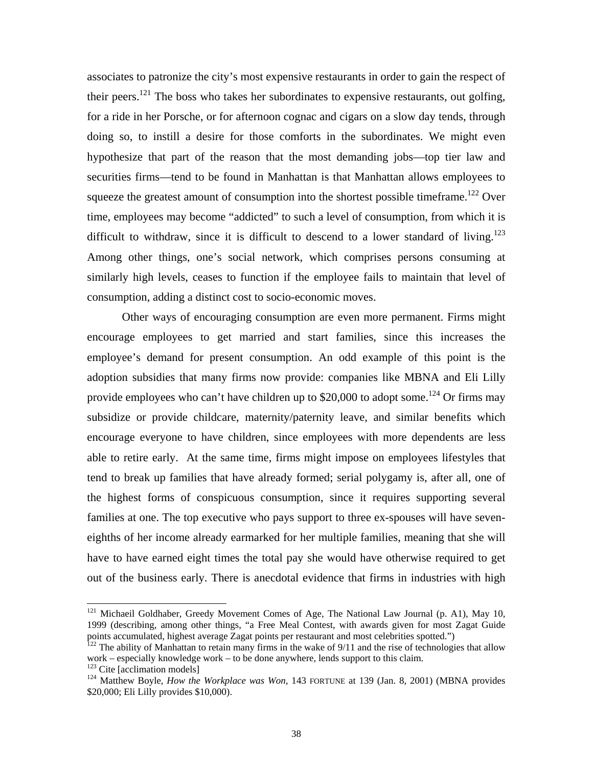associates to patronize the city's most expensive restaurants in order to gain the respect of their peers.<sup>121</sup> The boss who takes her subordinates to expensive restaurants, out golfing, for a ride in her Porsche, or for afternoon cognac and cigars on a slow day tends, through doing so, to instill a desire for those comforts in the subordinates. We might even hypothesize that part of the reason that the most demanding jobs—top tier law and securities firms—tend to be found in Manhattan is that Manhattan allows employees to squeeze the greatest amount of consumption into the shortest possible timeframe.<sup>122</sup> Over time, employees may become "addicted" to such a level of consumption, from which it is difficult to withdraw, since it is difficult to descend to a lower standard of living.<sup>123</sup> Among other things, one's social network, which comprises persons consuming at similarly high levels, ceases to function if the employee fails to maintain that level of consumption, adding a distinct cost to socio-economic moves.

Other ways of encouraging consumption are even more permanent. Firms might encourage employees to get married and start families, since this increases the employee's demand for present consumption. An odd example of this point is the adoption subsidies that many firms now provide: companies like MBNA and Eli Lilly provide employees who can't have children up to \$20,000 to adopt some.<sup>124</sup> Or firms may subsidize or provide childcare, maternity/paternity leave, and similar benefits which encourage everyone to have children, since employees with more dependents are less able to retire early. At the same time, firms might impose on employees lifestyles that tend to break up families that have already formed; serial polygamy is, after all, one of the highest forms of conspicuous consumption, since it requires supporting several families at one. The top executive who pays support to three ex-spouses will have seveneighths of her income already earmarked for her multiple families, meaning that she will have to have earned eight times the total pay she would have otherwise required to get out of the business early. There is anecdotal evidence that firms in industries with high

<span id="page-39-0"></span><sup>&</sup>lt;sup>121</sup> Michaeil Goldhaber, Greedy Movement Comes of Age, The National Law Journal (p. A1), May 10, 1999 (describing, among other things, "a Free Meal Contest, with awards given for most Zagat Guide points accumulated, highest average Zagat points per restaurant and most celebrities spotted.")

<span id="page-39-1"></span>partia accumulation,  $\frac{1}{22}$  The ability of Manhattan to retain many firms in the wake of 9/11 and the rise of technologies that allow work – especially knowledge work – to be done anywhere, lends support to this claim. 123 Cite [acclimation models] 124 Matthew Boyle, *How the Workplace was Won*, 143 FORTUNE at 139 (Jan. 8, 2001) (MBNA provides

<span id="page-39-2"></span>

<span id="page-39-3"></span><sup>\$20,000;</sup> Eli Lilly provides \$10,000).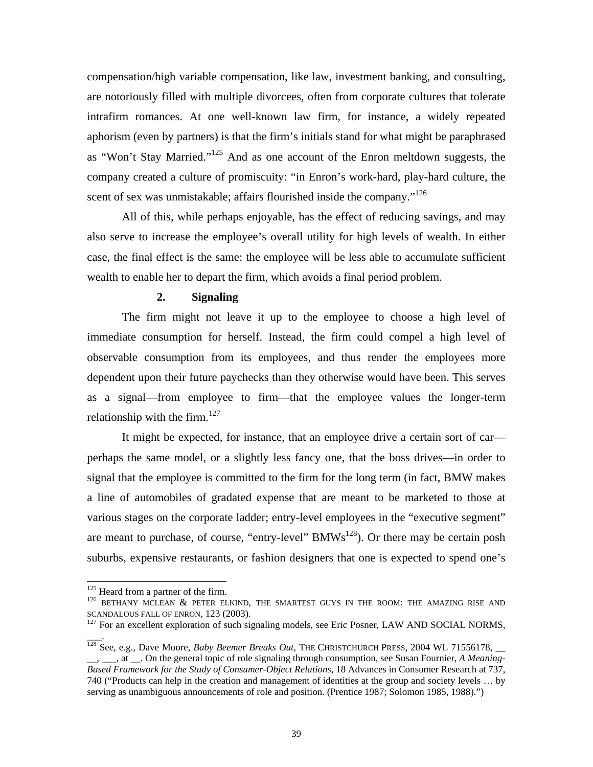compensation/high variable compensation, like law, investment banking, and consulting, are notoriously filled with multiple divorcees, often from corporate cultures that tolerate intrafirm romances. At one well-known law firm, for instance, a widely repeated aphorism (even by partners) is that the firm's initials stand for what might be paraphrased as "Won't Stay Married."<sup>125</sup> And as one account of the Enron meltdown suggests, the company created a culture of promiscuity: "in Enron's work-hard, play-hard culture, the scent of sex was unmistakable; affairs flourished inside the company."<sup>[126](#page-40-1)</sup>

All of this, while perhaps enjoyable, has the effect of reducing savings, and may also serve to increase the employee's overall utility for high levels of wealth. In either case, the final effect is the same: the employee will be less able to accumulate sufficient wealth to enable her to depart the firm, which avoids a final period problem.

## **2. Signaling**

The firm might not leave it up to the employee to choose a high level of immediate consumption for herself. Instead, the firm could compel a high level of observable consumption from its employees, and thus render the employees more dependent upon their future paychecks than they otherwise would have been. This serves as a signal—from employee to firm—that the employee values the longer-term relationship with the firm. $127$ 

It might be expected, for instance, that an employee drive a certain sort of car perhaps the same model, or a slightly less fancy one, that the boss drives—in order to signal that the employee is committed to the firm for the long term (in fact, BMW makes a line of automobiles of gradated expense that are meant to be marketed to those at various stages on the corporate ladder; entry-level employees in the "executive segment" are meant to purchase, of course, "entry-level"  $BMWs^{128}$ ). Or there may be certain posh suburbs, expensive restaurants, or fashion designers that one is expected to spend one's

 $\overline{\phantom{a}}$ .

<span id="page-40-1"></span><span id="page-40-0"></span>

<sup>&</sup>lt;sup>125</sup> Heard from a partner of the firm.<br><sup>126</sup> BETHANY MCLEAN & PETER ELKIND, THE SMARTEST GUYS IN THE ROOM: THE AMAZING RISE AND SCANDALOUS FALL OF ENRON, 123 (2003).<br><sup>127</sup> For an excellent exploration of such signaling models, see Eric Posner, LAW AND SOCIAL NORMS,

<span id="page-40-2"></span>

<span id="page-40-3"></span><sup>&</sup>lt;sub>1</sub>, <sub>1</sub>, at <sub>1</sub>. On the general topic of role signaling through consumption, see Susan Fournier, *A Meaning*-*Based Framework for the Study of Consumer-Object Relations*, 18 Advances in Consumer Research at 737, serving as unambiguous announcements of role and position. (Prentice 1987; Solomon 1985, 1988).") <sup>128</sup> See, e.g., Dave Moore, *Baby Beemer Breaks Out*, THE CHRISTCHURCH PRESS, 2004 WL 71556178, \_\_ 740 ("Products can help in the creation and management of identities at the group and society levels … by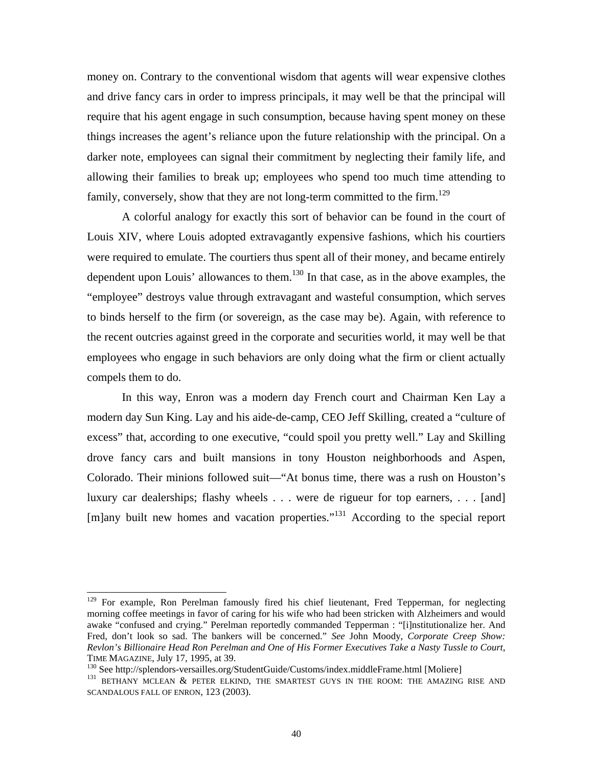money on. Contrary to the conventional wisdom that agents will wear expensive clothes and drive fancy cars in order to impress principals, it may well be that the principal will require that his agent engage in such consumption, because having spent money on these things increases the agent's reliance upon the future relationship with the principal. On a darker note, employees can signal their commitment by neglecting their family life, and allowing their families to break up; employees who spend too much time attending to family, conversely, show that they are not long-term committed to the firm.<sup>129</sup>

dependent upon Louis' allowances to them.<sup>[130](#page-41-1)</sup> In that case, as in the above examples, the "employee" destroys value through extravagant and wasteful consumption, which serves A colorful analogy for exactly this sort of behavior can be found in the court of Louis XIV, where Louis adopted extravagantly expensive fashions, which his courtiers were required to emulate. The courtiers thus spent all of their money, and became entirely to binds herself to the firm (or sovereign, as the case may be). Again, with reference to the recent outcries against greed in the corporate and securities world, it may well be that employees who engage in such behaviors are only doing what the firm or client actually compels them to do.

modern day Sun King. Lay and his aide-de-camp, CEO Jeff Skilling, created a "culture of In this way, Enron was a modern day French court and Chairman Ken Lay a excess" that, according to one executive, "could spoil you pretty well." Lay and Skilling drove fancy cars and built mansions in tony Houston neighborhoods and Aspen, Colorado. Their minions followed suit—"At bonus time, there was a rush on Houston's luxury car dealerships; flashy wheels . . . were de rigueur for top earners, . . . [and] [m]any built new homes and vacation properties."[131](#page-41-2) According to the special report

<span id="page-41-0"></span><sup>&</sup>lt;sup>129</sup> For example, Ron Perelman famously fired his chief lieutenant, Fred Tepperman, for neglecting morning coffee meetings in favor of caring for his wife who had been stricken with Alzheimers and would Fred, don't look so sad. The bankers will be concerned." See John Moody, Corporate Creep Show: awake "confused and crying." Perelman reportedly commanded Tepperman : "[i]nstitutionalize her. And *Revlon's Billionaire Head Ron Perelman and One of His Former Executives Take a Nasty Tussle to Court*,

<span id="page-41-2"></span><span id="page-41-1"></span>

TIME MAGAZINE, July 17, 1995, at 39.<br><sup>130</sup> See http://splendors-versailles.org/StudentGuide/Customs/index.middleFrame.html [Moliere]<br><sup>131</sup> BETHANY MCLEAN & PETER ELKIND, THE SMARTEST GUYS IN THE ROOM: THE AMAZING RISE AND SCANDALOUS FALL OF ENRON, 123 (2003).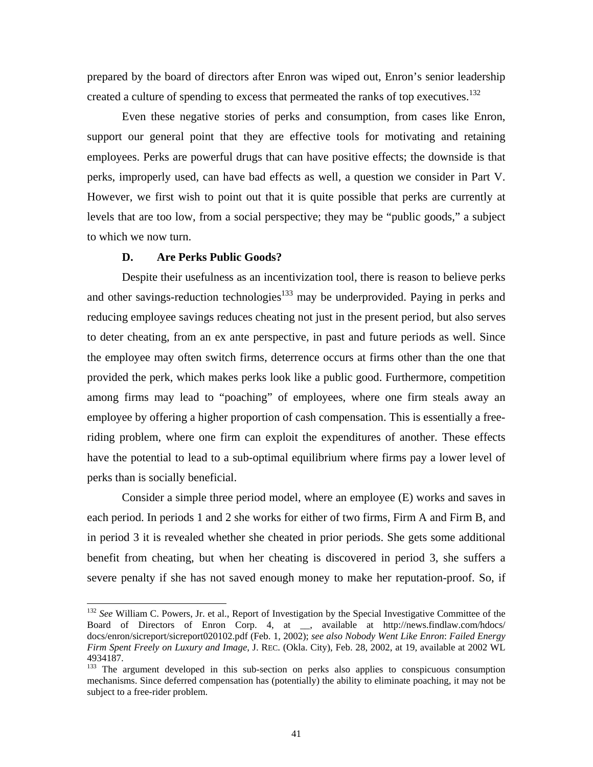prepared by the board of directors after Enron was wiped out, Enron's senior leadership created a culture of spending to excess that permeated the ranks of top executives.<sup>132</sup>

Even these negative stories of perks and consumption, from cases like Enron, support our general point that they are effective tools for motivating and retaining employees. Perks are powerful drugs that can have positive effects; the downside is that perks, improperly used, can have bad effects as well, a question we consider in Part V. However, we first wish to point out that it is quite possible that perks are currently at levels t hat are too low, from a social perspective; they may be "public goods," a subject to which we now turn.

#### **D. Are Perks Public Goods?**

provided the perk, which makes perks look like a public good. Furthermore, competition among firms may lead to "poaching" of employees, where one firm steals away an Despite their usefulness as an incentivization tool, there is reason to believe perks and other savings-reduction technologies $133$  may be underprovided. Paying in perks and reducing employee savings reduces cheating not just in the present period, but also serves to deter cheating, from an ex ante perspective, in past and future periods as well. Since the employee may often switch firms, deterrence occurs at firms other than the one that employee by offering a higher proportion of cash compensation. This is essentially a freeriding problem, where one firm can exploit the expenditures of another. These effects have the potential to lead to a sub-optimal equilibrium where firms pay a lower level of perks than is socially beneficial.

in period 3 it is revealed whether she cheated in prior periods. She gets some additional benefit from cheating, but when her cheating is discovered in period 3, she suffers a severe penalty if she has not saved enough money to make her reputation-proof. So, if Consider a simple three period model, where an employee (E) works and saves in each period. In periods 1 and 2 she works for either of two firms, Firm A and Firm B, and

<span id="page-42-0"></span><sup>&</sup>lt;sup>132</sup> See William C. Powers, Jr. et al., Report of Investigation by the Special Investigative Committee of the Board of Directors of Enron Corp. 4, at \_\_, available at http://news.findlaw.com/hdocs/ docs/enron/sicreport/sicreport020102.pdf (Feb. 1, 2002); *see also Nobody Went Like Enron*: *Failed Energy Firm Spent Freely on Luxury and Image*, J. REC. (Okla. City), Feb. 28, 2002, at 19, available at 2002 WL 4934187.

<span id="page-42-1"></span><sup>&</sup>lt;sup>133</sup> The argument developed in this sub-section on perks also applies to conspicuous consumption mechanisms. Since deferred compensation has (potentially) the ability to eliminate poaching, it may not be subject to a free-rider problem.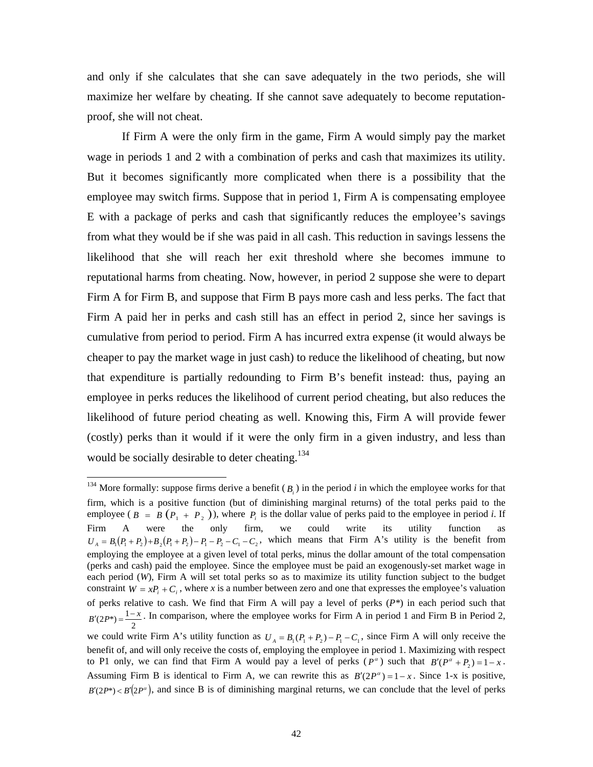<span id="page-43-0"></span>and only if she calculates that she can save adequately in the two periods, she will maximize her welfare by cheating. If she cannot save adequately to become reputationproof, s he will not cheat.

from what they would be if she was paid in all cash. This reduction in savings lessens the likelihood that she will reach her exit threshold where she becomes immune to If Firm A were the only firm in the game, Firm A would simply pay the market wage in periods 1 and 2 with a combination of perks and cash that maximizes its utility. But it becomes significantly more complicated when there is a possibility that the employee may switch firms. Suppose that in period 1, Firm A is compensating employee E with a package of perks and cash that significantly reduces the employee's savings reputational harms from cheating. Now, however, in period 2 suppose she were to depart Firm A for Firm B, and suppose that Firm B pays more cash and less perks. The fact that Firm A paid her in perks and cash still has an effect in period 2, since her savings is cumulative from period to period. Firm A has incurred extra expense (it would always be cheaper to pay the market wage in just cash) to reduce the likelihood of cheating, but now that expenditure is partially redounding to Firm B's benefit instead: thus, paying an employee in perks reduces the likelihood of current period cheating, but also reduces the likelihood of future period cheating as well. Knowing this, Firm A will provide fewer (costly) perks than it would if it were the only firm in a given industry, and less than would be socially desirable to deter cheating.<sup>134</sup>

<sup>&</sup>lt;sup>134</sup> More formally: suppose firms derive a benefit  $(B_i)$  in the period *i* in which the employee works for that firm, which is a positive function (but of diminishing marginal returns) of the total perks paid to the employee ( $B = B(P_1 + P_2)$ ), where  $P_i$  is the dollar value of perks paid to the employee in period *i*. If Firm A were the only firm, we could write its utility function as  $U_A = B_1(P_1 + P_2) + B_2(P_1 + P_2) - P_1 - P_2 - C_1 - C_2$ , which means that Firm A's utility is the benefit from employing the employee at a given level of total perks, minus the dollar amount of the total compensation (perks and cash) paid the employee. Since the employee must be paid an exogenously-set market wage in each period (*W*), Firm A will set total perks so as to maximize its utility function subject to the budget constraint  $W = xP_i + C_i$ , where *x* is a number between zero and one that expresses the employee's valuation of perks relative to cash. We find that Firm A will pay a level of perks (*P\**) in each period such that  $B'(2P^*) = \frac{1-x}{2}$ . In comparison, where the employee works for Firm A in period 1 and Firm B in Period 2, we could write Firm A's utility function as  $U_A = B_1 (P_1 + P_2) - P_1 - C_1$ , since Firm A will only receive the benefit of, and will only receive the costs of, employing the employee in period 1. Maximizing with respect to P1 only, we can find that Firm A would pay a level of perks  $(P^{\alpha})$  such that  $B'(P^{\alpha} + P_2) = 1 - x$ .

Assuming Firm B is identical to Firm A, we can rewrite this as  $B'(2P^{\alpha}) = 1 - x$ . Since 1-x is positive,  $B'(2P^*) < B'(2P^*)$ , and since B is of diminishing marginal returns, we can conclude that the level of perks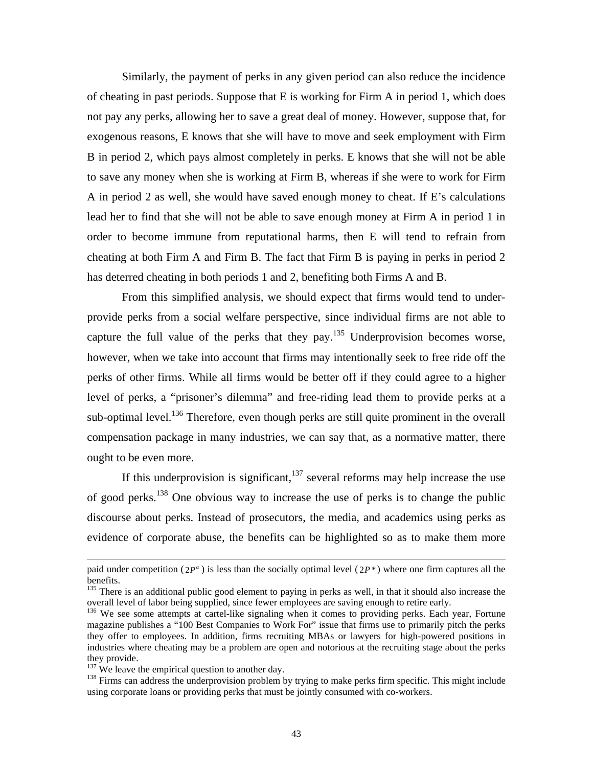Similarly, the payment of perks in any given period can also reduce the incidence of cheating in past periods. Suppose that E is working for Firm A in period 1, which does not pay any perks, allowing her to save a great deal of money. However, suppose that, for exogen ous reasons, E knows that she will have to move and seek employment with Firm B in period 2, which pays almost completely in perks. E knows that she will not be able to save any money when she is working at Firm B, whereas if she were to work for Firm A in period 2 as well, she would have saved enough money to cheat. If E's calculations lead her to find that she will not be able to save enough money at Firm A in period 1 in order to become immune from reputational harms, then E will tend to refrain from cheating at both Firm A and Firm B. The fact that Firm B is paying in perks in period 2 has deterred cheating in both periods 1 and 2, benefiting both Firms A and B.

From this simplified analysis, we should expect that firms would tend to underprovide perks from a social welfare perspective, since individual firms are not able to capture the full value of the perks that they  $pay$ .<sup>135</sup> Underprovision becomes worse, however, when we take into account that firms may intentionally seek to free ride off the perks of other firms. While all firms would be better off if they could agree to a higher level of perks, a "prisoner's dilemma" and free-riding lead them to provide perks at a sub-optimal level.<sup>136</sup> Therefore, even though perks are still quite prominent in the overall compensation package in many industries, we can say that, as a normative matter, there ought to be even more.

If this underprovision is significant, $137$  several reforms may help increase the use evidence of corporate abuse, the benefits can be highlighted so as to make them more of good perks.<sup>138</sup> One obvious way to increase the use of perks is to change the public discourse about perks. Instead of prosecutors, the media, and academics using perks as

 $\overline{a}$ 

paid under competition ( $2P^{\alpha}$ ) is less than the socially optimal level ( $2P^*$ ) where one firm captures all the benefits. benefits.<br><sup>135</sup> There is an additional public good element to paying in perks as well, in that it should also increase the

<span id="page-44-0"></span>overall level of labor being supplied, since fewer employees are saving enough to retire early.<br><sup>136</sup> We see some attempts at cartel-like signaling when it comes to providing perks. Each year, Fortune

<span id="page-44-1"></span>they offer to employees. In addition, firms recruiting MBAs or lawyers for high-powered positions in industries where cheating may be a problem are open and notorious at the recruiting stage about the perks they provide.<br><sup>137</sup> We leave the empirical question to another day.<br><sup>138</sup> Firms can address the underprovision problem by trying to make perks firm specific. This might include magazine publishes a "100 Best Companies to Work For" issue that firms use to primarily pitch the perks

<span id="page-44-2"></span>

<span id="page-44-3"></span>using corporate loans or providing perks that must be jointly consumed with co-workers.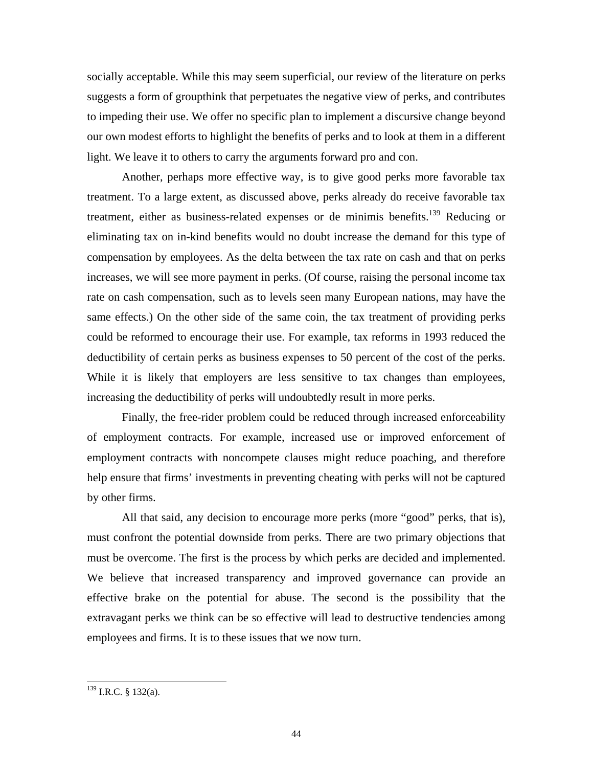socially acceptable. While this may seem superficial, our review of the literature on perks suggests a form of groupthink that perpetuates the negative view of perks, and contributes to impeding their use. We offer no specific plan to implement a discursive change beyond our own modest efforts to highlight the benefits of perks and to look at them in a different light. We leave it to others to carry the arguments forward pro and con.

Another, perhaps more effective way, is to give good perks more favorable tax treatment. To a large extent, as discussed above, perks already do receive favorable tax treatment, either as business-related expenses or de minimis benefits.<sup>139</sup> Reducing or eliminating tax on in-kind benefits would no doubt increase the demand for this type of compensation by employees. As the delta between the tax rate on cash and that on perks increases, we will see more payment in perks. (Of course, raising the personal income tax rate on cash compensation, such as to levels seen many European nations, may have the same effects.) On the other side of the same coin, the tax treatment of providing perks could be reformed to encourage their use. For example, tax reforms in 1993 reduced the deductibility of certain perks as business expenses to 50 percent of the cost of the perks. While it is likely that employers are less sensitive to tax changes than employees, increasing the deductibility of perks will undoubtedly result in more perks.

employment contracts with noncompete clauses might reduce poaching, and therefore help en sure that firms' investments in preventing cheating with perks will not be captured Finally, the free-rider problem could be reduced through increased enforceability of employment contracts. For example, increased use or improved enforcement of by other firms.

must be overcome. The first is the process by which perks are decided and implemented. We believe that increased transparency and improved governance can provide an All that said, any decision to encourage more perks (more "good" perks, that is), must confront the potential downside from perks. There are two primary objections that effective brake on the potential for abuse. The second is the possibility that the extravagant perks we think can be so effective will lead to destructive tendencies among employees and firms. It is to these issues that we now turn.

<span id="page-45-0"></span> <sup>139</sup> I.R.C. § 132(a).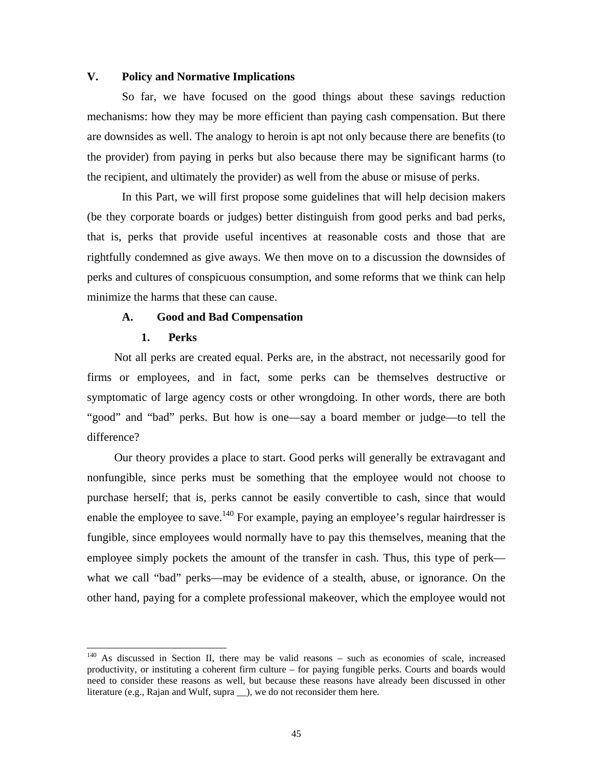## **V. Policy and Normative Implications**

So far, we have focused on the good things about these savings reduction mechanisms: how they may be more efficient than paying cash compensation. But there are downsides as well. The analogy to heroin is apt not only because there are benefits (to the provider) from paying in perks but also because there may be significant harms (to the reci pient, and ultimately the provider) as well from the abuse or misuse of perks.

In this Part, we will first propose some guidelines that will help decision makers (be they corporate boards or judges) better distinguish from good perks and bad perks, that is, perks that provide useful incentives at reasonable costs and those that are rightfully condemned as give aways. We then move on to a discussion the downsides of perks and cultures of conspicuous consumption, and some reforms that we think can help minimize the harms that these can cause.

## **A. Good and Bad Compensation**

## **1. Perks**

symptomatic of large agency costs or other wrongdoing. In other words, there are both "good" and "bad" perks. But how is one—say a board member or judge—to tell the Not all perks are created equal. Perks are, in the abstract, not necessarily good for firms or employees, and in fact, some perks can be themselves destructive or difference?

purchase herself; that is, perks cannot be easily convertible to cash, since that would enable the employee to save.<sup>140</sup> For example, paying an employee's regular hairdresser is Our theory provides a place to start. Good perks will generally be extravagant and nonfungible, since perks must be something that the employee would not choose to fungible, since employees would normally have to pay this themselves, meaning that the employee simply pockets the amount of the transfer in cash. Thus, this type of perk what we call "bad" perks—may be evidence of a stealth, abuse, or ignorance. On the other hand, paying for a complete professional makeover, which the employee would not

<span id="page-46-0"></span> $140$  As discussed in Section II, there may be valid reasons – such as economies of scale, increased productivity, or instituting a coherent firm culture – for paying fungible perks. Courts and boards would need to consider these reasons as well, but because these reasons have already been discussed in other literature (e.g., Rajan and Wulf, supra \_\_), we do not reconsider them here.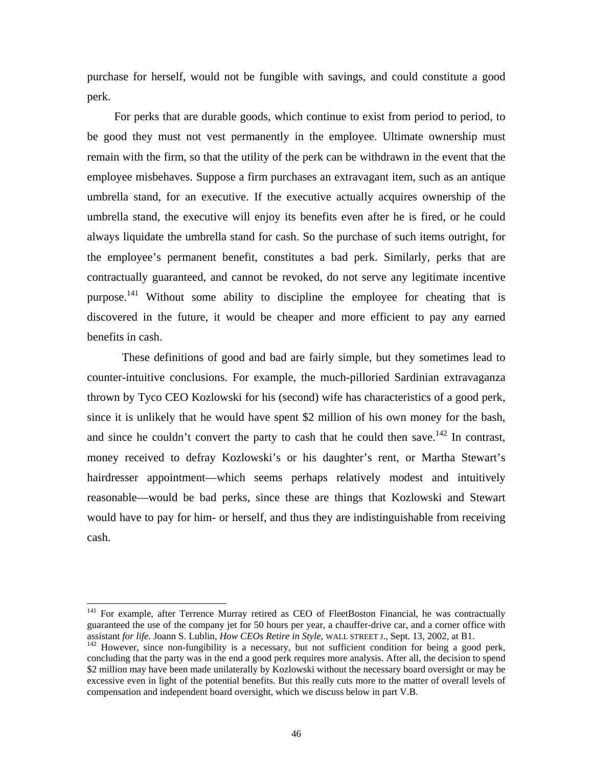purchase for herself, would not be fungible with savings, and could constitute a good perk.

employee misbehaves. Suppose a firm purchases an extravagant item, such as an antique umbrel la stand, for an executive. If the executive actually acquires ownership of the purpose.<sup>141</sup> Without some ability to discipline the employee for cheating that is discovered in the future, it would be cheaper and more efficient to pay any earned For perks that are durable goods, which continue to exist from period to period, to be good they must not vest permanently in the employee. Ultimate ownership must remain with the firm, so that the utility of the perk can be withdrawn in the event that the umbrella stand, the executive will enjoy its benefits even after he is fired, or he could always liquidate the umbrella stand for cash. So the purchase of such items outright, for the employee's permanent benefit, constitutes a bad perk. Similarly, perks that are contractually guaranteed, and cannot be revoked, do not serve any legitimate incentive benefits in cash.

and since he couldn't convert the party to cash that he could then save.<sup>142</sup> In contrast, money received to defray Kozlowski's or his daughter's rent, or Martha Stewart's These definitions of good and bad are fairly simple, but they sometimes lead to counter-intuitive conclusions. For example, the much-pilloried Sardinian extravaganza thrown by Tyco CEO Kozlowski for his (second) wife has characteristics of a good perk, since it is unlikely that he would have spent \$2 million of his own money for the bash, hairdresser appointment—which seems perhaps relatively modest and intuitively reasonable—would be bad perks, since these are things that Kozlowski and Stewart would have to pay for him- or herself, and thus they are indistinguishable from receiving cash.

<span id="page-47-0"></span><sup>&</sup>lt;sup>141</sup> For example, after Terrence Murray retired as CEO of FleetBoston Financial, he was contractually guaranteed the use of the company jet for 50 hours per year, a chauffer-drive car, and a corner office with assistant for life. Joann S. Lublin, *How CEOs Retire in Style*, WALL STREET J., Sept. 13, 2002, at B1.

<span id="page-47-1"></span><sup>&</sup>lt;sup>142</sup> However, since non-fungibility is a necessary, but not sufficient condition for being a good perk, compensation and independent board oversight, which we discuss below in part V.B. concluding that the party was in the end a good perk requires more analysis. After all, the decision to spend \$2 million may have been made unilaterally by Kozlowski without the necessary board oversight or may be excessive even in light of the potential benefits. But this really cuts more to the matter of overall levels of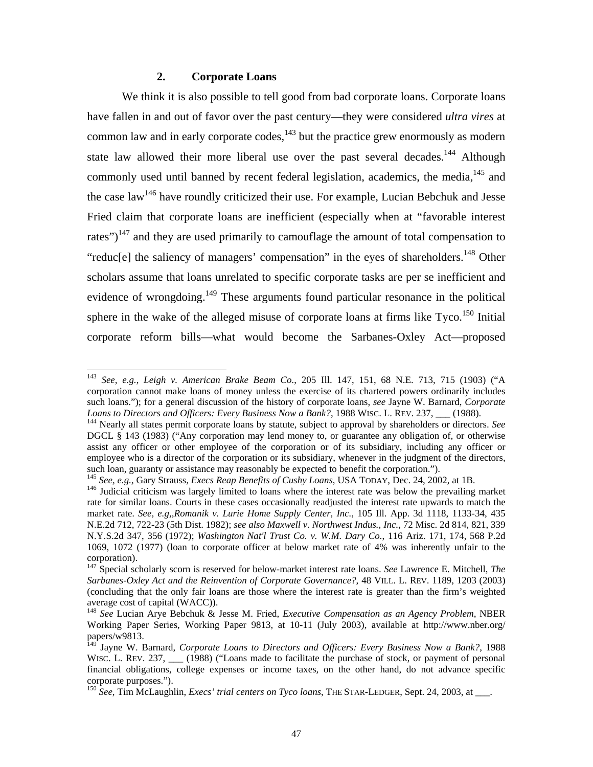## **2. Corporate Loans**

We think it is also possible to tell good from bad corporate loans. Corporate loans corporate reform bills—what would become the Sarbanes-Oxley Act—proposed have fallen in and out of favor over the past century—they were considered *ultra vires* at common law and in early corporate  $\csc s$ ,  $^{143}$  but the practice grew enormously as modern state law allowed their more liberal use over the past several decades.<sup>[144](#page-48-1)</sup> Although commonly used until banned by recent federal legislation, academics, the media,<sup>145</sup> and the case  $law<sup>146</sup>$  have roundly criticized their use. For example, Lucian Bebchuk and Jesse Fried claim that corporate loans are inefficient (especially when at "favorable interest rates") $147$  and they are used primarily to camouflage the amount of total compensation to "reduc[e] the saliency of managers' compensation" in the eyes of shareholders.<sup>148</sup> Other scholars assume that loans unrelated to specific corporate tasks are per se inefficient and evidence of wrongdoing.<sup>149</sup> These arguments found particular resonance in the political sphere in the wake of the alleged misuse of corporate loans at firms like  $Tyco$ <sup>150</sup> Initial

<span id="page-48-0"></span> <sup>143</sup> *See, e.g., Leigh v. American Brake Beam Co.*, 205 Ill. 147, 151, 68 N.E. 713, 715 (1903) ("A corporation cannot make loans of money unless the exercise of its chartered powers ordinarily includes such loans."); for a general discussion of the history of corporate loans, *see* Jayne W. Barnard, *Corporate Loans to Directors and Officers: Every Business Now a Bank?*, 1988 WISC. L. REV. 237, \_\_\_ (1988). 144 Nearly all states permit corporate loans by statute, subject to approval by shareholders or directors. *See* 

<span id="page-48-1"></span>DGCL § 143 (1983) ("Any corporation may lend money to, or guarantee any obligation of, or otherwise assist any officer or other employee of the corporation or of its subsidiary, including any officer or employee who is a director of the corporation or its subsidiary, whenever in the judgment of the directors, such loan, guaranty or assistance may reasonably be expected to benefit the corporation.").

<span id="page-48-3"></span><span id="page-48-2"></span>

<sup>&</sup>lt;sup>145</sup> See, e.g., Gary Strauss, *Execs Reap Benefits of Cushy Loans*, USA TODAY, Dec. 24, 2002, at 1B.<br><sup>146</sup> Judicial criticism was largely limited to loans where the interest rate was below the prevailing market rate for similar loans. Courts in these cases occasionally readjusted the interest rate upwards to match the market rate. *See, e.g,,Romanik v. Lurie Home Supply Center, Inc.*, 105 Ill. App. 3d 1118, 1133-34, 435 N.E.2d 712, 722-23 (5th Dist. 1982); *see also Maxwell v. Northwest Indus., Inc.*, 72 Misc. 2d 814, 821, 339 N.Y.S.2 d 347, 356 (1972); *Washington Nat'l Trust Co. v. W.M. Dary Co.*, 116 Ariz. 171, 174, 568 P.2d 1069, 1072 (1977) (loan to corporate officer at below market rate of 4% was inherently unfair to the corporation).<br><sup>147</sup> Special scholarly scorn is reserved for below-market interest rate loans. *See* Lawrence E. Mitchell, *The* 

<span id="page-48-4"></span>*Sarbanes-Oxley Act and the Reinvention of Corporate Governance?*, 48 VILL. L. REV. 1189, 1203 (2003) (concluding that the only fair loans are those where the interest rate is greater than the firm's weighted average cost of capital (WACC)).

<span id="page-48-5"></span><sup>148</sup> *See* Lucian Arye Bebchuk & Jesse M. Fried, *Executive Compensation as an Agency Problem*, NBER Working Paper Series, Working Paper 9813, at 10-11 (July 2003), available at http://www.nber.org/ papers/w9813.

<span id="page-48-6"></span>corporate purposes.").<br><sup>150</sup> See, Tim McLaughlin, *Execs' trial centers on Tyco loans*, THE STAR-LEDGER, Sept. 24, 2003, at \_\_\_. 149 Jayne W. Barnard, *Corporate Loans to Directors and Officers: Every Business Now a Bank?*, 1988 WISC. L. REV. 237, \_\_\_ (1988) ("Loans made to facilitate the purchase of stock, or payment of personal financial obligations, college expenses or income taxes, on the other hand, do not advance specific

<span id="page-48-7"></span>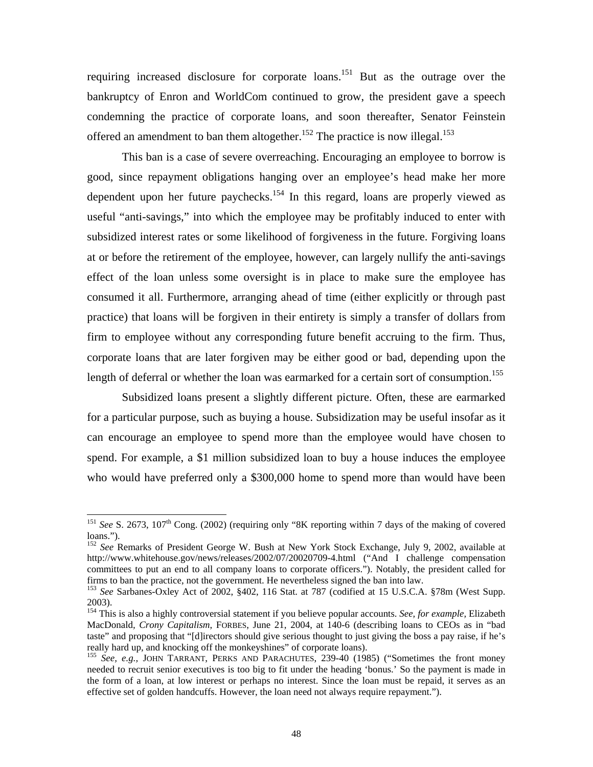requiring increased disclosure for corporate loans.<sup>151</sup> But as the outrage over the bankru ptcy of Enron and WorldCom continued to grow, the president gave a speech condemning the practice of corporate loans, and soon thereafter, Senator Feinstein offered an amendment to ban them altogether.<sup>152</sup> The practice is now illegal.<sup>[153](#page-49-2)</sup>

corporate loans that are later forgiven may be either good or bad, depending upon the This ban is a case of severe overreaching. Encouraging an employee to borrow is good, since repayment obligations hanging over an employee's head make her more dependent upon her future paychecks[.154](#page-49-3) In this regard, loans are properly viewed as useful "anti-savings," into which the employee may be profitably induced to enter with subsidized interest rates or some likelihood of forgiveness in the future. Forgiving loans at or before the retirement of the employee, however, can largely nullify the anti-savings effect of the loan unless some oversight is in place to make sure the employee has consumed it all. Furthermore, arranging ahead of time (either explicitly or through past practice) that loans will be forgiven in their entirety is simply a transfer of dollars from firm to employee without any corresponding future benefit accruing to the firm. Thus, length of deferral or whether the loan was earmarked for a certain sort of consumption.<sup>[155](#page-49-4)</sup>

who would have preferred only a \$300,000 home to spend more than would have been Subsidized loans present a slightly different picture. Often, these are earmarked for a particular purpose, such as buying a house. Subsidization may be useful insofar as it can encourage an employee to spend more than the employee would have chosen to spend. For example, a \$1 million subsidized loan to buy a house induces the employee

<span id="page-49-0"></span><sup>&</sup>lt;sup>151</sup> *See* S. 2673, 107<sup>th</sup> Cong. (2002) (requiring only "8K reporting within 7 days of the making of covered loans.").

<span id="page-49-1"></span><sup>&</sup>lt;sup>152</sup> See Remarks of President George W. Bush at New York Stock Exchange, July 9, 2002, available at http://www.whitehouse.gov/news/releases/2002/07/20020709-4.html ("And I challenge compensation committees to put an end to all company loans to corporate officers."). Notably, the president called for firms to ban the practice, not the government. He nevertheless signed the ban into law. 153 *See* Sarbanes-Oxley Act of 2002, §402, 116 Stat. at 787 (codified at 15 U.S.C.A. §78m (West Supp.

<span id="page-49-2"></span><sup>2003).</sup> 

<span id="page-49-3"></span>taste" and proposing that "[d]irectors should give serious thought to just giving the boss a pay raise, if he's 154 This is also a highly controversial statement if you believe popular accounts. *See, for example,* Elizabeth MacDonald*, Crony Capitalism*, FORBES, June 21, 2004, at 140-6 (describing loans to CEOs as in "bad really hard up, and knocking off the monkeyshines" of corporate loans). 155 *See, e.g.,* JOHN TARRANT, PERKS AND PARACHUTES, 239-40 (1985) ("Sometimes the front money

<span id="page-49-4"></span>the form of a loan, at low interest or perhaps no interest. Since the loan must be repaid, it serves as an needed to recruit senior executives is too big to fit under the heading 'bonus.' So the payment is made in effective set of golden handcuffs. However, the loan need not always require repayment.").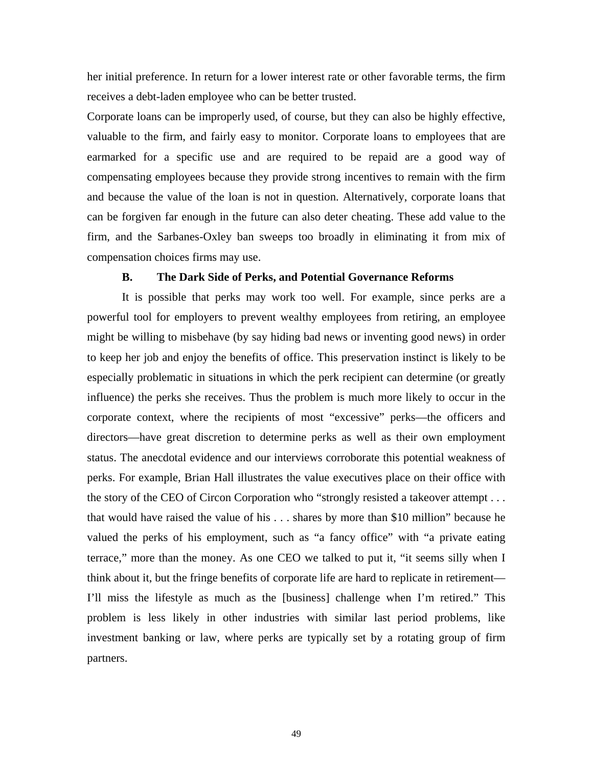her initial preference. In return for a lower interest rate or other favorable terms, the firm receives a debt-laden employee who can be better trusted.

Corporate loans can be improperly used, of course, but they can also be highly effective, valuable to the firm, and fairly easy to monitor. Corporate loans to employees that are earmar ked for a specific use and are required to be repaid are a good way of compensating employees because they provide strong incentives to remain with the firm and because the value of the loan is not in question. Alternatively, corporate loans that can be forgiven far enough in the future can also deter cheating. These add value to the firm, and the Sarbanes-Oxley ban sweeps too broadly in eliminating it from mix of compensation choices firms may use.

## **B. The Dark Side of Perks, and Potential Governance Reforms**

the story of the CEO of Circon Corporation who "strongly resisted a takeover attempt . . . valued the perks of his employment, such as "a fancy office" with "a private eating It is possible that perks may work too well. For example, since perks are a powerful tool for employers to prevent wealthy employees from retiring, an employee might be willing to misbehave (by say hiding bad news or inventing good news) in order to keep her job and enjoy the benefits of office. This preservation instinct is likely to be especially problematic in situations in which the perk recipient can determine (or greatly influence) the perks she receives. Thus the problem is much more likely to occur in the corporate context, where the recipients of most "excessive" perks—the officers and directors—have great discretion to determine perks as well as their own employment status. The anecdotal evidence and our interviews corroborate this potential weakness of perks. For example, Brian Hall illustrates the value executives place on their office with that would have raised the value of his . . . shares by more than \$10 million" because he terrace," more than the money. As one CEO we talked to put it, "it seems silly when I think about it, but the fringe benefits of corporate life are hard to replicate in retirement— I'll miss the lifestyle as much as the [business] challenge when I'm retired." This problem is less likely in other industries with similar last period problems, like investment banking or law, where perks are typically set by a rotating group of firm partners.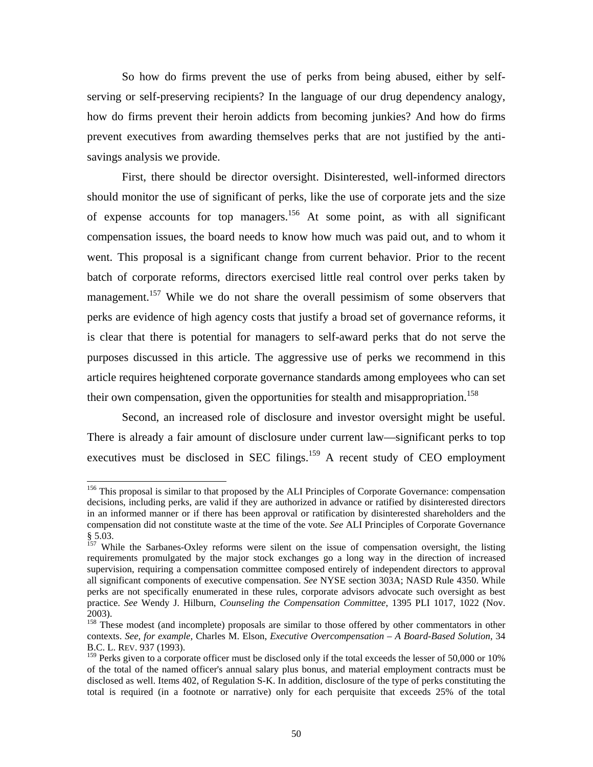<span id="page-51-3"></span>So how do firms prevent the use of perks from being abused, either by selfserving or self-preserving recipients? In the language of our drug dependency analogy, how do firms prevent their heroin addicts from becoming junkies? And how do firms prevent executives from awarding themselves perks that are not justified by the antisavings analysis we provide.

went. This proposal is a significant change from current behavior. Prior to the recent batch of corporate reforms, directors exercised little real control over perks taken by management.<sup>157</sup> While we do not share the overall pessimism of some observers that First, there should be director oversight. Disinterested, well-informed directors should monitor the use of significant of perks, like the use of corporate jets and the size of expense accounts for top managers.<sup>156</sup> At some point, as with all significant compensation issues, the board needs to know how much was paid out, and to whom it perks are evidence of high agency costs that justify a broad set of governance reforms, it is clear that there is potential for managers to self-award perks that do not serve the purposes discussed in this article. The aggressive use of perks we recommend in this article requires heightened corporate governance standards among employees who can set their own compensation, given the opportunities for stealth and misappropriation.<sup>158</sup>

Second, an increased role of disclosure and investor oversight might be useful. There is already a fair amount of disclosure under current law—significant perks to top executives must be disclosed in SEC filings. $159$  A recent study of CEO employment

<span id="page-51-0"></span><sup>&</sup>lt;sup>156</sup> This proposal is similar to that proposed by the ALI Principles of Corporate Governance: compensation decisions, including perks, are valid if they are authorized in advance or ratified by disinterested directors in an informed manner or if there has been approval or ratification by disinterested shareholders and the compensation did not constitute waste at the time of the vote. *See* ALI Principles of Corporate Governance § 5.03.

<span id="page-51-1"></span><sup>&</sup>lt;sup>157</sup> While the Sarbanes-Oxley reforms were silent on the issue of compensation oversight, the listing requirements promulgated by the major stock exchanges go a long way in the direction of increased supervision, requiring a compensation committee composed entirely of independent directors to approval all significant components of executive compensation. *See* NYSE section 303A; NASD Rule 4350. While perks are not specifically enumerated in these rules, corporate advisors advocate such oversight as best practice. *See* Wendy J. Hilburn, *Counseling the Compensation Committee*, 1395 PLI 1017, 1022 (Nov. 2003).

<span id="page-51-2"></span><sup>&</sup>lt;sup>158</sup> These modest (and incomplete) proposals are similar to those offered by other commentators in other contexts. *See, for example,* Charles M. Elson, *Executive Overcompensation – A Board-Based Solution*, 34 B.C. L. REV. 937 (1993).

<sup>&</sup>lt;sup>159</sup> Perks given to a corporate officer must be disclosed only if the total exceeds the lesser of 50,000 or 10% of the total of the named officer's annual salary plus bonus, and material employment contracts must be disclosed as well. Items 402, of Regulation S-K. In addition, disclosure of the type of perks constituting the total is required (in a footnote or narrative) only for each perquisite that exceeds 25% of the total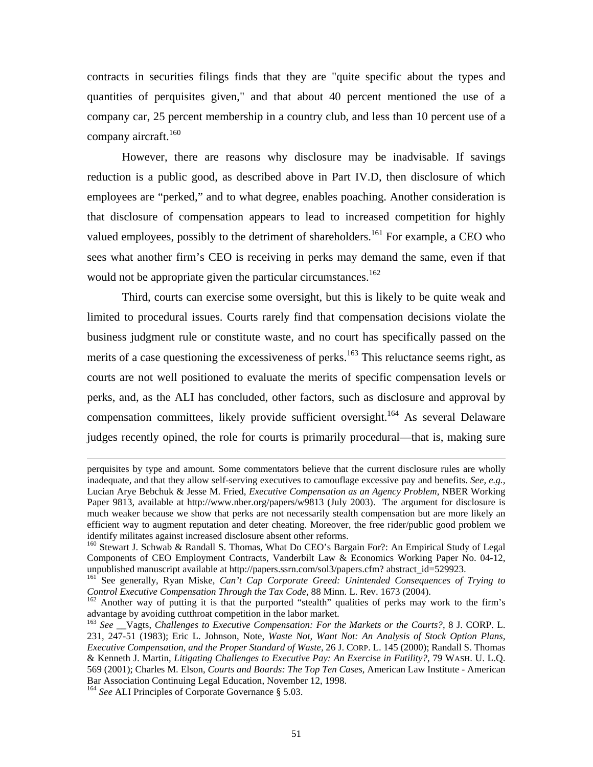contrac ts in securities filings finds that they are "quite specific about the types and quantities of perquisites given," and that about 40 percent mentioned the use of a company car, 25 percent membership in a country club, and less than 10 percent use of a company aircraft.<sup>160</sup>

However, there are reasons why disclosure may be inadvisable. If savings reducti on is a public good, as described above in Part IV.D, then disclosure of which employees are "perked," and to what degree, enables poaching. Another consideration is that disclosure of compensation appears to lead to increased competition for highly valued employees, possibly to the detriment of shareholders.<sup>161</sup> For example, a CEO who sees what another firm's CEO is receiving in perks may demand the same, even if that would not be appropriate given the particular circumstances.<sup>162</sup>

perks, and, as the ALI has concluded, other factors, such as disclosure and approval by compensation committees, likely provide sufficient oversight.<sup>164</sup> As several Delaware Third, courts can exercise some oversight, but this is likely to be quite weak and limited to procedural issues. Courts rarely find that compensation decisions violate the business judgment rule or constitute waste, and no court has specifically passed on the merits of a case questioning the excessiveness of perks.<sup>163</sup> This reluctance seems right, as courts are not well positioned to evaluate the merits of specific compensation levels or judges recently opined, the role for courts is primarily procedural—that is, making sure

 $\overline{a}$ 

perquisites by type and amount. Some commentators believe that the current disclosure rules are wholly inadequate, and that they allow self-serving executives to camouflage excessive pay and benefits. *See, e.g.,*  identify militates against increased disclosure absent other reforms. Lucian Arye Bebchuk & Jesse M. Fried, *Executive Compensation as an Agency Problem*, NBER Working Paper 9813, available at http://www.nber.org/papers/w9813 (July 2003). The argument for disclosure is much weaker because we show that perks are not necessarily stealth compensation but are more likely an efficient way to augment reputation and deter cheating. Moreover, the free rider/public good problem we

<span id="page-52-0"></span><sup>&</sup>lt;sup>160</sup> Stewart J. Schwab & Randall S. Thomas, What Do CEO's Bargain For?: An Empirical Study of Legal Components of CEO Employment Contracts, Vanderbilt Law & Economics Working Paper No. 04-12,

<span id="page-52-1"></span>unpublished manuscript available at http://papers.ssrn.com/sol3/papers.cfm? abstract\_id=529923.<br><sup>161</sup> See generally, Ryan Miske, *Can't Cap Corporate Greed: Unintended Consequences of Trying to*<br>*Control Executive Compensa* 

<span id="page-52-2"></span>advantage by avoiding cutthroat competition in the labor market. <sup>162</sup> Another way of putting it is that the purported "stealth" qualities of perks may work to the firm's

<span id="page-52-3"></span>*nd the Proper Standard of Waste,* 26 J. CORP. L. 145 (2000); Randall S. Thomas *Executive Compensation, a* <sup>163</sup> See \_\_Vagts, *Challenges to Executive Compensation: For the Markets or the Courts?*, 8 J. CORP. L. 231, 247-51 (1983); Eric L. Johnson, Note, *Waste Not, Want Not: An Analysis of Stock Option Plans,*  & Kenneth J. Martin, *Litigating Challenges to Executive Pay: An Exercise in Futility?*, 79 WASH. U. L.Q. 569 (2001); Charles M. Elson, *Courts and Boards: The Top Ten Cases*, American Law Institute - American Bar Association Continuing Legal Education, November 12, 1998. 164 *See* ALI Principles of Corporate Governance § 5.03.

<span id="page-52-4"></span>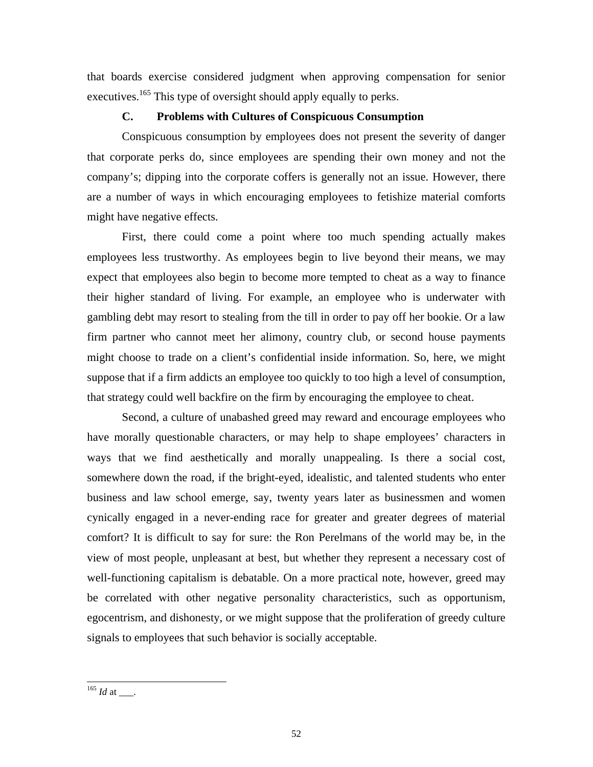that boards exercise considered judgment when approving compensation for senior executives.<sup>165</sup> This type of oversight should apply equally to perks.

## **C. Problems with Cultures of Conspicuous Consumption**

Conspicuous consumption by employees does not present the severity of danger that co rporate perks do, since employees are spending their own money and not the company's; dipping into the corporate coffers is generally not an issue. However, there are a number of ways in which encouraging employees to fetishize material comforts might have negative effects.

expect that employees also begin to become more tempted to cheat as a way to finance First, there could come a point where too much spending actually makes employees less trustworthy. As employees begin to live beyond their means, we may their higher standard of living. For example, an employee who is underwater with gambling debt may resort to stealing from the till in order to pay off her bookie. Or a law firm partner who cannot meet her alimony, country club, or second house payments might choose to trade on a client's confidential inside information. So, here, we might suppose that if a firm addicts an employee too quickly to too high a level of consumption, that strategy could well backfire on the firm by encouraging the employee to cheat.

ways that we find aesthetically and morally unappealing. Is there a social cost, comfort? It is difficult to say for sure: the Ron Perelmans of the world may be, in the Second, a culture of unabashed greed may reward and encourage employees who have morally questionable characters, or may help to shape employees' characters in somewhere down the road, if the bright-eyed, idealistic, and talented students who enter business and law school emerge, say, twenty years later as businessmen and women cynically engaged in a never-ending race for greater and greater degrees of material view of most people, unpleasant at best, but whether they represent a necessary cost of well-functioning capitalism is debatable. On a more practical note, however, greed may be correlated with other negative personality characteristics, such as opportunism, egocentrism, and dishonesty, or we might suppose that the proliferation of greedy culture signals to employees that such behavior is socially acceptable.

<span id="page-53-0"></span> $165$  *Id* at \_\_\_.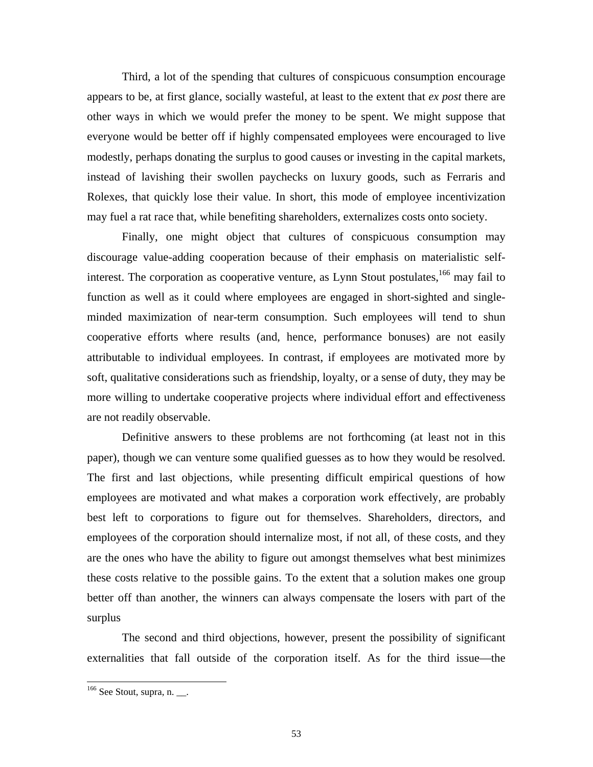Third, a lot of the spending that cultures of conspicuous consumption encourage appears to be, at first glance, socially wasteful, at least to the extent that *ex post* there are may fuel a rat race that, while benefiting shareholders, externalizes costs onto society. other ways in which we would prefer the money to be spent. We might suppose that everyone would be better off if highly compensated employees were encouraged to live modestly, perhaps donating the surplus to good causes or investing in the capital markets, instead of lavishing their swollen paychecks on luxury goods, such as Ferraris and Rolexes, that quickly lose their value. In short, this mode of employee incentivization

more willing to undertake cooperative projects where individual effort and effectiveness Finally, one might object that cultures of conspicuous consumption may discourage value-adding cooperation because of their emphasis on materialistic selfinterest. The corporation as cooperative venture, as Lynn Stout postulates,<sup>166</sup> may fail to function as well as it could where employees are engaged in short-sighted and singleminded maximization of near-term consumption. Such employees will tend to shun cooperative efforts where results (and, hence, performance bonuses) are not easily attributable to individual employees. In contrast, if employees are motivated more by soft, qualitative considerations such as friendship, loyalty, or a sense of duty, they may be are not readily observable.

Definitive answers to these problems are not forthcoming (at least not in this paper), though we can venture some qualified guesses as to how they would be resolved. The first and last objections, while presenting difficult empirical questions of how employees are motivated and what makes a corporation work effectively, are probably best left to corporations to figure out for themselves. Shareholders, directors, and employees of the corporation should internalize most, if not all, of these costs, and they are the ones who have the ability to figure out amongst themselves what best minimizes these costs relative to the possible gains. To the extent that a solution makes one group better off than another, the winners can always compensate the losers with part of the surplus

The second and third objections, however, present the possibility of significant externalities that fall outside of the corporation itself. As for the third issue—the

 $\overline{a}$ 

<span id="page-54-0"></span> $166$  See Stout, supra, n.  $\_\_$ .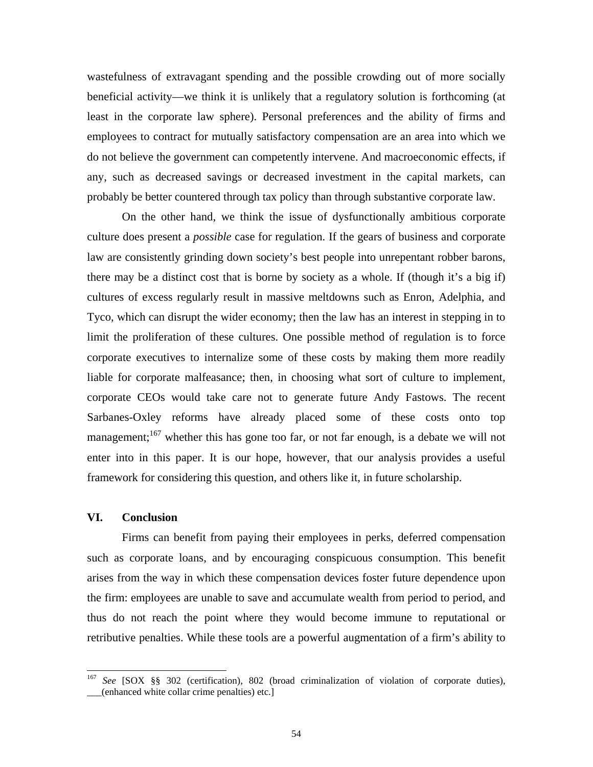wastefulness of extravagant spending and the possible crowding out of more socially beneficial activity—we think it is unlikely that a regulatory solution is forthcoming (at least in the corporate law sphere). Personal preferences and the ability of firms and employees to contract for mutually satisfactory compensation are an area into which we do not believe the government can competently intervene. And macroeconomic effects, if any, such as decreased savings or decreased investment in the capital markets, can probably be better countered through tax policy than through substantive corporate law.

On the other hand, we think the issue of dysfunctionally ambitious corporate Sarbanes-Oxley reforms have already placed some of these costs onto top management;<sup>167</sup> whether this has gone too far, or not far enough, is a debate we will not culture does present a *possible* case for regulation. If the gears of business and corporate law are consistently grinding down society's best people into unrepentant robber barons, there may be a distinct cost that is borne by society as a whole. If (though it's a big if) cultures of excess regularly result in massive meltdowns such as Enron, Adelphia, and Tyco, which can disrupt the wider economy; then the law has an interest in stepping in to limit the proliferation of these cultures. One possible method of regulation is to force corporate executives to internalize some of these costs by making them more readily liable for corporate malfeasance; then, in choosing what sort of culture to implement, corporate CEOs would take care not to generate future Andy Fastows. The recent enter into in this paper. It is our hope, however, that our analysis provides a useful framework for considering this question, and others like it, in future scholarship.

## **VI. Conclusion**

thus do not reach the point where they would become immune to reputational or Firms can benefit from paying their employees in perks, deferred compensation such as corporate loans, and by encouraging conspicuous consumption. This benefit arises from the way in which these compensation devices foster future dependence upon the firm: employees are unable to save and accumulate wealth from period to period, and retributive penalties. While these tools are a powerful augmentation of a firm's ability to

<span id="page-55-0"></span> $167\,$ <sup>167</sup> *See* [SOX §§ 302 (certification), 802 (broad criminalization of violation of corporate duties), \_\_\_(enhanced white collar crime penalties) etc.]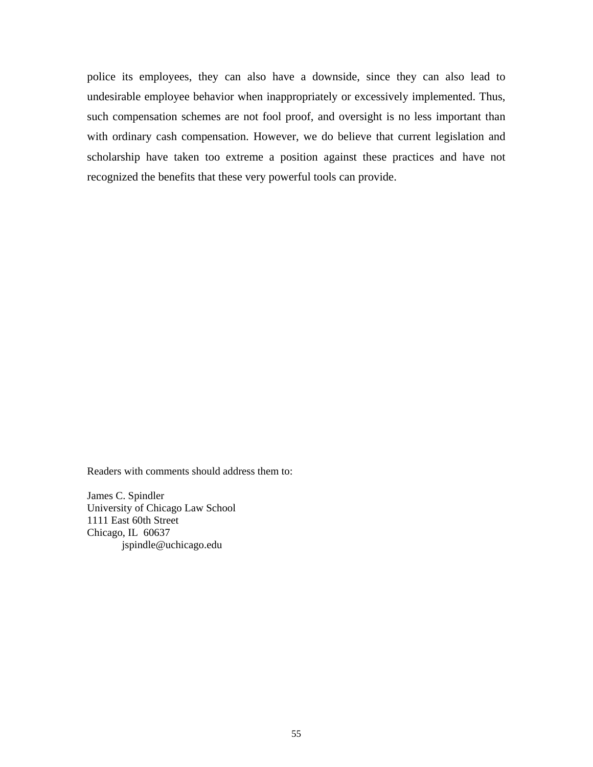police its employees, they can also have a downside, since they can also lead to undesirable employee behavior when inappropriately or excessively implemented. Thus, such compensation schemes are not fool proof, and oversight is no less important than with ordinary cash compensation. However, we do believe that current legislation and scholarship have taken too extreme a position against these practices and have not recognized the benefits that these very powerful tools can provide.

Readers with comments should address them to:

James C. Spindler University of Chicago Law School 1111 East 60th Street Chicago, IL 60637 jspindle@uchicago.edu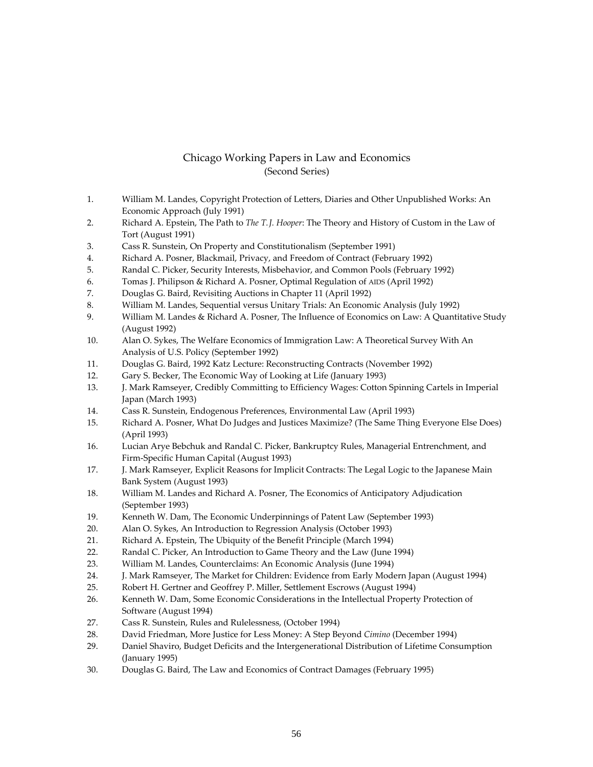## Chicago Working Papers in Law and Economics (Second Series)

- 1. William M. Landes, Copyright Protection of Letters, Diaries and Other Unpublished Works: An Economic Approach (July 1991)
- Richard A. Epstein, The Path to *The T. J. Hooper*: The Theory and History of Custom in the Law of Tort (August 1991) 2.
- Cass R. Sunstein, On Property and Constitutionalism (September 1991) 3.
- Richard A. Posner, Blackmail, Privacy, and Freedom of Contract (February 1992) 4.
- Randal C. Picker, Security Interests, Misbehavior, and Common Pools (February 1992) 5.
- Tomas J. Philipson & Richard A. Posner, Optimal Regulation of AIDS (April 1992) 6.
- Douglas G. Baird, Revisiting Auctions in Chapter 11 (April 1992) 7.
- William M. Landes, Sequential versus Unitary Trials: An Economic Analysis (July 1992) 8.
- William M. Landes & Richard A. Posner, The Influence of Economics on Law: A Quantitative Study (August 1992) 9.
- . Alan O. Sykes, The Welfare Economics of Immigration Law: A Theoretical Survey With An Analysis of U.S. Policy (September 1992) 10
- . Douglas G. Baird, 1992 Katz Lecture: Reconstructing Contracts (November 1992) 11
- . Gary S. Becker, The Economic Way of Looking at Life (January 1993) 12
- J. Mark Ramseyer, Credibly Committing to Efficiency Wages: Cotton Spinning Cartels in Imperial Japan (March 1993) 13.
- . Cass R. Sunstein, Endogenous Preferences, Environmental Law (April 1993) 14
- . Richard A. Posner, What Do Judges and Justices Maximize? (The Same Thing Everyone Else Does) (April 1993) 15
- Lucian Arye Bebchuk and Randal C. Picker, Bankruptcy Rules, Managerial Entrenchment, and Firm-Specific Human Capital (August 1993) 16.
- 17. J. Mark Ramseyer, Explicit Reasons for Implicit Contracts: The Legal Logic to the Japanese Main 1 Bank System (August 1993)
- 18. William M. Landes and Richard A. Posner, The Economics of Anticipatory Adjudication (September 1993)
- 19. Kenneth W. Dam, The Economic Underpinnings of Patent Law (September 1993)
- 20. Alan O. Sykes, An Introduction to Regression Analysis (October 1993)
- 21. Richard A. Epstein, The Ubiquity of the Benefit Principle (March 1994)
- 22. Randal C. Picker, An Introduction to Game Theory and the Law (June 1994)
- 23. William M. Landes, Counterclaims: An Economic Analysis (June 1994)
- 4. J. Mark Ramseyer, The Market for Children: Evidence from Early Modern Japan (August 1994) 24.
- 5. Robert H. Gertner and Geoffrey P. Miller, Settlement Escrows (August 1994)  $25.$
- . Kenneth W. Dam, Some Economic Considerations in the Intellectual Property Protection of Software (August 1994) 26
- . Cass R. Sunstein, Rules and Rulelessness, (October 1994) 27
- . David Friedman, More Justice for Less Money: A Step Beyond *Cimino* (December 1994) 28
- . Daniel Shaviro, Budget Deficits and the Intergenerational Distribution of Lifetime Consumption (January 1995) 29
- Douglas G. Baird, The Law and Economics of Contract Damages (February 1995) 30.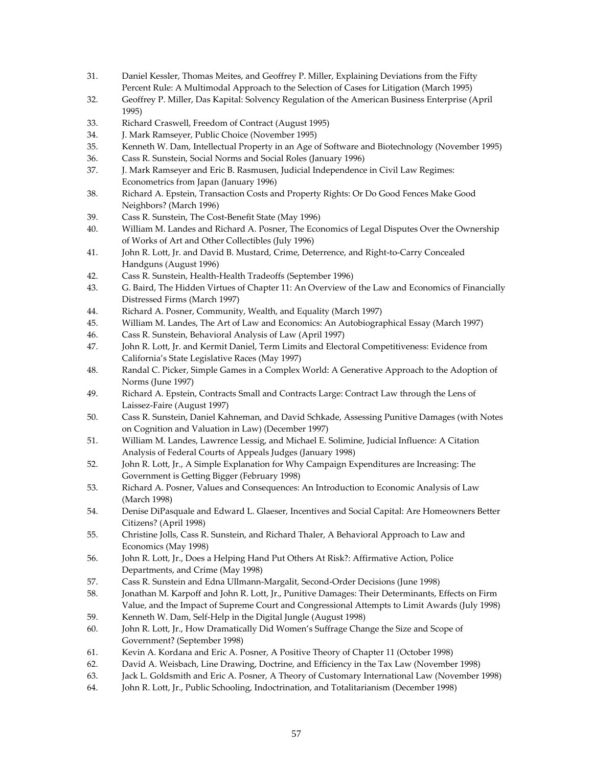- 31. Daniel Kessler, Thomas Meites, and Geoffrey P. Miller, Explaining Deviations from the Fifty Percent Rule: A Multimodal Approach to the Selection of Cases for Litigation (March 1995)
- . Geoffrey P. Miller, Das Kapital: Solvency Regulation of the American Business Enterprise (April 1995) 32
- . Richard Craswell, Freedom of Contract (August 1995) 33
- . J. Mark Ramseyer, Public Choice (November 1995) 34
- Kenneth W. Dam, Intellectual Property in an Age of Software and Biotechnology (November 1995) 35.
- 36. Cass R. Sunstei n, Social Norms and Social Roles (January 1996)
- 37. J. Mark Ramseyer and Eric B. Rasmusen, Judicial Independence in Civil Law Regimes: Econometrics from Japan (January 1996)
- 38. Richard A. Epstein, Transaction Costs and Property Rights: Or Do Good Fences Make Good Neighbors? (March 1996)
- 39. Cass R. Sunstein, The Cost-Benefit State (May 1996)
- 40. William M. Landes and Richard A. Posner, The Economics of Legal Disputes Over the Ownership of Works of Art and Other Collectibles (July 1996)
- 41. John R. Lott, Jr. and David B. Mustard, Crime, Deterrence, and Right-to-Carry Concealed Handguns (August 1996)
- 42. Cass R. Sunstein, Health-Health Tradeoffs (September 1996)
- 43. G. Baird, The Hidden Virtues of Chapter 11: An Overview of the Law and Economics of Financially Distressed Firms (March 1997)
- 44. Richard A. Posner, Community, Wealth, and Equality (March 1997)
- 45. William M. Landes, The Art of Law and Economics: An Autobiographical Essay (March 1997)
- 46. Cass R. Sunstein, Behavioral Analysis of Law (April 1997)
- 47. John R. Lott, Jr. and Kermit Daniel, Term Limits and Electoral Competitiveness: Evidence from California's State Legislative Races (May 1997)
- 48. Randal C. Picker, Simple Games in a Complex World: A Generative Approach to the Adoption of Norms (June 1997)
- 49. Richard A. Epstein, Contracts Small and Contracts Large: Contract Law through the Lens of Laissez-Faire (August 1997)
- 50. Cass R. Sunstein, Daniel Kahneman, and David Schkade, Assessing Punitive Damages (with Notes on Cognition and Valuation in Law) (December 1997)
- 51. William M. Landes, Lawrence Lessig, and Michael E. Solimine, Judicial Influence: A Citation Analysis of Federal Courts of Appeals Judges (January 1998)
- 52. John R. Lott, Jr., A Simple Explanation for Why Campaign Expenditures are Increasing: The Government is Getting Bigger (February 1998)
- 53. Richard A. Posner, Values and Consequences: An Introduction to Economic Analysis of Law (March 1998)
- 54. Denise DiPasquale and Edward L. Glaeser, Incentives and Social Capital: Are Homeowners Better Citizens? (April 1998)
- 55. Christine Jolls, Cass R. Sunstein, and Richard Thaler, A Behavioral Approach to Law and Economics (May 1998)
- 56. John R. Lott, Jr., Does a Helping Hand Put Others At Risk?: Affirmative Action, Police Departments, and Crime (May 1998)
- 57. Cass R. Sunstein and Edna Ullmann-Margalit, Second-Order Decisions (June 1998)
- 58. Jonathan M. Karpoff and John R. Lott, Jr., Punitive Damages: Their Determinants, Effects on Firm 1998) Value, and the Impact of Supreme Court and Congressional Attempts to Limit Awards (July
- 59. Kenneth W. Dam, Self-Help in the Digital Jungle (August 1998)
- 60. John R. Lott, Jr., How Dramatically Did Women's Suffrage Change the Size and Scope of Government? (September 1998)
- 61. Kevin A. Kordana and Eric A. Posner, A Positive Theory of Chapter 11 (October 1998)
- 62. David A. Weisbach, Line Drawing, Doctrine, and Efficiency in the Tax Law (November 1998)
- 63. Jack L. Goldsmith and Eric A. Posner, A Theory of Customary International Law (November 1998)
- 64. John R. Lott, Jr., Public Schooling, Indoctrination, and Totalitarianism (December 1998)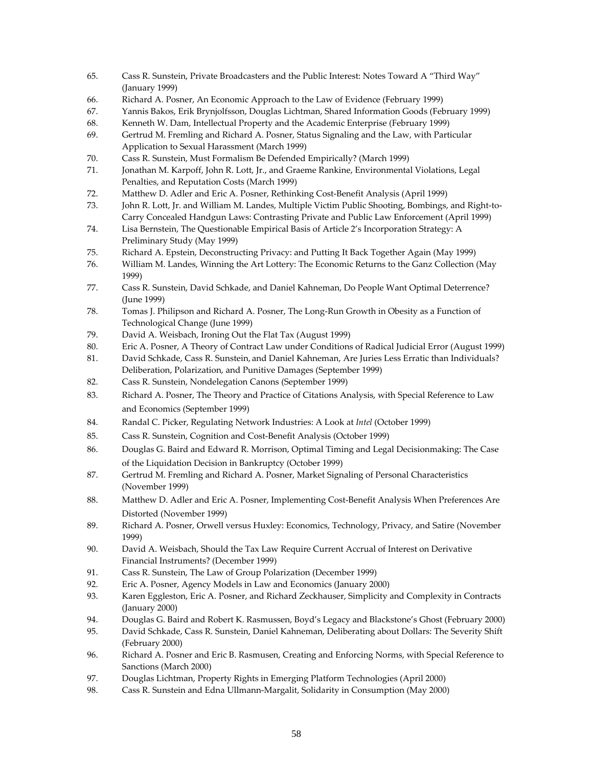- 65. Cass R. Sunstein, Private Broadcasters and the Public Interest: Notes Toward A "Third Way" (January 1999)
- 66. Richard A. Posner, An Economic Approach to the Law of Evidence (February 1999)
- 67. Yannis Bakos, Erik Brynjolfsson, Douglas Lichtman, Shared Information Goods (February 1999)
- 68. Kenneth W. Dam, Intellectual Property and the Academic Enterprise (February 1999)
- 69. Gertrud M. Fremling and Richard A. Posner, Status Signaling and the Law, with Particular Application to Sexual Harassment (March 1999)
- 70. Cass R. Sunstein, Must Formalism Be Defended Empirically? (March 1999)
- 71. Jonathan M. Karpoff, John R. Lott, Jr., and Graeme Rankine, Environmental Violations, Legal Penalties, and Reputation Costs (March 1999)
- 72. Matthew D. Adler and Eric A. Posner, Rethinking Cost-Benefit Analysis (April 1999)
- 73. John R. Lott, Jr. and William M. Landes, Multiple Victim Public Shooting, Bombings, and Right-to-Carry Concealed Handgun Laws: Contrasting Private and Public Law Enforcement (April 1999)
- 74. Lisa Bernstein, The Questionable Empirical Basis of Article 2's Incorporation Strategy: A Preliminary Study (May 1999)
- 9) 75. Richard A. Epstein, Deconstructing Privacy: and Putting It Back Together Again (May 199
- 76. William M. Landes, Winning the Art Lottery: The Economic Returns to the Ganz Collection (May 1999)
- 77. Cass R. Sunstein, David Schkade, and Daniel Kahneman, Do People Want Optimal Deterrence? (June 1999)
- 78. Tomas J. Philipson and Richard A. Posner, The Long-Run Growth in Obesity as a Function of Technological Change (June 1999)
- 79. David A. Weisbach, Ironing Out the Flat Tax (August 1999)
- 99) 80. Eric A. Posner, A Theory of Contract Law under Conditions of Radical Judicial Error (August 19
- 81. David Schkade, Cass R. Sunstein, and Daniel Kahneman, Are Juries Less Erratic than Individuals? Deliberation, Polarization, and Punitive Damages (September 1999)
- 82. Cass R. Sunstein, Nondelegation Canons (September 1999)
- 83. Richard A. Posner, The Theory and Practice of Citations Analysis, with Special Reference to Law and Economics (September 1999)
- 84. Randal C. Picker, Regulating Network Industries: A Look at *Intel* (October 1999)
- 85. Cass R. Sunstein, Cognition and Cost-Benefit Analysis (October 1999)
- 86. Douglas G. Baird and Edward R. Morrison, Optimal Timing and Legal Decisionmaking: The Case of the Liquidation Decision in Bankruptcy (October 1999)
- 87. Gertrud M. Fremling and Richard A. Posner, Market Signaling of Personal Characteristics (November 1999)
- 88. Matthew D. Adler and Eric A. Posner, Implementing Cost-Benefit Analysis When Preferences Are Distorted (November 1999)
- 89. Richard A. Posner, Orwell versus Huxley: Economics, Technology, Privacy, and Satire (November 1999)
- 90. David A. Weisbach, Should the Tax Law Require Current Accrual of Interest on Derivative Financial Instruments? (December 1999)
- 91. Cass R. Sunstein, The Law of Group Polarization (December 1999)
- 92. Eric A. Posner, Agency Models in Law and Economics (January 2000)
- 93. Karen Eggleston, Eric A. Posner, and Richard Zeckhauser, Simplicity and Complexity in Contracts (January 2000)
- 94. Douglas G. Baird and Robert K. Rasmussen, Boyd's Legacy and Blackstone's Ghost (February 2000)
- 95. David Schkade, Cass R. Sunstein, Daniel Kahneman, Deliberating about Dollars: The Severity Shift (February 2000)
- 96. Richard A. Posner and Eric B. Rasmusen, Creating and Enforcing Norms, with Special Reference to Sanctions (March 2000)
- 97. Douglas Lichtman, Property Rights in Emerging Platform Technologies (April 2000)
- 98. Cass R. Sunstein and Edna Ullmann-Margalit, Solidarity in Consumption (May 2000)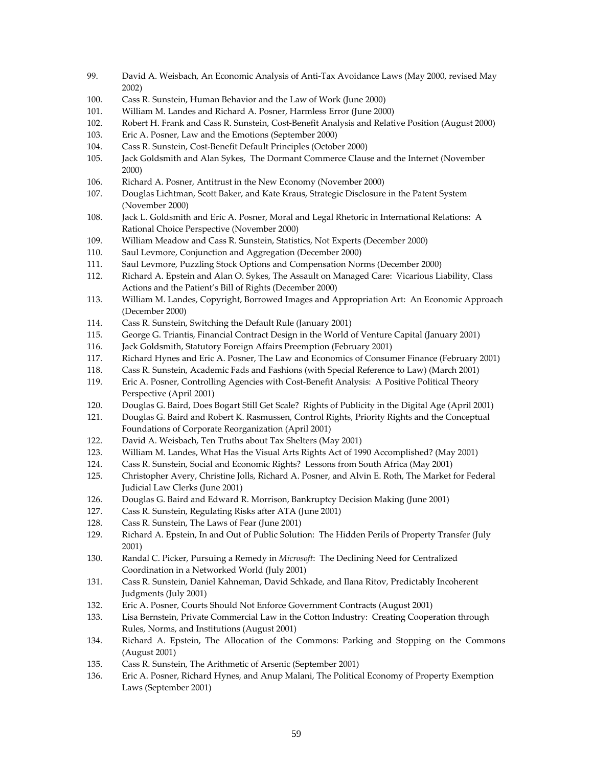- 99. David A. Weisbach, An Economic Analysis of Anti-Tax Avoidance Laws (May 2000, revised M ay 2002)
- 100. Cass R. Sunstein, Human Behavior and the Law of Work (June 2000)
- 101. William M. Landes and Richard A. Posner, Harmless Error (June 2000)
- 102. Robert H. Frank and Cass R. Sunstein, Cost-Benefit Analysis and Relative Position (August 2000)
- 103. Eric A. Posner, Law and the Emotions (September 2000)
- 104. Cass R. Sunstein, Cost-Benefit Default Principles (October 2000)
- 105. Jack Goldsmith and Alan Sykes, The Dormant Commerce Clause and the Internet (November 2000)
- 106. Richard A. Posner, Antitrust in the New Economy (November 2000)
- 107. Douglas Lichtman, Scott Baker, and Kate Kraus, Strategic Disclosure in the Patent System (November 2000)
- 108. Jack L. Goldsmith and Eric A. Posner, Moral and Legal Rhetoric in International Relations: A Rational Choice Perspective (November 2000)
- 109. William Meadow and Cass R. Sunstein, Statistics, Not Experts (December 2000)
- 110. Saul Levmore, Conjunction and Aggregation (December 2000)
- 111. Saul Levmore, Puzzling Stock Options and Compensation Norms (December 2000)
- 112. Richard A. Epstein and Alan O. Sykes, The Assault on Managed Care: Vicarious Liability, Class Actions and the Patient's Bill of Rights (December 2000)
- 113. William M. Landes, Copyright, Borrowed Images and Appropriation Art: An Economic Approach (December 2000)
- 114. Cass R. Sunstein, Switching the Default Rule (January 2001)
- 115. George G. Triantis, Financial Contract Design in the World of Venture Capital (January 2001)
- 116. Jack Goldsmith, Statutory Foreign Affairs Preemption (February 2001)
- 117. Richard Hynes and Eric A. Posner, The Law and Economics of Consumer Finance (February 2001)
- 118. Cass R. Sunstein, Academic Fads and Fashions (with Special Reference to Law) (March 2001)
- 119. Eric A. Posner, Controlling Agencies with Cost-Benefit Analysis: A Positive Political Theory Perspective (April 2001)
- 120. Douglas G. Baird, Does Bogart Still Get Scale? Rights of Publicity in the Digital Age (April 2001)
- 121. Douglas G. Baird and Robert K. Rasmussen, Control Rights, Priority Rights and the Conceptual Foundations of Corporate Reorganization (April 2001)
- 122. David A. Weisbach, Ten Truths about Tax Shelters (May 2001)
- 123. William M. Landes, What Has the Visual Arts Rights Act of 1990 Accomplished? (May 2001)
- 124. Cass R. Sunstein, Social and Economic Rights? Lessons from South Africa (May 2001)
- 125. Christopher Avery, Christine Jolls, Richard A. Posner, and Alvin E. Roth, The Market for Federal Judicial Law Clerks (June 2001)
- 126. Douglas G. Baird and Edward R. Morrison, Bankruptcy Decision Making (June 2001)
- 127. Cass R. Sunstein, Regulating Risks after ATA (June 2001)
- 128. Cass R. Sunstein, The Laws of Fear (June 2001)
- 129. Richard A. Epstein, In and Out of Public Solution: The Hidden Perils of Property Transfer (July 2001)
- 130. **Randal C. Picker, Pursuing a Remedy in** *Microsoft***: The Declining Need for Centralized** Coordination in a Networked World (July 2001)
- 131. Cass R. Sunstein, Daniel Kahneman, David Schkade, and Ilana Ritov, Predictably Incoherent Judgments (July 2001)
- 132. Eric A. Posner, Courts Should Not Enforce Government Contracts (August 2001)
- 133. Lisa Bernstein, Private Commercial Law in the Cotton Industry: Creating Cooperation through Rules, Norms, and Institutions (August 2001)
- 134. Richard A. Epstein, The Allocation of the Commons: Parking and Stopping on the Commons (August 2001)
- 135. Cass R. Sunstein, The Arithmetic of Arsenic (September 2001)
- 136. Eric A. Posner, Richard Hynes, and Anup Malani, The Political Economy of Property Exemption Laws (September 2001)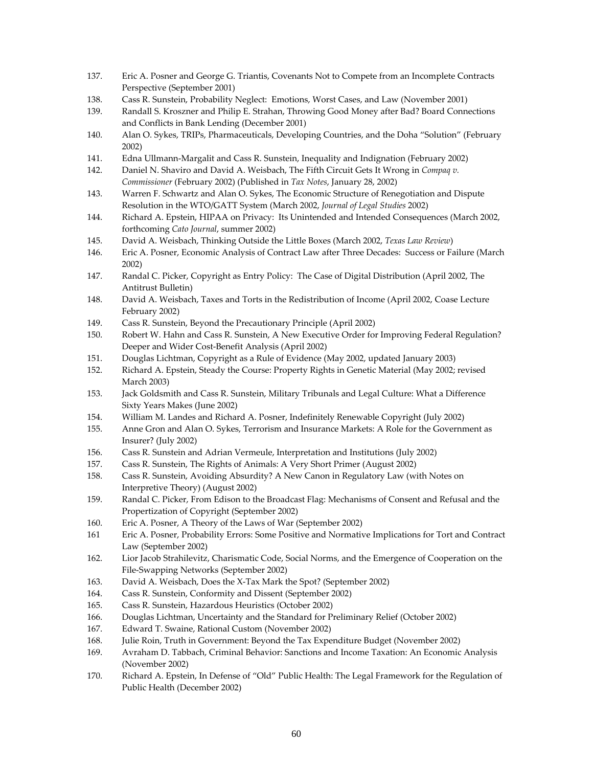- 137. Eric A. Posner and George G. Triantis, Covenants Not to Compete from an Incomplete Contracts Perspective (September 2001)
- (November 2001) 138. Cass R. Sunstein, Probability Neglect: Emotions, Worst Cases, and Law
- 139. Randall S. Kroszner and Philip E. Strahan, Throwing Good Money after Bad? Board Connections and Conflicts in Bank Lending (December 2001)
- 140. Alan O. Sykes, TRIPs, Pharmaceuticals, Developing Countries, and the Doha "Solution" (February 2002)
- 141. Edna Ullmann-Margalit and Cass R. Sunstein, Inequality and Indignation (February 2002)
- 142. Daniel N. Shaviro and David A. Weisbach, The Fifth Circuit Gets It Wrong in *Compaq v*. 2) *Commissioner* (February 2002) (Published in *Tax Notes*, January 28, 200
- 143. Warren F. Schwartz and Alan O. Sykes, The Economic Structure of Renegotiation and Dispute Resolution in the WTO/GATT System (March 2002*, Journal of Legal Studies* 2002)
- 144. Richard A. Epstein, HIPAA on Privacy: Its Unintended and Intended Consequences (March 2002, forthcoming *Cato Journal*, summer 2002)
- *view*) 145. David A. Weisbach, Thinking Outside the Little Boxes (March 2002, *Texas Law Re*
- 146. Eric A. Posner, Economic Analysis of Contract Law after Three Decades: Success or Failure (March 2002)
- 147. Randal C. Picker, Copyright as Entry Policy: The Case of Digital Distribution (April 2002, The Antitrust Bulletin)
- 148. David A. Weisbach, Taxes and Torts in the Redistribution of Income (April 2002, Coase Lecture February 2002)
- 149. Cass R. Sunstein, Beyond the Precautionary Principle (April 2002)
- 150. Robert W. Hahn and Cass R. Sunstein, A New Executive Order for Improving Federal Regulation? Deeper and Wider Cost-Benefit Analysis (April 2002)
- 151. Douglas Lichtman, Copyright as a Rule of Evidence (May 2002, updated January 2003)
- 152. Richard A. Epstein, Steady the Course: Property Rights in Genetic Material (May 2002; revised March 2003)
- 153. Jack Goldsmith and Cass R. Sunstein, Military Tribunals and Legal Culture: What a Difference Sixty Years Makes (June 2002)
- 154. William M. Landes and Richard A. Posner, Indefinitely Renewable Copyright (July 2002)
- 155. Anne Gron and Alan O. Sykes, Terrorism and Insurance Markets: A Role for the Government as Insurer? (July 2002)
- 156. Cass R. Sunstein and Adrian Vermeule, Interpretation and Institutions (July 2002)
- 157. Cass R. Sunstein, The Rights of Animals: A Very Short Primer (August 2002)
- 2) Interpretive Theory) (August 200 158. Cass R. Sunstein, Avoiding Absurdity? A New Canon in Regulatory Law (with Notes on
- 159. Randal C. Picker, From Edison to the Broadcast Flag: Mechanisms of Consent and Refusal and the Propertization of Copyright (September 2002)
- 160. Eric A. Posner, A Theory of the Laws of War (September 2002)
- 161 Eric A. Posner, Probability Errors: Some Positive and Normative Implications for Tort and Contract Law (September 2002)
- 162. Lior Jacob Strahilevitz, Charismatic Code, Social Norms, and the Emergence of Cooperation on the File-Swapping Networks (September 2002)
- 163. David A. Weisbach, Does the X-Tax Mark the Spot? (September 2002)
- 164. Cass R. Sunstein, Conformity and Dissent (September 2002)
- 165. Cass R. Sunstein, Hazardous Heuristics (October 2002)
- 166. Douglas Lichtman, Uncertainty and the Standard for Preliminary Relief (October 2002)
- 167. Edward T. Swaine, Rational Custom (November 2002)
- 168. Julie Roin, Truth in Government: Beyond the Tax Expenditure Budget (November 2002)
- 169. bbach, Criminal Behavior: Sanctions and Income Taxation: An Economic Analysis Avraham D. Ta (November 2002)
- 170. Richard A. Epstein, In Defense of "Old" Public Health: The Legal Framework for the Regulation of Public Health (December 2002)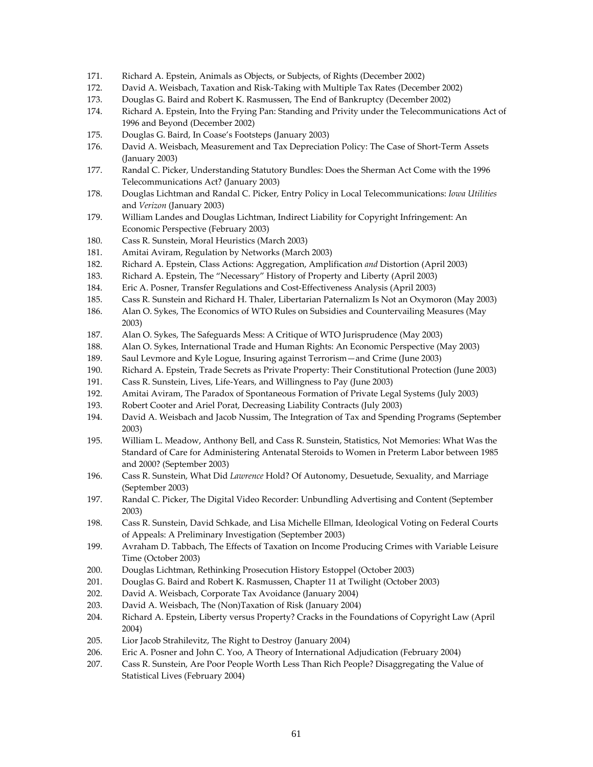- 171. Richard A. Epstein, Animals as Objects, or Subjects, of Rights (December 2002)
- 172. David A. Weisbach, Taxation and Risk-Taking with Multiple Tax Rates (December 2002)
- 173. Douglas G. Baird and Robert K. Rasmussen, The End of Bankruptcy (December 2002)
- 174. Richard A. Epstein, Into the Frying Pan: Standing and Privity under the Telecommunications Act of 1996 and Beyond (December 2002)
- 175. Douglas G. Baird, In Coase's Footsteps (January 2003)
- 176. A. Weisbach, Measurement and Tax Depreciation Policy: The Case of Short-Term Assets David (January 2003)
- 177. Randal C. Picker, Understanding Statutory Bundles: Does the Sherman Act Come with the 1996 Telecommunications Act? (January 2003)
- *es* 178. Douglas Lichtman and Randal C. Picker, Entry Policy in Local Telecommunications: *Iowa Utiliti* and *Verizon* (January 2003)
- 179. William Landes and Douglas Lichtman, Indirect Liability for Copyright Infringement: An Economic Perspective (February 2003)
- 180. Cass R. Sunstein, Moral Heuristics (March 2003)
- 181. Amitai Aviram, Regulation by Networks (March 2003)
- 182. d A. Epstein, Class Actions: Aggregation, Amplification *and* Distortion (April 2003) Richar
- 183. Richard A. Epstein, The "Necessary" History of Property and Liberty (April 2003)
- 184. Eric A. Posner, Transfer Regulations and Cost-Effectiveness Analysis (April 2003)
- ) 185. Cass R. Sunstein and Richard H. Thaler, Libertarian Paternalizm Is Not an Oxymoron (May 2003
- 186. Alan O. Sykes, The Economics of WTO Rules on Subsidies and Countervailing Measures (May 2003)
- 187. Alan O. Sykes, The Safeguards Mess: A Critique of WTO Jurisprudence (May 2003)
- 188. Alan O. Sykes, International Trade and Human Rights: An Economic Perspective (May 2003)
- 189. Saul Levmore and Kyle Logue, Insuring against Terrorism—and Crime (June 2003)
- ) 190. Richard A. Epstein, Trade Secrets as Private Property: Their Constitutional Protection (June 2003
- 191. Cass R. Sunstein, Lives, Life-Years, and Willingness to Pay (June 2003)
- 192. Amitai Aviram, The Paradox of Spontaneous Formation of Private Legal Systems (July 2003)
- 193. Robert Cooter and Ariel Porat, Decreasing Liability Contracts (July 2003)
- 194. David A. Weisbach and Jacob Nussim, The Integration of Tax and Spending Programs (September 2003)
- 195. William L. Meadow, Anthony Bell, and Cass R. Sunstein, Statistics, Not Memories: What Was the Standard of Care for Administering Antenatal Steroids to Women in Preterm Labor between 1985 and 2000? (September 2003)
- 196. Cass R. Sunstein, What Did *Lawrence* Hold? Of Autonomy, Desuetude, Sexuality, and Marriage (September 2003)
- 197. Randal C. Picker, The Digital Video Recorder: Unbundling Advertising and Content (September 2003)
- 198. Cass R. Sunstein, David Schkade, and Lisa Michelle Ellman, Ideological Voting on Federal Courts of Appeals: A Preliminary Investigation (September 2003)
- 199. Avraham D. Tabbach, The Effects of Taxation on Income Producing Crimes with Variable Leisure Time (October 2003)
- 200. Douglas Lichtman, Rethinking Prosecution History Estoppel (October 2003)
- 201. Douglas G. Baird and Robert K. Rasmussen, Chapter 11 at Twilight (October 2003)
- ) 202. David A. Weisbach, Corporate Tax Avoidance (January 2004
- 203. David A. Weisbach, The (Non)Taxation of Risk (January 2004)
- 204. Richard A. Epstein, Liberty versus Property? Cracks in the Foundations of Copyright Law (April 2004)
- 205. Lior Jacob Strahilevitz, The Right to Destroy (January 2004)
- 206. Eric A. Posner and John C. Yoo, A Theory of International Adjudication (February 2004)
- 207. Cass R. Sunstein, Are Poor People Worth Less Than Rich People? Disaggregating the Value of Statistical Lives (February 2004)